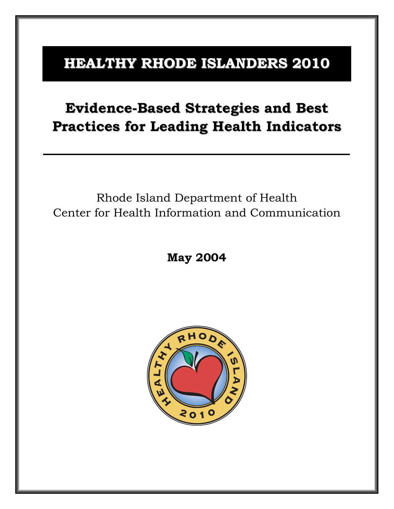# **HEALTHY RHODE ISLANDERS 2010**

# **Evidence-Based Strategies and Best Practices for Leading Health Indicators**

# Rhode Island Department of Health Center for Health Information and Communication

**May 2004** 

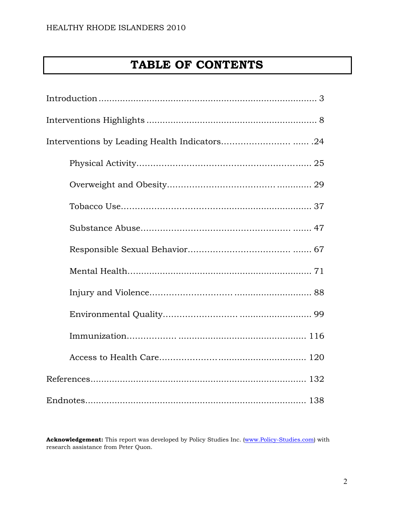# **TABLE OF CONTENTS**

Acknowledgement: This report was developed by Policy Studies Inc. (www.Policy-Studies.com) with research assistance from Peter Quon.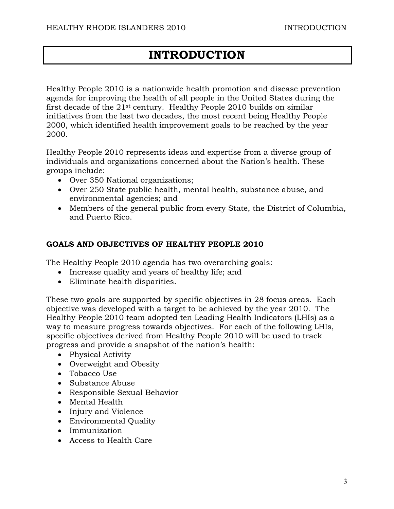# **INTRODUCTION**

Healthy People 2010 is a nationwide health promotion and disease prevention agenda for improving the health of all people in the United States during the first decade of the 21st century. Healthy People 2010 builds on similar initiatives from the last two decades, the most recent being Healthy People 2000, which identified health improvement goals to be reached by the year 2000.

Healthy People 2010 represents ideas and expertise from a diverse group of individuals and organizations concerned about the Nation's health. These groups include:

- Over 350 National organizations;
- Over 250 State public health, mental health, substance abuse, and environmental agencies; and
- Members of the general public from every State, the District of Columbia, and Puerto Rico.

# **GOALS AND OBJECTIVES OF HEALTHY PEOPLE 2010**

The Healthy People 2010 agenda has two overarching goals:

- Increase quality and years of healthy life; and
- Eliminate health disparities.

These two goals are supported by specific objectives in 28 focus areas. Each objective was developed with a target to be achieved by the year 2010. The Healthy People 2010 team adopted ten Leading Health Indicators (LHIs) as a way to measure progress towards objectives. For each of the following LHIs, specific objectives derived from Healthy People 2010 will be used to track progress and provide a snapshot of the nation's health:

- Physical Activity
- Overweight and Obesity
- Tobacco Use
- Substance Abuse
- Responsible Sexual Behavior
- Mental Health
- Injury and Violence
- Environmental Quality
- Immunization
- Access to Health Care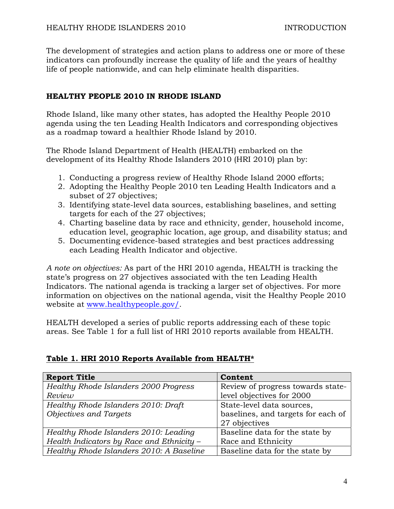The development of strategies and action plans to address one or more of these indicators can profoundly increase the quality of life and the years of healthy life of people nationwide, and can help eliminate health disparities.

# **HEALTHY PEOPLE 2010 IN RHODE ISLAND**

Rhode Island, like many other states, has adopted the Healthy People 2010 agenda using the ten Leading Health Indicators and corresponding objectives as a roadmap toward a healthier Rhode Island by 2010.

The Rhode Island Department of Health (HEALTH) embarked on the development of its Healthy Rhode Islanders 2010 (HRI 2010) plan by:

- 1. Conducting a progress review of Healthy Rhode Island 2000 efforts;
- 2. Adopting the Healthy People 2010 ten Leading Health Indicators and a subset of 27 objectives;
- 3. Identifying state-level data sources, establishing baselines, and setting targets for each of the 27 objectives;
- 4. Charting baseline data by race and ethnicity, gender, household income, education level, geographic location, age group, and disability status; and
- 5. Documenting evidence-based strategies and best practices addressing each Leading Health Indicator and objective.

*A note on objectives:* As part of the HRI 2010 agenda, HEALTH is tracking the state's progress on 27 objectives associated with the ten Leading Health Indicators. The national agenda is tracking a larger set of objectives. For more information on objectives on the national agenda, visit the Healthy People 2010 website at www.healthypeople.gov/.

HEALTH developed a series of public reports addressing each of these topic areas. See Table 1 for a full list of HRI 2010 reports available from HEALTH.

# **Table 1. HRI 2010 Reports Available from HEALTH\***

| <b>Report Title</b>                          | Content                            |
|----------------------------------------------|------------------------------------|
| <b>Healthy Rhode Islanders 2000 Progress</b> | Review of progress towards state-  |
| Review                                       | level objectives for 2000          |
| Healthy Rhode Islanders 2010: Draft          | State-level data sources,          |
| Objectives and Targets                       | baselines, and targets for each of |
|                                              | 27 objectives                      |
| Healthy Rhode Islanders 2010: Leading        | Baseline data for the state by     |
| Health Indicators by Race and Ethnicity -    | Race and Ethnicity                 |
| Healthy Rhode Islanders 2010: A Baseline     | Baseline data for the state by     |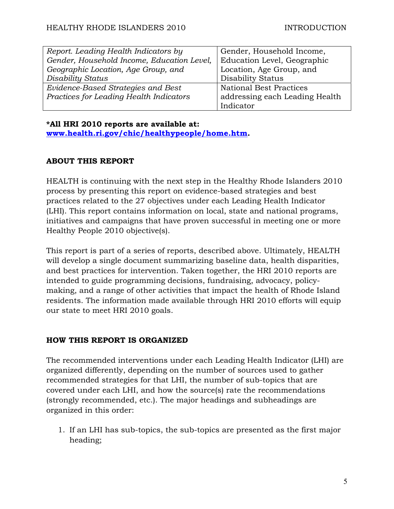| Report. Leading Health Indicators by       | Gender, Household Income,      |
|--------------------------------------------|--------------------------------|
| Gender, Household Income, Education Level, | Education Level, Geographic    |
| Geographic Location, Age Group, and        | Location, Age Group, and       |
| Disability Status                          | <b>Disability Status</b>       |
| Evidence-Based Strategies and Best         | <b>National Best Practices</b> |
| Practices for Leading Health Indicators    | addressing each Leading Health |
|                                            | Indicator                      |

#### **\*All HRI 2010 reports are available at:**

**www.health.ri.gov/chic/healthypeople/home.htm.** 

# **ABOUT THIS REPORT**

HEALTH is continuing with the next step in the Healthy Rhode Islanders 2010 process by presenting this report on evidence-based strategies and best practices related to the 27 objectives under each Leading Health Indicator (LHI). This report contains information on local, state and national programs, initiatives and campaigns that have proven successful in meeting one or more Healthy People 2010 objective(s).

This report is part of a series of reports, described above. Ultimately, HEALTH will develop a single document summarizing baseline data, health disparities, and best practices for intervention. Taken together, the HRI 2010 reports are intended to guide programming decisions, fundraising, advocacy, policymaking, and a range of other activities that impact the health of Rhode Island residents. The information made available through HRI 2010 efforts will equip our state to meet HRI 2010 goals.

# **HOW THIS REPORT IS ORGANIZED**

The recommended interventions under each Leading Health Indicator (LHI) are organized differently, depending on the number of sources used to gather recommended strategies for that LHI, the number of sub-topics that are covered under each LHI, and how the source(s) rate the recommendations (strongly recommended, etc.). The major headings and subheadings are organized in this order:

1. If an LHI has sub-topics, the sub-topics are presented as the first major heading;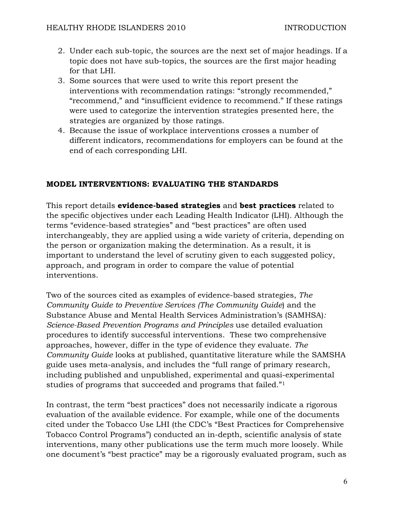- 2. Under each sub-topic, the sources are the next set of major headings. If a topic does not have sub-topics, the sources are the first major heading for that LHI.
- 3. Some sources that were used to write this report present the interventions with recommendation ratings: "strongly recommended," "recommend," and "insufficient evidence to recommend." If these ratings were used to categorize the intervention strategies presented here, the strategies are organized by those ratings.
- 4. Because the issue of workplace interventions crosses a number of different indicators, recommendations for employers can be found at the end of each corresponding LHI.

# **MODEL INTERVENTIONS: EVALUATING THE STANDARDS**

This report details **evidence-based strategies** and **best practices** related to the specific objectives under each Leading Health Indicator (LHI). Although the terms "evidence-based strategies" and "best practices" are often used interchangeably, they are applied using a wide variety of criteria, depending on the person or organization making the determination. As a result, it is important to understand the level of scrutiny given to each suggested policy, approach, and program in order to compare the value of potential interventions.

Two of the sources cited as examples of evidence-based strategies, *The Community Guide to Preventive Services (The Community Guide*) and the Substance Abuse and Mental Health Services Administration's (SAMHSA)*: Science-Based Prevention Programs and Principles* use detailed evaluation procedures to identify successful interventions. These two comprehensive approaches, however, differ in the type of evidence they evaluate. *The Community Guide* looks at published, quantitative literature while the SAMSHA guide uses meta-analysis, and includes the "full range of primary research, including published and unpublished, experimental and quasi-experimental studies of programs that succeeded and programs that failed."1

In contrast, the term "best practices" does not necessarily indicate a rigorous evaluation of the available evidence. For example, while one of the documents cited under the Tobacco Use LHI (the CDC's "Best Practices for Comprehensive Tobacco Control Programs") conducted an in-depth, scientific analysis of state interventions, many other publications use the term much more loosely. While one document's "best practice" may be a rigorously evaluated program, such as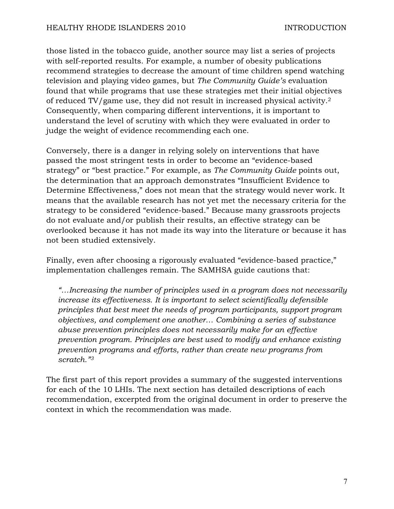those listed in the tobacco guide, another source may list a series of projects with self-reported results. For example, a number of obesity publications recommend strategies to decrease the amount of time children spend watching television and playing video games, but *The Community Guide's* evaluation found that while programs that use these strategies met their initial objectives of reduced TV/game use, they did not result in increased physical activity.2 Consequently, when comparing different interventions, it is important to understand the level of scrutiny with which they were evaluated in order to judge the weight of evidence recommending each one.

Conversely, there is a danger in relying solely on interventions that have passed the most stringent tests in order to become an "evidence-based strategy" or "best practice." For example, as *The Community Guide* points out, the determination that an approach demonstrates "Insufficient Evidence to Determine Effectiveness," does not mean that the strategy would never work. It means that the available research has not yet met the necessary criteria for the strategy to be considered "evidence-based." Because many grassroots projects do not evaluate and/or publish their results, an effective strategy can be overlooked because it has not made its way into the literature or because it has not been studied extensively.

Finally, even after choosing a rigorously evaluated "evidence-based practice," implementation challenges remain. The SAMHSA guide cautions that:

*"…Increasing the number of principles used in a program does not necessarily increase its effectiveness. It is important to select scientifically defensible principles that best meet the needs of program participants, support program objectives, and complement one another… Combining a series of substance abuse prevention principles does not necessarily make for an effective prevention program. Principles are best used to modify and enhance existing prevention programs and efforts, rather than create new programs from scratch."3*

The first part of this report provides a summary of the suggested interventions for each of the 10 LHIs. The next section has detailed descriptions of each recommendation, excerpted from the original document in order to preserve the context in which the recommendation was made.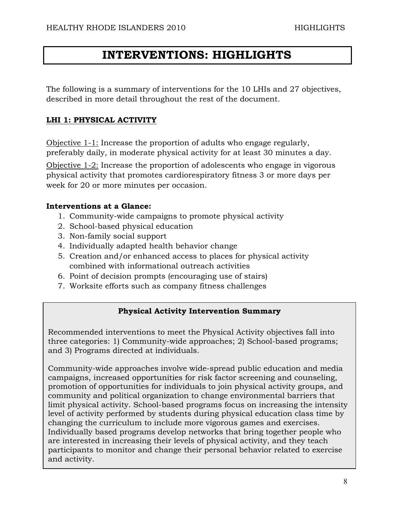# **INTERVENTIONS: HIGHLIGHTS**

The following is a summary of interventions for the 10 LHIs and 27 objectives, described in more detail throughout the rest of the document.

# **LHI 1: PHYSICAL ACTIVITY**

Objective 1-1: Increase the proportion of adults who engage regularly, preferably daily, in moderate physical activity for at least 30 minutes a day.

Objective 1-2: Increase the proportion of adolescents who engage in vigorous physical activity that promotes cardiorespiratory fitness 3 or more days per week for 20 or more minutes per occasion.

# **Interventions at a Glance:**

- 1. Community-wide campaigns to promote physical activity
- 2. School-based physical education
- 3. Non-family social support
- 4. Individually adapted health behavior change
- 5. Creation and/or enhanced access to places for physical activity combined with informational outreach activities
- 6. Point of decision prompts (encouraging use of stairs)
- 7. Worksite efforts such as company fitness challenges

# **Physical Activity Intervention Summary**

Recommended interventions to meet the Physical Activity objectives fall into three categories: 1) Community-wide approaches; 2) School-based programs; and 3) Programs directed at individuals.

Community-wide approaches involve wide-spread public education and media campaigns, increased opportunities for risk factor screening and counseling, promotion of opportunities for individuals to join physical activity groups, and community and political organization to change environmental barriers that limit physical activity. School-based programs focus on increasing the intensity level of activity performed by students during physical education class time by changing the curriculum to include more vigorous games and exercises. Individually based programs develop networks that bring together people who are interested in increasing their levels of physical activity, and they teach participants to monitor and change their personal behavior related to exercise and activity.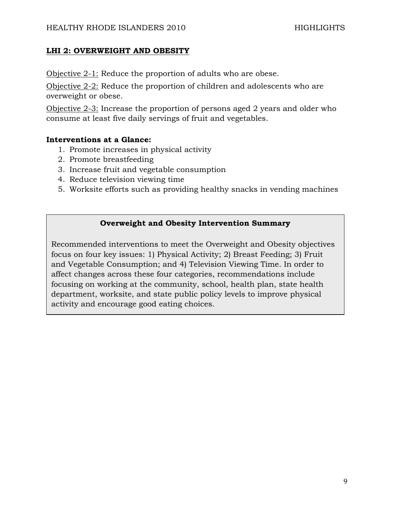#### **LHI 2: OVERWEIGHT AND OBESITY**

Objective 2-1: Reduce the proportion of adults who are obese.

Objective 2-2: Reduce the proportion of children and adolescents who are overweight or obese.

Objective 2-3: Increase the proportion of persons aged 2 years and older who consume at least five daily servings of fruit and vegetables.

#### **Interventions at a Glance:**

- 1. Promote increases in physical activity
- 2. Promote breastfeeding
- 3. Increase fruit and vegetable consumption
- 4. Reduce television viewing time
- 5. Worksite efforts such as providing healthy snacks in vending machines

#### **Overweight and Obesity Intervention Summary**

Recommended interventions to meet the Overweight and Obesity objectives focus on four key issues: 1) Physical Activity; 2) Breast Feeding; 3) Fruit and Vegetable Consumption; and 4) Television Viewing Time. In order to affect changes across these four categories, recommendations include focusing on working at the community, school, health plan, state health department, worksite, and state public policy levels to improve physical activity and encourage good eating choices.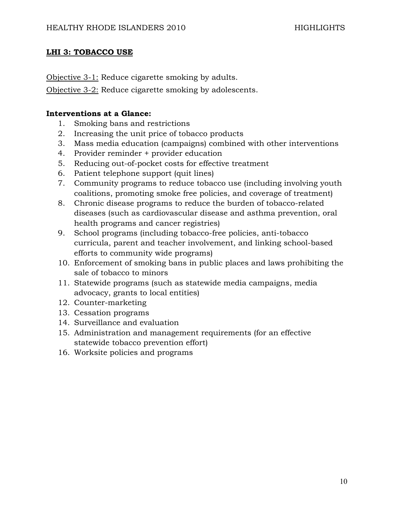# **LHI 3: TOBACCO USE**

Objective 3-1: Reduce cigarette smoking by adults.

Objective 3-2: Reduce cigarette smoking by adolescents.

# **Interventions at a Glance:**

- 1. Smoking bans and restrictions
- 2. Increasing the unit price of tobacco products
- 3. Mass media education (campaigns) combined with other interventions
- 4. Provider reminder + provider education
- 5. Reducing out-of-pocket costs for effective treatment
- 6. Patient telephone support (quit lines)
- 7. Community programs to reduce tobacco use (including involving youth coalitions, promoting smoke free policies, and coverage of treatment)
- 8. Chronic disease programs to reduce the burden of tobacco-related diseases (such as cardiovascular disease and asthma prevention, oral health programs and cancer registries)
- 9. School programs (including tobacco-free policies, anti-tobacco curricula, parent and teacher involvement, and linking school-based efforts to community wide programs)
- 10. Enforcement of smoking bans in public places and laws prohibiting the sale of tobacco to minors
- 11. Statewide programs (such as statewide media campaigns, media advocacy, grants to local entities)
- 12. Counter-marketing
- 13. Cessation programs
- 14. Surveillance and evaluation
- 15. Administration and management requirements (for an effective statewide tobacco prevention effort)
- 16. Worksite policies and programs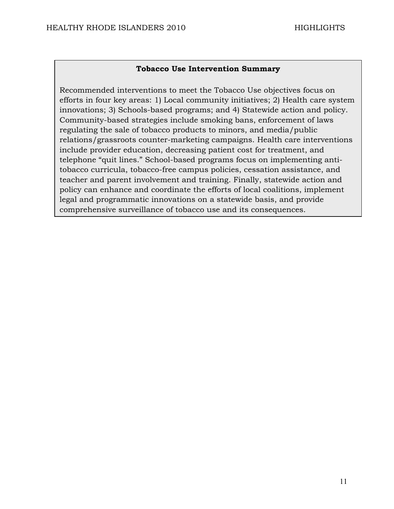#### **Tobacco Use Intervention Summary**

Recommended interventions to meet the Tobacco Use objectives focus on efforts in four key areas: 1) Local community initiatives; 2) Health care system innovations; 3) Schools-based programs; and 4) Statewide action and policy. Community-based strategies include smoking bans, enforcement of laws regulating the sale of tobacco products to minors, and media/public relations/grassroots counter-marketing campaigns. Health care interventions include provider education, decreasing patient cost for treatment, and telephone "quit lines." School-based programs focus on implementing antitobacco curricula, tobacco-free campus policies, cessation assistance, and teacher and parent involvement and training. Finally, statewide action and policy can enhance and coordinate the efforts of local coalitions, implement legal and programmatic innovations on a statewide basis, and provide comprehensive surveillance of tobacco use and its consequences.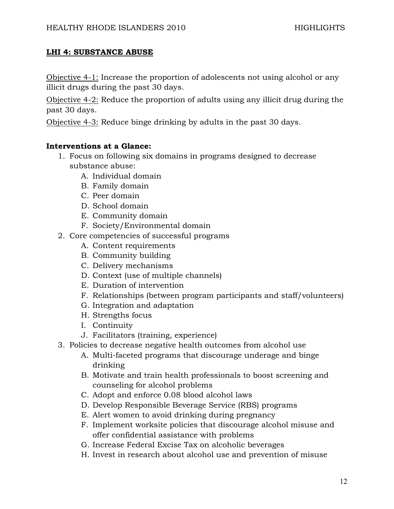# **LHI 4: SUBSTANCE ABUSE**

Objective 4-1: Increase the proportion of adolescents not using alcohol or any illicit drugs during the past 30 days.

Objective 4-2: Reduce the proportion of adults using any illicit drug during the past 30 days.

Objective 4-3: Reduce binge drinking by adults in the past 30 days.

#### **Interventions at a Glance:**

- 1. Focus on following six domains in programs designed to decrease substance abuse:
	- A. Individual domain
	- B. Family domain
	- C. Peer domain
	- D. School domain
	- E. Community domain
	- F. Society/Environmental domain
- 2. Core competencies of successful programs
	- A. Content requirements
	- B. Community building
	- C. Delivery mechanisms
	- D. Context (use of multiple channels)
	- E. Duration of intervention
	- F. Relationships (between program participants and staff/volunteers)
	- G. Integration and adaptation
	- H. Strengths focus
	- I. Continuity
	- J. Facilitators (training, experience)
- 3. Policies to decrease negative health outcomes from alcohol use
	- A. Multi-faceted programs that discourage underage and binge drinking
	- B. Motivate and train health professionals to boost screening and counseling for alcohol problems
	- C. Adopt and enforce 0.08 blood alcohol laws
	- D. Develop Responsible Beverage Service (RBS) programs
	- E. Alert women to avoid drinking during pregnancy
	- F. Implement worksite policies that discourage alcohol misuse and offer confidential assistance with problems
	- G. Increase Federal Excise Tax on alcoholic beverages
	- H. Invest in research about alcohol use and prevention of misuse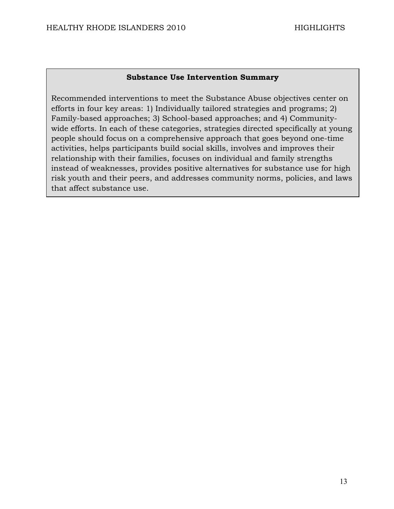#### **Substance Use Intervention Summary**

Recommended interventions to meet the Substance Abuse objectives center on efforts in four key areas: 1) Individually tailored strategies and programs; 2) Family-based approaches; 3) School-based approaches; and 4) Communitywide efforts. In each of these categories, strategies directed specifically at young people should focus on a comprehensive approach that goes beyond one-time activities, helps participants build social skills, involves and improves their relationship with their families, focuses on individual and family strengths instead of weaknesses, provides positive alternatives for substance use for high risk youth and their peers, and addresses community norms, policies, and laws that affect substance use.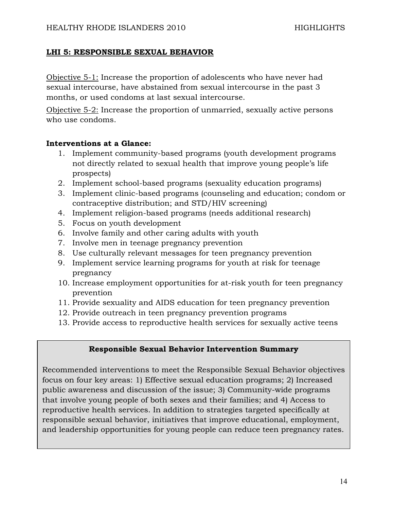#### **LHI 5: RESPONSIBLE SEXUAL BEHAVIOR**

Objective 5-1: Increase the proportion of adolescents who have never had sexual intercourse, have abstained from sexual intercourse in the past 3 months, or used condoms at last sexual intercourse.

Objective 5-2: Increase the proportion of unmarried, sexually active persons who use condoms.

#### **Interventions at a Glance:**

- 1. Implement community-based programs (youth development programs not directly related to sexual health that improve young people's life prospects)
- 2. Implement school-based programs (sexuality education programs)
- 3. Implement clinic-based programs (counseling and education; condom or contraceptive distribution; and STD/HIV screening)
- 4. Implement religion-based programs (needs additional research)
- 5. Focus on youth development
- 6. Involve family and other caring adults with youth
- 7. Involve men in teenage pregnancy prevention
- 8. Use culturally relevant messages for teen pregnancy prevention
- 9. Implement service learning programs for youth at risk for teenage pregnancy
- 10. Increase employment opportunities for at-risk youth for teen pregnancy prevention
- 11. Provide sexuality and AIDS education for teen pregnancy prevention
- 12. Provide outreach in teen pregnancy prevention programs
- 13. Provide access to reproductive health services for sexually active teens

#### **Responsible Sexual Behavior Intervention Summary**

Recommended interventions to meet the Responsible Sexual Behavior objectives focus on four key areas: 1) Effective sexual education programs; 2) Increased public awareness and discussion of the issue; 3) Community-wide programs that involve young people of both sexes and their families; and 4) Access to reproductive health services. In addition to strategies targeted specifically at responsible sexual behavior, initiatives that improve educational, employment, and leadership opportunities for young people can reduce teen pregnancy rates.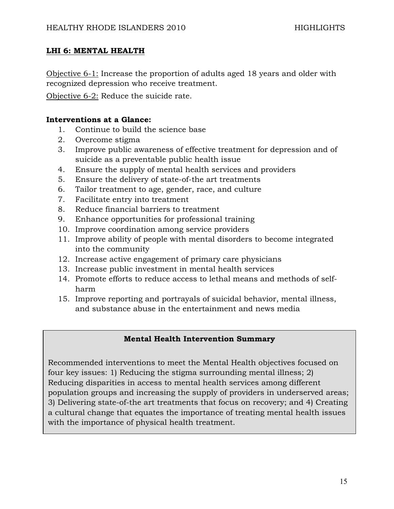#### **LHI 6: MENTAL HEALTH**

Objective 6-1: Increase the proportion of adults aged 18 years and older with recognized depression who receive treatment.

Objective 6-2: Reduce the suicide rate.

#### **Interventions at a Glance:**

- 1. Continue to build the science base
- 2. Overcome stigma
- 3. Improve public awareness of effective treatment for depression and of suicide as a preventable public health issue
- 4. Ensure the supply of mental health services and providers
- 5. Ensure the delivery of state-of-the art treatments
- 6. Tailor treatment to age, gender, race, and culture
- 7. Facilitate entry into treatment
- 8. Reduce financial barriers to treatment
- 9. Enhance opportunities for professional training
- 10. Improve coordination among service providers
- 11. Improve ability of people with mental disorders to become integrated into the community
- 12. Increase active engagement of primary care physicians
- 13. Increase public investment in mental health services
- 14. Promote efforts to reduce access to lethal means and methods of selfharm
- 15. Improve reporting and portrayals of suicidal behavior, mental illness, and substance abuse in the entertainment and news media

# **Mental Health Intervention Summary**

Recommended interventions to meet the Mental Health objectives focused on four key issues: 1) Reducing the stigma surrounding mental illness; 2) Reducing disparities in access to mental health services among different population groups and increasing the supply of providers in underserved areas; 3) Delivering state-of-the art treatments that focus on recovery; and 4) Creating a cultural change that equates the importance of treating mental health issues with the importance of physical health treatment.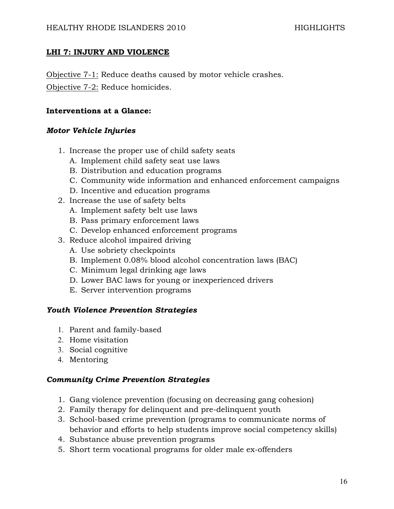# **LHI 7: INJURY AND VIOLENCE**

Objective 7-1: Reduce deaths caused by motor vehicle crashes. Objective 7-2: Reduce homicides.

#### **Interventions at a Glance:**

#### *Motor Vehicle Injuries*

- 1. Increase the proper use of child safety seats
	- A. Implement child safety seat use laws
	- B. Distribution and education programs
	- C. Community wide information and enhanced enforcement campaigns
	- D. Incentive and education programs
- 2. Increase the use of safety belts
	- A. Implement safety belt use laws
	- B. Pass primary enforcement laws
	- C. Develop enhanced enforcement programs
- 3. Reduce alcohol impaired driving
	- A. Use sobriety checkpoints
	- B. Implement 0.08% blood alcohol concentration laws (BAC)
	- C. Minimum legal drinking age laws
	- D. Lower BAC laws for young or inexperienced drivers
	- E. Server intervention programs

#### *Youth Violence Prevention Strategies*

- 1. Parent and family-based
- 2. Home visitation
- 3. Social cognitive
- 4. Mentoring

#### *Community Crime Prevention Strategies*

- 1. Gang violence prevention (focusing on decreasing gang cohesion)
- 2. Family therapy for delinquent and pre-delinquent youth
- 3. School-based crime prevention (programs to communicate norms of behavior and efforts to help students improve social competency skills)
- 4. Substance abuse prevention programs
- 5. Short term vocational programs for older male ex-offenders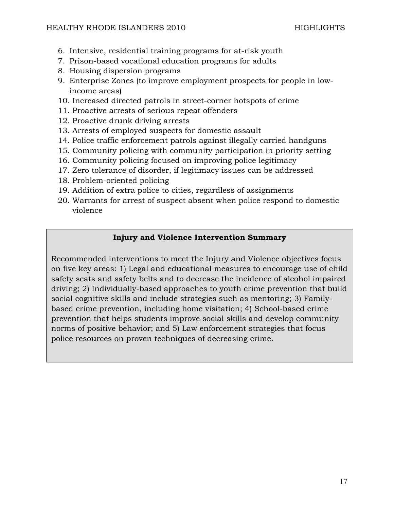- 6. Intensive, residential training programs for at-risk youth
- 7. Prison-based vocational education programs for adults
- 8. Housing dispersion programs
- 9. Enterprise Zones (to improve employment prospects for people in lowincome areas)
- 10. Increased directed patrols in street-corner hotspots of crime
- 11. Proactive arrests of serious repeat offenders
- 12. Proactive drunk driving arrests
- 13. Arrests of employed suspects for domestic assault
- 14. Police traffic enforcement patrols against illegally carried handguns
- 15. Community policing with community participation in priority setting
- 16. Community policing focused on improving police legitimacy
- 17. Zero tolerance of disorder, if legitimacy issues can be addressed
- 18. Problem-oriented policing
- 19. Addition of extra police to cities, regardless of assignments
- 20. Warrants for arrest of suspect absent when police respond to domestic violence

# **Injury and Violence Intervention Summary**

Recommended interventions to meet the Injury and Violence objectives focus on five key areas: 1) Legal and educational measures to encourage use of child safety seats and safety belts and to decrease the incidence of alcohol impaired driving; 2) Individually-based approaches to youth crime prevention that build social cognitive skills and include strategies such as mentoring; 3) Familybased crime prevention, including home visitation; 4) School-based crime prevention that helps students improve social skills and develop community norms of positive behavior; and 5) Law enforcement strategies that focus police resources on proven techniques of decreasing crime.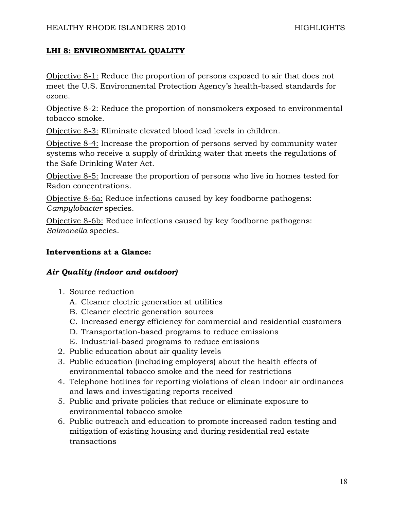# **LHI 8: ENVIRONMENTAL QUALITY**

Objective 8-1: Reduce the proportion of persons exposed to air that does not meet the U.S. Environmental Protection Agency's health-based standards for ozone.

Objective 8-2: Reduce the proportion of nonsmokers exposed to environmental tobacco smoke.

Objective 8-3: Eliminate elevated blood lead levels in children.

Objective 8-4: Increase the proportion of persons served by community water systems who receive a supply of drinking water that meets the regulations of the Safe Drinking Water Act.

Objective 8-5: Increase the proportion of persons who live in homes tested for Radon concentrations.

Objective 8-6a: Reduce infections caused by key foodborne pathogens: *Campylobacter* species.

Objective 8-6b: Reduce infections caused by key foodborne pathogens: *Salmonella* species.

# **Interventions at a Glance:**

# *Air Quality (indoor and outdoor)*

- 1. Source reduction
	- A. Cleaner electric generation at utilities
	- B. Cleaner electric generation sources
	- C. Increased energy efficiency for commercial and residential customers
	- D. Transportation-based programs to reduce emissions
	- E. Industrial-based programs to reduce emissions
- 2. Public education about air quality levels
- 3. Public education (including employers) about the health effects of environmental tobacco smoke and the need for restrictions
- 4. Telephone hotlines for reporting violations of clean indoor air ordinances and laws and investigating reports received
- 5. Public and private policies that reduce or eliminate exposure to environmental tobacco smoke
- 6. Public outreach and education to promote increased radon testing and mitigation of existing housing and during residential real estate transactions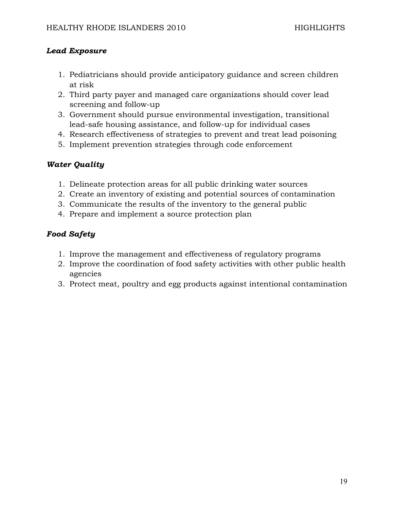# *Lead Exposure*

- 1. Pediatricians should provide anticipatory guidance and screen children at risk
- 2. Third party payer and managed care organizations should cover lead screening and follow-up
- 3. Government should pursue environmental investigation, transitional lead-safe housing assistance, and follow-up for individual cases
- 4. Research effectiveness of strategies to prevent and treat lead poisoning
- 5. Implement prevention strategies through code enforcement

# *Water Quality*

- 1. Delineate protection areas for all public drinking water sources
- 2. Create an inventory of existing and potential sources of contamination
- 3. Communicate the results of the inventory to the general public
- 4. Prepare and implement a source protection plan

# *Food Safety*

- 1. Improve the management and effectiveness of regulatory programs
- 2. Improve the coordination of food safety activities with other public health agencies
- 3. Protect meat, poultry and egg products against intentional contamination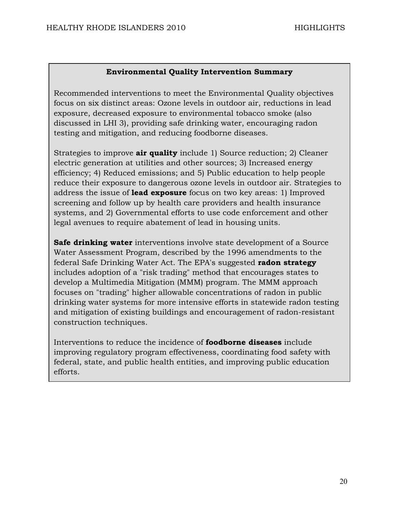#### **Environmental Quality Intervention Summary**

Recommended interventions to meet the Environmental Quality objectives focus on six distinct areas: Ozone levels in outdoor air, reductions in lead exposure, decreased exposure to environmental tobacco smoke (also discussed in LHI 3), providing safe drinking water, encouraging radon testing and mitigation, and reducing foodborne diseases.

Strategies to improve **air quality** include 1) Source reduction; 2) Cleaner electric generation at utilities and other sources; 3) Increased energy efficiency; 4) Reduced emissions; and 5) Public education to help people reduce their exposure to dangerous ozone levels in outdoor air. Strategies to address the issue of **lead exposure** focus on two key areas: 1) Improved screening and follow up by health care providers and health insurance systems, and 2) Governmental efforts to use code enforcement and other legal avenues to require abatement of lead in housing units.

**Safe drinking water** interventions involve state development of a Source Water Assessment Program, described by the 1996 amendments to the federal Safe Drinking Water Act. The EPA's suggested **radon strategy** includes adoption of a "risk trading" method that encourages states to develop a Multimedia Mitigation (MMM) program. The MMM approach focuses on "trading" higher allowable concentrations of radon in public drinking water systems for more intensive efforts in statewide radon testing and mitigation of existing buildings and encouragement of radon-resistant construction techniques.

Interventions to reduce the incidence of **foodborne diseases** include improving regulatory program effectiveness, coordinating food safety with federal, state, and public health entities, and improving public education efforts.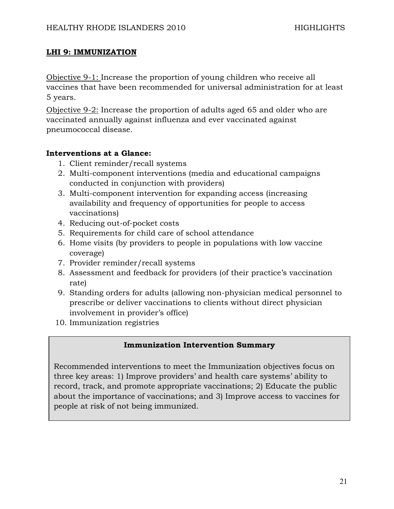#### **LHI 9: IMMUNIZATION**

Objective 9-1: Increase the proportion of young children who receive all vaccines that have been recommended for universal administration for at least 5 years.

Objective 9-2: Increase the proportion of adults aged 65 and older who are vaccinated annually against influenza and ever vaccinated against pneumococcal disease.

# **Interventions at a Glance:**

- 1. Client reminder/recall systems
- 2. Multi-component interventions (media and educational campaigns conducted in conjunction with providers)
- 3. Multi-component intervention for expanding access (increasing availability and frequency of opportunities for people to access vaccinations)
- 4. Reducing out-of-pocket costs
- 5. Requirements for child care of school attendance
- 6. Home visits (by providers to people in populations with low vaccine coverage)
- 7. Provider reminder/recall systems
- 8. Assessment and feedback for providers (of their practice's vaccination rate)
- 9. Standing orders for adults (allowing non-physician medical personnel to prescribe or deliver vaccinations to clients without direct physician involvement in provider's office)
- 10. Immunization registries

# **Immunization Intervention Summary**

Recommended interventions to meet the Immunization objectives focus on three key areas: 1) Improve providers' and health care systems' ability to record, track, and promote appropriate vaccinations; 2) Educate the public about the importance of vaccinations; and 3) Improve access to vaccines for people at risk of not being immunized.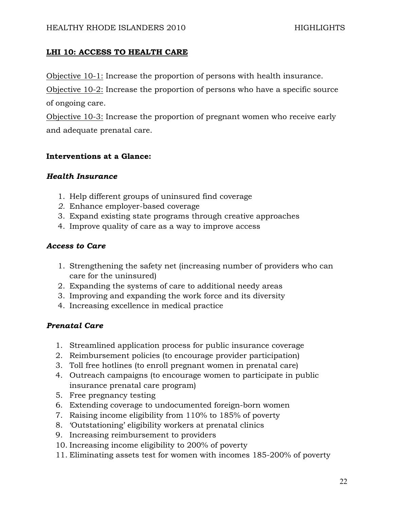# **LHI 10: ACCESS TO HEALTH CARE**

Objective 10-1: Increase the proportion of persons with health insurance.

Objective 10-2: Increase the proportion of persons who have a specific source of ongoing care.

Objective 10-3: Increase the proportion of pregnant women who receive early and adequate prenatal care.

#### **Interventions at a Glance:**

# *Health Insurance*

- 1. Help different groups of uninsured find coverage
- *2.* Enhance employer-based coverage
- 3. Expand existing state programs through creative approaches
- 4. Improve quality of care as a way to improve access

# *Access to Care*

- 1. Strengthening the safety net (increasing number of providers who can care for the uninsured)
- 2. Expanding the systems of care to additional needy areas
- 3. Improving and expanding the work force and its diversity
- 4. Increasing excellence in medical practice

# *Prenatal Care*

- 1. Streamlined application process for public insurance coverage
- 2. Reimbursement policies (to encourage provider participation)
- 3. Toll free hotlines (to enroll pregnant women in prenatal care)
- 4. Outreach campaigns (to encourage women to participate in public insurance prenatal care program)
- 5. Free pregnancy testing
- 6. Extending coverage to undocumented foreign-born women
- 7. Raising income eligibility from 110% to 185% of poverty
- 8. 'Outstationing' eligibility workers at prenatal clinics
- 9. Increasing reimbursement to providers
- 10. Increasing income eligibility to 200% of poverty
- 11. Eliminating assets test for women with incomes 185-200% of poverty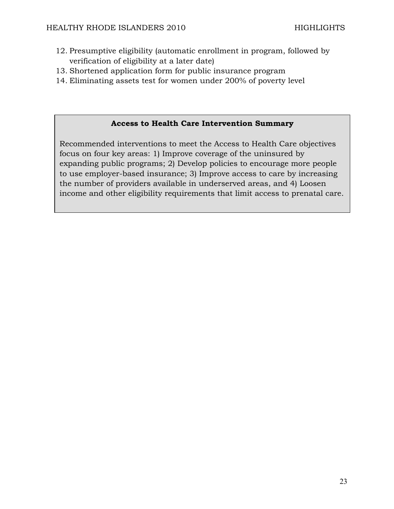- 12. Presumptive eligibility (automatic enrollment in program, followed by verification of eligibility at a later date)
- 13. Shortened application form for public insurance program
- 14. Eliminating assets test for women under 200% of poverty level

#### **Access to Health Care Intervention Summary**

Recommended interventions to meet the Access to Health Care objectives focus on four key areas: 1) Improve coverage of the uninsured by expanding public programs; 2) Develop policies to encourage more people to use employer-based insurance; 3) Improve access to care by increasing the number of providers available in underserved areas, and 4) Loosen income and other eligibility requirements that limit access to prenatal care.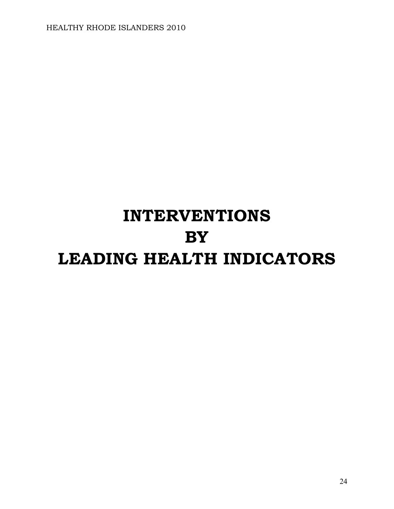# **INTERVENTIONS BY LEADING HEALTH INDICATORS**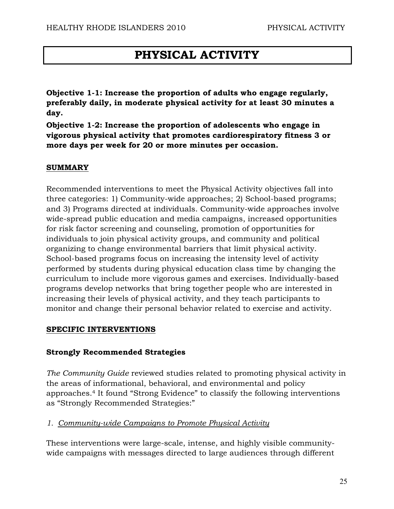# **PHYSICAL ACTIVITY**

**Objective 1-1: Increase the proportion of adults who engage regularly, preferably daily, in moderate physical activity for at least 30 minutes a day.** 

**Objective 1-2: Increase the proportion of adolescents who engage in vigorous physical activity that promotes cardiorespiratory fitness 3 or more days per week for 20 or more minutes per occasion.** 

#### **SUMMARY**

Recommended interventions to meet the Physical Activity objectives fall into three categories: 1) Community-wide approaches; 2) School-based programs; and 3) Programs directed at individuals. Community-wide approaches involve wide-spread public education and media campaigns, increased opportunities for risk factor screening and counseling, promotion of opportunities for individuals to join physical activity groups, and community and political organizing to change environmental barriers that limit physical activity. School-based programs focus on increasing the intensity level of activity performed by students during physical education class time by changing the curriculum to include more vigorous games and exercises. Individually-based programs develop networks that bring together people who are interested in increasing their levels of physical activity, and they teach participants to monitor and change their personal behavior related to exercise and activity.

#### **SPECIFIC INTERVENTIONS**

#### **Strongly Recommended Strategies**

*The Community Guide* reviewed studies related to promoting physical activity in the areas of informational, behavioral, and environmental and policy approaches.4 It found "Strong Evidence" to classify the following interventions as "Strongly Recommended Strategies:"

#### *1. Community-wide Campaigns to Promote Physical Activity*

These interventions were large-scale, intense, and highly visible communitywide campaigns with messages directed to large audiences through different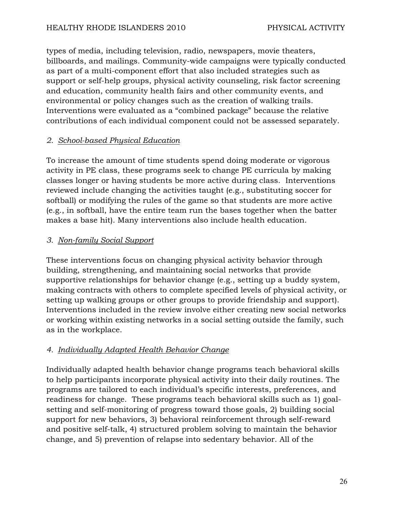types of media, including television, radio, newspapers, movie theaters, billboards, and mailings. Community-wide campaigns were typically conducted as part of a multi-component effort that also included strategies such as support or self-help groups, physical activity counseling, risk factor screening and education, community health fairs and other community events, and environmental or policy changes such as the creation of walking trails. Interventions were evaluated as a "combined package" because the relative contributions of each individual component could not be assessed separately.

# *2. School-based Physical Education*

To increase the amount of time students spend doing moderate or vigorous activity in PE class, these programs seek to change PE curricula by making classes longer or having students be more active during class. Interventions reviewed include changing the activities taught (e.g., substituting soccer for softball) or modifying the rules of the game so that students are more active (e.g., in softball, have the entire team run the bases together when the batter makes a base hit). Many interventions also include health education.

# *3. Non-family Social Support*

These interventions focus on changing physical activity behavior through building, strengthening, and maintaining social networks that provide supportive relationships for behavior change (e.g., setting up a buddy system, making contracts with others to complete specified levels of physical activity, or setting up walking groups or other groups to provide friendship and support). Interventions included in the review involve either creating new social networks or working within existing networks in a social setting outside the family, such as in the workplace.

# *4. Individually Adapted Health Behavior Change*

Individually adapted health behavior change programs teach behavioral skills to help participants incorporate physical activity into their daily routines. The programs are tailored to each individual's specific interests, preferences, and readiness for change. These programs teach behavioral skills such as 1) goalsetting and self-monitoring of progress toward those goals, 2) building social support for new behaviors, 3) behavioral reinforcement through self-reward and positive self-talk, 4) structured problem solving to maintain the behavior change, and 5) prevention of relapse into sedentary behavior. All of the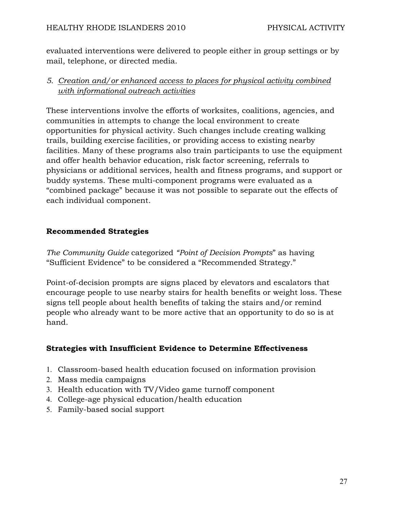evaluated interventions were delivered to people either in group settings or by mail, telephone, or directed media.

# *5. Creation and/or enhanced access to places for physical activity combined with informational outreach activities*

These interventions involve the efforts of worksites, coalitions, agencies, and communities in attempts to change the local environment to create opportunities for physical activity. Such changes include creating walking trails, building exercise facilities, or providing access to existing nearby facilities. Many of these programs also train participants to use the equipment and offer health behavior education, risk factor screening, referrals to physicians or additional services, health and fitness programs, and support or buddy systems. These multi-component programs were evaluated as a "combined package" because it was not possible to separate out the effects of each individual component.

# **Recommended Strategies**

*The Community Guide* categorized *"Point of Decision Prompts*" as having "Sufficient Evidence" to be considered a "Recommended Strategy."

Point-of-decision prompts are signs placed by elevators and escalators that encourage people to use nearby stairs for health benefits or weight loss. These signs tell people about health benefits of taking the stairs and/or remind people who already want to be more active that an opportunity to do so is at hand.

# **Strategies with Insufficient Evidence to Determine Effectiveness**

- 1. Classroom-based health education focused on information provision
- 2. Mass media campaigns
- 3. Health education with TV/Video game turnoff component
- 4. College-age physical education/health education
- 5. Family-based social support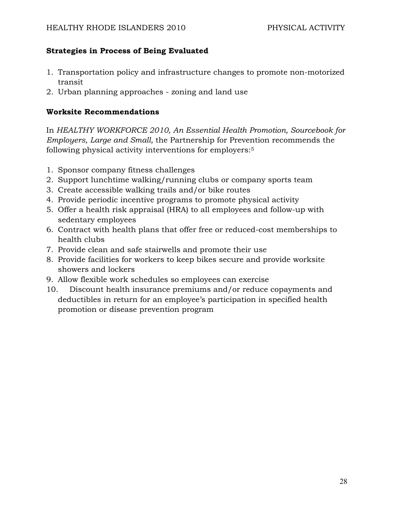# **Strategies in Process of Being Evaluated**

- 1. Transportation policy and infrastructure changes to promote non-motorized transit
- 2. Urban planning approaches zoning and land use

#### **Worksite Recommendations**

In *HEALTHY WORKFORCE 2010, An Essential Health Promotion, Sourcebook for Employers, Large and Small,* the Partnership for Prevention recommends the following physical activity interventions for employers:5

- 1. Sponsor company fitness challenges
- 2. Support lunchtime walking/running clubs or company sports team
- 3. Create accessible walking trails and/or bike routes
- 4. Provide periodic incentive programs to promote physical activity
- 5. Offer a health risk appraisal (HRA) to all employees and follow-up with sedentary employees
- 6. Contract with health plans that offer free or reduced-cost memberships to health clubs
- 7. Provide clean and safe stairwells and promote their use
- 8. Provide facilities for workers to keep bikes secure and provide worksite showers and lockers
- 9. Allow flexible work schedules so employees can exercise
- 10. Discount health insurance premiums and/or reduce copayments and deductibles in return for an employee's participation in specified health promotion or disease prevention program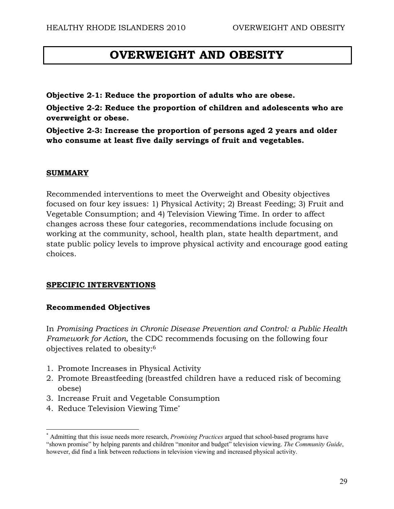# **OVERWEIGHT AND OBESITY**

**Objective 2-1: Reduce the proportion of adults who are obese.** 

**Objective 2-2: Reduce the proportion of children and adolescents who are overweight or obese.** 

**Objective 2-3: Increase the proportion of persons aged 2 years and older who consume at least five daily servings of fruit and vegetables.** 

#### **SUMMARY**

Recommended interventions to meet the Overweight and Obesity objectives focused on four key issues: 1) Physical Activity; 2) Breast Feeding; 3) Fruit and Vegetable Consumption; and 4) Television Viewing Time. In order to affect changes across these four categories, recommendations include focusing on working at the community, school, health plan, state health department, and state public policy levels to improve physical activity and encourage good eating choices.

#### **SPECIFIC INTERVENTIONS**

#### **Recommended Objectives**

In *Promising Practices in Chronic Disease Prevention and Control: a Public Health Framework for Action,* the CDC recommends focusing on the following four objectives related to obesity:6

- 1. Promote Increases in Physical Activity
- 2. Promote Breastfeeding (breastfed children have a reduced risk of becoming obese)
- 3. Increase Fruit and Vegetable Consumption
- 4. Reduce Television Viewing Time\*

 $\overline{a}$ 

<sup>\*</sup> Admitting that this issue needs more research, *Promising Practices* argued that school-based programs have "shown promise" by helping parents and children "monitor and budget" television viewing. *The Community Guide*, however, did find a link between reductions in television viewing and increased physical activity.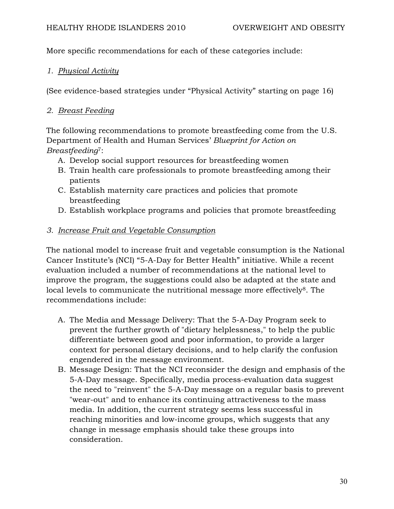More specific recommendations for each of these categories include:

# *1. Physical Activity*

(See evidence-based strategies under "Physical Activity" starting on page 16)

# *2. Breast Feeding*

The following recommendations to promote breastfeeding come from the U.S. Department of Health and Human Services' *Blueprint for Action on Breastfeeding*7:

- A. Develop social support resources for breastfeeding women
- B. Train health care professionals to promote breastfeeding among their patients
- C. Establish maternity care practices and policies that promote breastfeeding
- D. Establish workplace programs and policies that promote breastfeeding

# *3. Increase Fruit and Vegetable Consumption*

The national model to increase fruit and vegetable consumption is the National Cancer Institute's (NCI) "5-A-Day for Better Health" initiative. While a recent evaluation included a number of recommendations at the national level to improve the program, the suggestions could also be adapted at the state and local levels to communicate the nutritional message more effectively<sup>8</sup>. The recommendations include:

- A. The Media and Message Delivery: That the 5-A-Day Program seek to prevent the further growth of "dietary helplessness," to help the public differentiate between good and poor information, to provide a larger context for personal dietary decisions, and to help clarify the confusion engendered in the message environment.
- B. Message Design: That the NCI reconsider the design and emphasis of the 5-A-Day message. Specifically, media process-evaluation data suggest the need to "reinvent" the 5-A-Day message on a regular basis to prevent "wear-out" and to enhance its continuing attractiveness to the mass media. In addition, the current strategy seems less successful in reaching minorities and low-income groups, which suggests that any change in message emphasis should take these groups into consideration.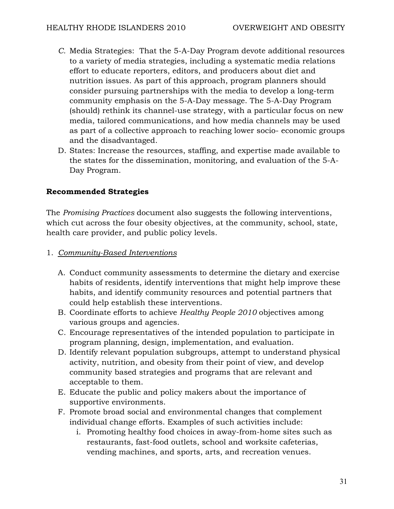- *C.* Media Strategies: That the 5-A-Day Program devote additional resources to a variety of media strategies, including a systematic media relations effort to educate reporters, editors, and producers about diet and nutrition issues. As part of this approach, program planners should consider pursuing partnerships with the media to develop a long-term community emphasis on the 5-A-Day message. The 5-A-Day Program (should) rethink its channel-use strategy, with a particular focus on new media, tailored communications, and how media channels may be used as part of a collective approach to reaching lower socio- economic groups and the disadvantaged.
- D. States: Increase the resources, staffing, and expertise made available to the states for the dissemination, monitoring, and evaluation of the 5-A-Day Program.

# **Recommended Strategies**

The *Promising Practices* document also suggests the following interventions, which cut across the four obesity objectives, at the community, school, state, health care provider, and public policy levels.

1. *Community-Based Interventions*

- A. Conduct community assessments to determine the dietary and exercise habits of residents, identify interventions that might help improve these habits, and identify community resources and potential partners that could help establish these interventions.
- B. Coordinate efforts to achieve *Healthy People 2010* objectives among various groups and agencies.
- C. Encourage representatives of the intended population to participate in program planning, design, implementation, and evaluation.
- D. Identify relevant population subgroups, attempt to understand physical activity, nutrition, and obesity from their point of view, and develop community based strategies and programs that are relevant and acceptable to them.
- E. Educate the public and policy makers about the importance of supportive environments.
- F. Promote broad social and environmental changes that complement individual change efforts. Examples of such activities include:
	- i. Promoting healthy food choices in away-from-home sites such as restaurants, fast-food outlets, school and worksite cafeterias, vending machines, and sports, arts, and recreation venues.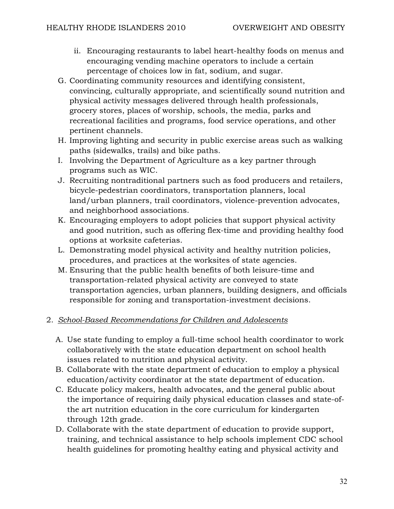- ii. Encouraging restaurants to label heart-healthy foods on menus and encouraging vending machine operators to include a certain percentage of choices low in fat, sodium, and sugar.
- G. Coordinating community resources and identifying consistent, convincing, culturally appropriate, and scientifically sound nutrition and physical activity messages delivered through health professionals, grocery stores, places of worship, schools, the media, parks and recreational facilities and programs, food service operations, and other pertinent channels.
- H. Improving lighting and security in public exercise areas such as walking paths (sidewalks, trails) and bike paths.
- I. Involving the Department of Agriculture as a key partner through programs such as WIC.
- J. Recruiting nontraditional partners such as food producers and retailers, bicycle-pedestrian coordinators, transportation planners, local land/urban planners, trail coordinators, violence-prevention advocates, and neighborhood associations.
- K. Encouraging employers to adopt policies that support physical activity and good nutrition, such as offering flex-time and providing healthy food options at worksite cafeterias.
- L. Demonstrating model physical activity and healthy nutrition policies, procedures, and practices at the worksites of state agencies.
- M. Ensuring that the public health benefits of both leisure-time and transportation-related physical activity are conveyed to state transportation agencies, urban planners, building designers, and officials responsible for zoning and transportation-investment decisions.

# 2. *School-Based Recommendations for Children and Adolescents*

- A. Use state funding to employ a full-time school health coordinator to work collaboratively with the state education department on school health issues related to nutrition and physical activity.
- B. Collaborate with the state department of education to employ a physical education/activity coordinator at the state department of education.
- C. Educate policy makers, health advocates, and the general public about the importance of requiring daily physical education classes and state-ofthe art nutrition education in the core curriculum for kindergarten through 12th grade.
- D. Collaborate with the state department of education to provide support, training, and technical assistance to help schools implement CDC school health guidelines for promoting healthy eating and physical activity and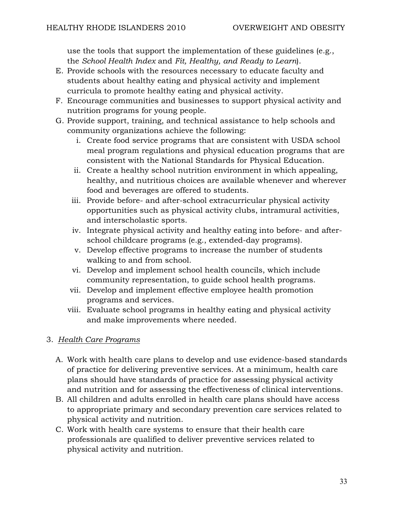use the tools that support the implementation of these guidelines (e.g., the *School Health Index* and *Fit, Healthy, and Ready to Learn*).

- E. Provide schools with the resources necessary to educate faculty and students about healthy eating and physical activity and implement curricula to promote healthy eating and physical activity.
- F. Encourage communities and businesses to support physical activity and nutrition programs for young people.
- G. Provide support, training, and technical assistance to help schools and community organizations achieve the following:
	- i. Create food service programs that are consistent with USDA school meal program regulations and physical education programs that are consistent with the National Standards for Physical Education.
	- ii. Create a healthy school nutrition environment in which appealing, healthy, and nutritious choices are available whenever and wherever food and beverages are offered to students.
	- iii. Provide before- and after-school extracurricular physical activity opportunities such as physical activity clubs, intramural activities, and interscholastic sports.
	- iv. Integrate physical activity and healthy eating into before- and afterschool childcare programs (e.g., extended-day programs).
	- v. Develop effective programs to increase the number of students walking to and from school.
	- vi. Develop and implement school health councils, which include community representation, to guide school health programs.
	- vii. Develop and implement effective employee health promotion programs and services.
	- viii. Evaluate school programs in healthy eating and physical activity and make improvements where needed.

# 3. *Health Care Programs*

- A. Work with health care plans to develop and use evidence-based standards of practice for delivering preventive services. At a minimum, health care plans should have standards of practice for assessing physical activity and nutrition and for assessing the effectiveness of clinical interventions.
- B. All children and adults enrolled in health care plans should have access to appropriate primary and secondary prevention care services related to physical activity and nutrition.
- C. Work with health care systems to ensure that their health care professionals are qualified to deliver preventive services related to physical activity and nutrition.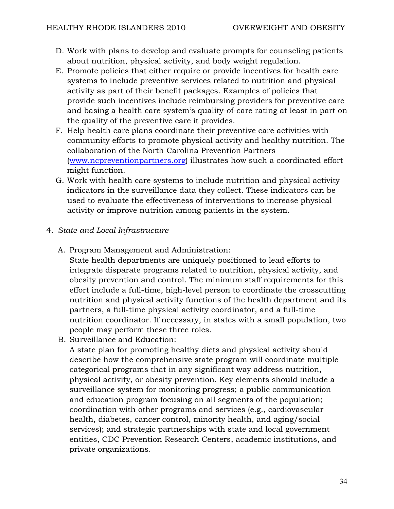- D. Work with plans to develop and evaluate prompts for counseling patients about nutrition, physical activity, and body weight regulation.
- E. Promote policies that either require or provide incentives for health care systems to include preventive services related to nutrition and physical activity as part of their benefit packages. Examples of policies that provide such incentives include reimbursing providers for preventive care and basing a health care system's quality-of-care rating at least in part on the quality of the preventive care it provides.
- F. Help health care plans coordinate their preventive care activities with community efforts to promote physical activity and healthy nutrition. The collaboration of the North Carolina Prevention Partners (www.ncpreventionpartners.org) illustrates how such a coordinated effort might function.
- G. Work with health care systems to include nutrition and physical activity indicators in the surveillance data they collect. These indicators can be used to evaluate the effectiveness of interventions to increase physical activity or improve nutrition among patients in the system.

# 4. *State and Local Infrastructure*

A. Program Management and Administration:

State health departments are uniquely positioned to lead efforts to integrate disparate programs related to nutrition, physical activity, and obesity prevention and control. The minimum staff requirements for this effort include a full-time, high-level person to coordinate the crosscutting nutrition and physical activity functions of the health department and its partners, a full-time physical activity coordinator, and a full-time nutrition coordinator. If necessary, in states with a small population, two people may perform these three roles.

B. Surveillance and Education:

A state plan for promoting healthy diets and physical activity should describe how the comprehensive state program will coordinate multiple categorical programs that in any significant way address nutrition, physical activity, or obesity prevention. Key elements should include a surveillance system for monitoring progress; a public communication and education program focusing on all segments of the population; coordination with other programs and services (e.g., cardiovascular health, diabetes, cancer control, minority health, and aging/social services); and strategic partnerships with state and local government entities, CDC Prevention Research Centers, academic institutions, and private organizations.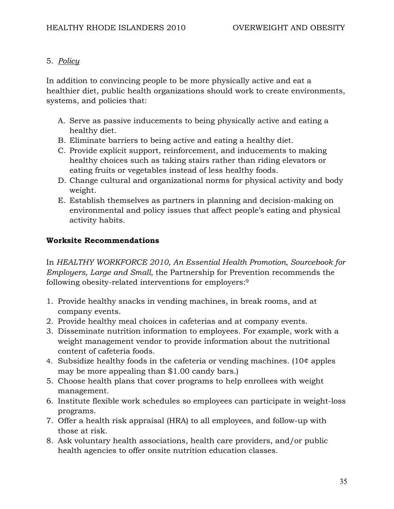# 5. *Policy*

In addition to convincing people to be more physically active and eat a healthier diet, public health organizations should work to create environments, systems, and policies that:

- A. Serve as passive inducements to being physically active and eating a healthy diet.
- B. Eliminate barriers to being active and eating a healthy diet.
- C. Provide explicit support, reinforcement, and inducements to making healthy choices such as taking stairs rather than riding elevators or eating fruits or vegetables instead of less healthy foods.
- D. Change cultural and organizational norms for physical activity and body weight.
- E. Establish themselves as partners in planning and decision-making on environmental and policy issues that affect people's eating and physical activity habits.

# **Worksite Recommendations**

In *HEALTHY WORKFORCE 2010, An Essential Health Promotion, Sourcebook for Employers, Large and Small,* the Partnership for Prevention recommends the following obesity-related interventions for employers:9

- 1. Provide healthy snacks in vending machines, in break rooms, and at company events.
- 2. Provide healthy meal choices in cafeterias and at company events.
- 3. Disseminate nutrition information to employees. For example, work with a weight management vendor to provide information about the nutritional content of cafeteria foods.
- 4. Subsidize healthy foods in the cafeteria or vending machines. (10¢ apples may be more appealing than \$1.00 candy bars.)
- 5. Choose health plans that cover programs to help enrollees with weight management.
- 6. Institute flexible work schedules so employees can participate in weight-loss programs.
- 7. Offer a health risk appraisal (HRA) to all employees, and follow-up with those at risk.
- 8. Ask voluntary health associations, health care providers, and/or public health agencies to offer onsite nutrition education classes.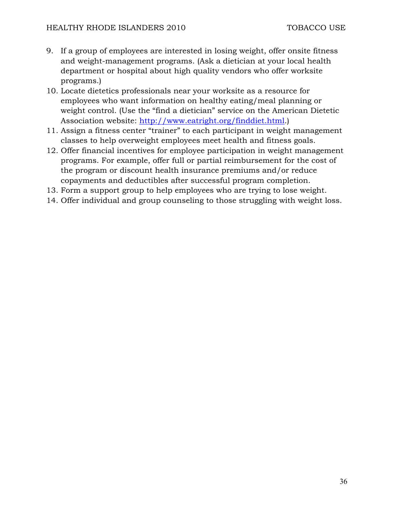- 9. If a group of employees are interested in losing weight, offer onsite fitness and weight-management programs. (Ask a dietician at your local health department or hospital about high quality vendors who offer worksite programs.)
- 10. Locate dietetics professionals near your worksite as a resource for employees who want information on healthy eating/meal planning or weight control. (Use the "find a dietician" service on the American Dietetic Association website: http://www.eatright.org/finddiet.html.)
- 11. Assign a fitness center "trainer" to each participant in weight management classes to help overweight employees meet health and fitness goals.
- 12. Offer financial incentives for employee participation in weight management programs. For example, offer full or partial reimbursement for the cost of the program or discount health insurance premiums and/or reduce copayments and deductibles after successful program completion.
- 13. Form a support group to help employees who are trying to lose weight.
- 14. Offer individual and group counseling to those struggling with weight loss.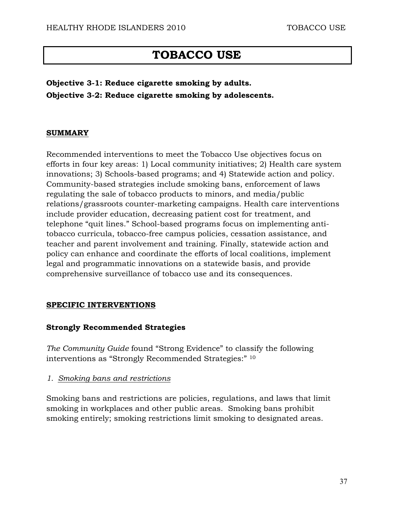# **TOBACCO USE**

**Objective 3-1: Reduce cigarette smoking by adults. Objective 3-2: Reduce cigarette smoking by adolescents.** 

## **SUMMARY**

Recommended interventions to meet the Tobacco Use objectives focus on efforts in four key areas: 1) Local community initiatives; 2) Health care system innovations; 3) Schools-based programs; and 4) Statewide action and policy. Community-based strategies include smoking bans, enforcement of laws regulating the sale of tobacco products to minors, and media/public relations/grassroots counter-marketing campaigns. Health care interventions include provider education, decreasing patient cost for treatment, and telephone "quit lines." School-based programs focus on implementing antitobacco curricula, tobacco-free campus policies, cessation assistance, and teacher and parent involvement and training. Finally, statewide action and policy can enhance and coordinate the efforts of local coalitions, implement legal and programmatic innovations on a statewide basis, and provide comprehensive surveillance of tobacco use and its consequences.

## **SPECIFIC INTERVENTIONS**

## **Strongly Recommended Strategies**

*The Community Guide* found "Strong Evidence" to classify the following interventions as "Strongly Recommended Strategies:" 10

*1. Smoking bans and restrictions*

Smoking bans and restrictions are policies, regulations, and laws that limit smoking in workplaces and other public areas. Smoking bans prohibit smoking entirely; smoking restrictions limit smoking to designated areas.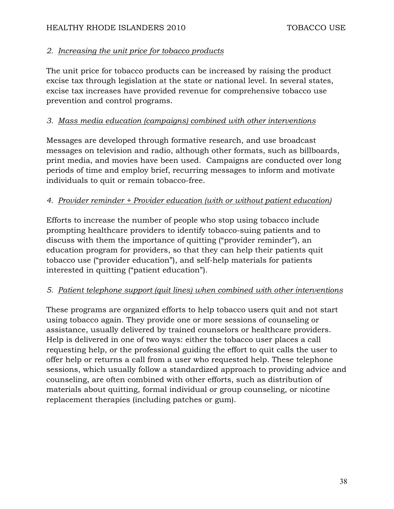# *2. Increasing the unit price for tobacco products*

The unit price for tobacco products can be increased by raising the product excise tax through legislation at the state or national level. In several states, excise tax increases have provided revenue for comprehensive tobacco use prevention and control programs.

# *3. Mass media education (campaigns) combined with other interventions*

Messages are developed through formative research, and use broadcast messages on television and radio, although other formats, such as billboards, print media, and movies have been used. Campaigns are conducted over long periods of time and employ brief, recurring messages to inform and motivate individuals to quit or remain tobacco-free.

# *4. Provider reminder + Provider education (with or without patient education)*

Efforts to increase the number of people who stop using tobacco include prompting healthcare providers to identify tobacco-suing patients and to discuss with them the importance of quitting ("provider reminder"), an education program for providers, so that they can help their patients quit tobacco use ("provider education"), and self-help materials for patients interested in quitting ("patient education").

# *5. Patient telephone support (quit lines) when combined with other interventions*

These programs are organized efforts to help tobacco users quit and not start using tobacco again. They provide one or more sessions of counseling or assistance, usually delivered by trained counselors or healthcare providers. Help is delivered in one of two ways: either the tobacco user places a call requesting help, or the professional guiding the effort to quit calls the user to offer help or returns a call from a user who requested help. These telephone sessions, which usually follow a standardized approach to providing advice and counseling, are often combined with other efforts, such as distribution of materials about quitting, formal individual or group counseling, or nicotine replacement therapies (including patches or gum).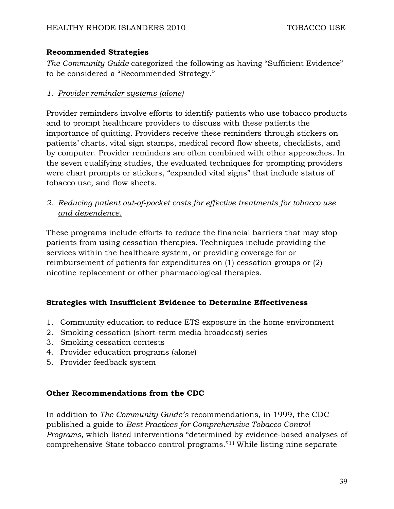## **Recommended Strategies**

*The Community Guide* categorized the following as having "Sufficient Evidence" to be considered a "Recommended Strategy."

## *1. Provider reminder systems (alone)*

Provider reminders involve efforts to identify patients who use tobacco products and to prompt healthcare providers to discuss with these patients the importance of quitting. Providers receive these reminders through stickers on patients' charts, vital sign stamps, medical record flow sheets, checklists, and by computer. Provider reminders are often combined with other approaches. In the seven qualifying studies, the evaluated techniques for prompting providers were chart prompts or stickers, "expanded vital signs" that include status of tobacco use, and flow sheets.

*2. Reducing patient out-of-pocket costs for effective treatments for tobacco use and dependence.*

These programs include efforts to reduce the financial barriers that may stop patients from using cessation therapies. Techniques include providing the services within the healthcare system, or providing coverage for or reimbursement of patients for expenditures on (1) cessation groups or (2) nicotine replacement or other pharmacological therapies.

# **Strategies with Insufficient Evidence to Determine Effectiveness**

- 1. Community education to reduce ETS exposure in the home environment
- 2. Smoking cessation (short-term media broadcast) series
- 3. Smoking cessation contests
- 4. Provider education programs (alone)
- 5. Provider feedback system

## **Other Recommendations from the CDC**

In addition to *The Community Guide's* recommendations, in 1999, the CDC published a guide to *Best Practices for Comprehensive Tobacco Control Programs,* which listed interventions "determined by evidence-based analyses of comprehensive State tobacco control programs."11 While listing nine separate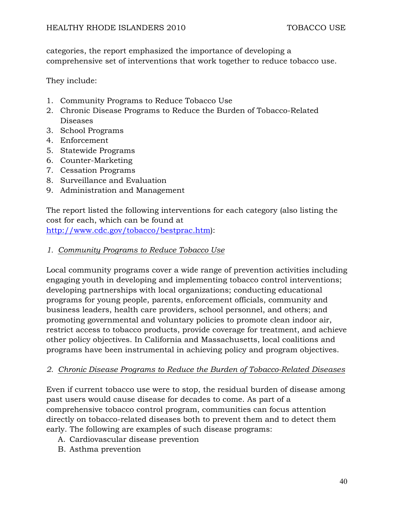categories, the report emphasized the importance of developing a comprehensive set of interventions that work together to reduce tobacco use.

They include:

- 1. Community Programs to Reduce Tobacco Use
- 2. Chronic Disease Programs to Reduce the Burden of Tobacco-Related Diseases
- 3. School Programs
- 4. Enforcement
- 5. Statewide Programs
- 6. Counter-Marketing
- 7. Cessation Programs
- 8. Surveillance and Evaluation
- 9. Administration and Management

The report listed the following interventions for each category (also listing the cost for each, which can be found at http://www.cdc.gov/tobacco/bestprac.htm):

*1. Community Programs to Reduce Tobacco Use* 

Local community programs cover a wide range of prevention activities including engaging youth in developing and implementing tobacco control interventions; developing partnerships with local organizations; conducting educational programs for young people, parents, enforcement officials, community and business leaders, health care providers, school personnel, and others; and promoting governmental and voluntary policies to promote clean indoor air, restrict access to tobacco products, provide coverage for treatment, and achieve other policy objectives. In California and Massachusetts, local coalitions and programs have been instrumental in achieving policy and program objectives.

# *2. Chronic Disease Programs to Reduce the Burden of Tobacco-Related Diseases*

Even if current tobacco use were to stop, the residual burden of disease among past users would cause disease for decades to come. As part of a comprehensive tobacco control program, communities can focus attention directly on tobacco-related diseases both to prevent them and to detect them early. The following are examples of such disease programs:

- A. Cardiovascular disease prevention
- B. Asthma prevention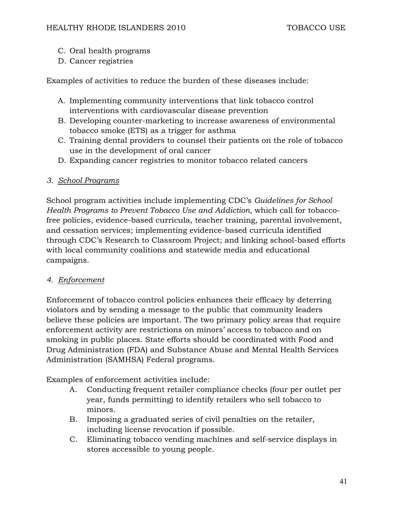- C. Oral health programs
- D. Cancer registries

Examples of activities to reduce the burden of these diseases include:

- A. Implementing community interventions that link tobacco control interventions with cardiovascular disease prevention
- B. Developing counter-marketing to increase awareness of environmental tobacco smoke (ETS) as a trigger for asthma
- C. Training dental providers to counsel their patients on the role of tobacco use in the development of oral cancer
- D. Expanding cancer registries to monitor tobacco related cancers

## *3. School Programs*

School program activities include implementing CDC's *Guidelines for School Health Programs to Prevent Tobacco Use and Addiction*, which call for tobaccofree policies, evidence-based curricula, teacher training, parental involvement, and cessation services; implementing evidence-based curricula identified through CDC's Research to Classroom Project; and linking school-based efforts with local community coalitions and statewide media and educational campaigns.

## *4. Enforcement*

Enforcement of tobacco control policies enhances their efficacy by deterring violators and by sending a message to the public that community leaders believe these policies are important. The two primary policy areas that require enforcement activity are restrictions on minors' access to tobacco and on smoking in public places. State efforts should be coordinated with Food and Drug Administration (FDA) and Substance Abuse and Mental Health Services Administration (SAMHSA) Federal programs.

Examples of enforcement activities include:

- A. Conducting frequent retailer compliance checks (four per outlet per year, funds permitting) to identify retailers who sell tobacco to minors.
- B. Imposing a graduated series of civil penalties on the retailer, including license revocation if possible.
- C. Eliminating tobacco vending machines and self-service displays in stores accessible to young people.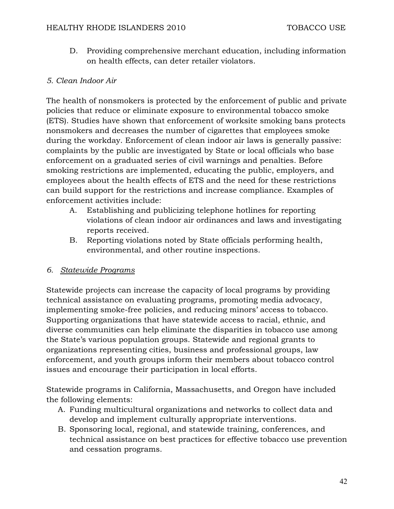D. Providing comprehensive merchant education, including information on health effects, can deter retailer violators.

# *5. Clean Indoor Air*

The health of nonsmokers is protected by the enforcement of public and private policies that reduce or eliminate exposure to environmental tobacco smoke (ETS). Studies have shown that enforcement of worksite smoking bans protects nonsmokers and decreases the number of cigarettes that employees smoke during the workday. Enforcement of clean indoor air laws is generally passive: complaints by the public are investigated by State or local officials who base enforcement on a graduated series of civil warnings and penalties. Before smoking restrictions are implemented, educating the public, employers, and employees about the health effects of ETS and the need for these restrictions can build support for the restrictions and increase compliance. Examples of enforcement activities include:

- A. Establishing and publicizing telephone hotlines for reporting violations of clean indoor air ordinances and laws and investigating reports received.
- B. Reporting violations noted by State officials performing health, environmental, and other routine inspections.

## *6. Statewide Programs*

Statewide projects can increase the capacity of local programs by providing technical assistance on evaluating programs, promoting media advocacy, implementing smoke-free policies, and reducing minors' access to tobacco. Supporting organizations that have statewide access to racial, ethnic, and diverse communities can help eliminate the disparities in tobacco use among the State's various population groups. Statewide and regional grants to organizations representing cities, business and professional groups, law enforcement, and youth groups inform their members about tobacco control issues and encourage their participation in local efforts.

Statewide programs in California, Massachusetts, and Oregon have included the following elements:

- A. Funding multicultural organizations and networks to collect data and develop and implement culturally appropriate interventions.
- B. Sponsoring local, regional, and statewide training, conferences, and technical assistance on best practices for effective tobacco use prevention and cessation programs.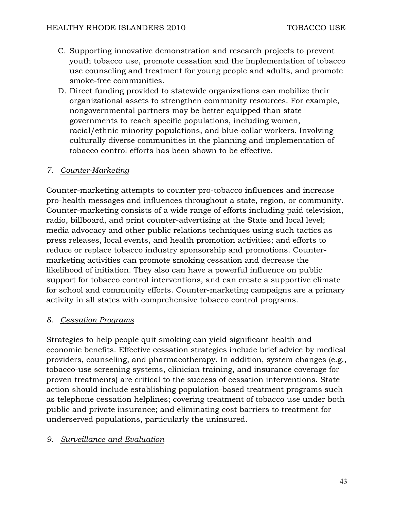- C. Supporting innovative demonstration and research projects to prevent youth tobacco use, promote cessation and the implementation of tobacco use counseling and treatment for young people and adults, and promote smoke-free communities.
- D. Direct funding provided to statewide organizations can mobilize their organizational assets to strengthen community resources. For example, nongovernmental partners may be better equipped than state governments to reach specific populations, including women, racial/ethnic minority populations, and blue-collar workers. Involving culturally diverse communities in the planning and implementation of tobacco control efforts has been shown to be effective.

## *7. Counter-Marketing*

Counter-marketing attempts to counter pro-tobacco influences and increase pro-health messages and influences throughout a state, region, or community. Counter-marketing consists of a wide range of efforts including paid television, radio, billboard, and print counter-advertising at the State and local level; media advocacy and other public relations techniques using such tactics as press releases, local events, and health promotion activities; and efforts to reduce or replace tobacco industry sponsorship and promotions. Countermarketing activities can promote smoking cessation and decrease the likelihood of initiation. They also can have a powerful influence on public support for tobacco control interventions, and can create a supportive climate for school and community efforts. Counter-marketing campaigns are a primary activity in all states with comprehensive tobacco control programs.

## *8. Cessation Programs*

Strategies to help people quit smoking can yield significant health and economic benefits. Effective cessation strategies include brief advice by medical providers, counseling, and pharmacotherapy. In addition, system changes (e.g., tobacco-use screening systems, clinician training, and insurance coverage for proven treatments) are critical to the success of cessation interventions. State action should include establishing population-based treatment programs such as telephone cessation helplines; covering treatment of tobacco use under both public and private insurance; and eliminating cost barriers to treatment for underserved populations, particularly the uninsured.

## *9. Surveillance and Evaluation*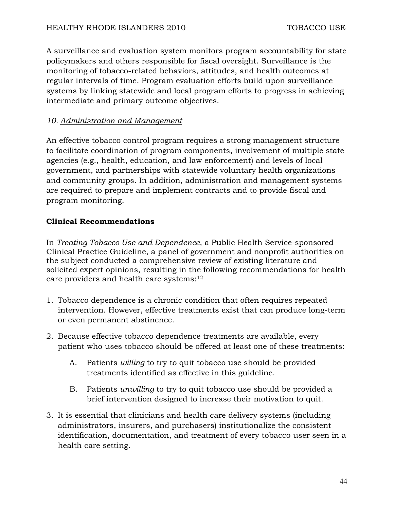A surveillance and evaluation system monitors program accountability for state policymakers and others responsible for fiscal oversight. Surveillance is the monitoring of tobacco-related behaviors, attitudes, and health outcomes at regular intervals of time. Program evaluation efforts build upon surveillance systems by linking statewide and local program efforts to progress in achieving intermediate and primary outcome objectives.

## *10. Administration and Management*

An effective tobacco control program requires a strong management structure to facilitate coordination of program components, involvement of multiple state agencies (e.g., health, education, and law enforcement) and levels of local government, and partnerships with statewide voluntary health organizations and community groups. In addition, administration and management systems are required to prepare and implement contracts and to provide fiscal and program monitoring.

## **Clinical Recommendations**

In *Treating Tobacco Use and Dependence,* a Public Health Service-sponsored Clinical Practice Guideline, a panel of government and nonprofit authorities on the subject conducted a comprehensive review of existing literature and solicited expert opinions, resulting in the following recommendations for health care providers and health care systems:<sup>12</sup>

- 1. Tobacco dependence is a chronic condition that often requires repeated intervention. However, effective treatments exist that can produce long-term or even permanent abstinence.
- 2. Because effective tobacco dependence treatments are available, every patient who uses tobacco should be offered at least one of these treatments:
	- A. Patients *willing* to try to quit tobacco use should be provided treatments identified as effective in this guideline.
	- B. Patients *unwilling* to try to quit tobacco use should be provided a brief intervention designed to increase their motivation to quit.
- 3. It is essential that clinicians and health care delivery systems (including administrators, insurers, and purchasers) institutionalize the consistent identification, documentation, and treatment of every tobacco user seen in a health care setting.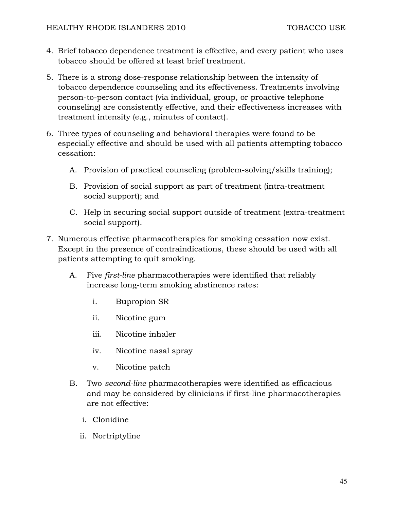- 4. Brief tobacco dependence treatment is effective, and every patient who uses tobacco should be offered at least brief treatment.
- 5. There is a strong dose-response relationship between the intensity of tobacco dependence counseling and its effectiveness. Treatments involving person-to-person contact (via individual, group, or proactive telephone counseling) are consistently effective, and their effectiveness increases with treatment intensity (e.g., minutes of contact).
- 6. Three types of counseling and behavioral therapies were found to be especially effective and should be used with all patients attempting tobacco cessation:
	- A. Provision of practical counseling (problem-solving/skills training);
	- B. Provision of social support as part of treatment (intra-treatment social support); and
	- C. Help in securing social support outside of treatment (extra-treatment social support).
- 7. Numerous effective pharmacotherapies for smoking cessation now exist. Except in the presence of contraindications, these should be used with all patients attempting to quit smoking.
	- A. Five *first-line* pharmacotherapies were identified that reliably increase long-term smoking abstinence rates:
		- i. Bupropion SR
		- ii. Nicotine gum
		- iii. Nicotine inhaler
		- iv. Nicotine nasal spray
		- v. Nicotine patch
	- B. Two *second-line* pharmacotherapies were identified as efficacious and may be considered by clinicians if first-line pharmacotherapies are not effective:
		- i. Clonidine
		- ii. Nortriptyline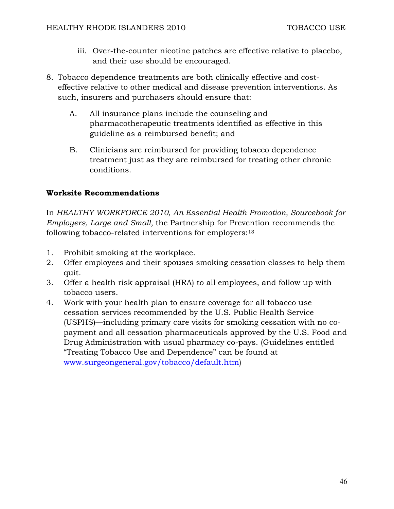- iii. Over-the-counter nicotine patches are effective relative to placebo, and their use should be encouraged.
- 8. Tobacco dependence treatments are both clinically effective and costeffective relative to other medical and disease prevention interventions. As such, insurers and purchasers should ensure that:
	- A. All insurance plans include the counseling and pharmacotherapeutic treatments identified as effective in this guideline as a reimbursed benefit; and
	- B. Clinicians are reimbursed for providing tobacco dependence treatment just as they are reimbursed for treating other chronic conditions.

## **Worksite Recommendations**

In *HEALTHY WORKFORCE 2010, An Essential Health Promotion, Sourcebook for Employers, Large and Small,* the Partnership for Prevention recommends the following tobacco-related interventions for employers:<sup>13</sup>

- 1. Prohibit smoking at the workplace.
- 2. Offer employees and their spouses smoking cessation classes to help them quit.
- 3. Offer a health risk appraisal (HRA) to all employees, and follow up with tobacco users.
- 4. Work with your health plan to ensure coverage for all tobacco use cessation services recommended by the U.S. Public Health Service (USPHS)—including primary care visits for smoking cessation with no copayment and all cessation pharmaceuticals approved by the U.S. Food and Drug Administration with usual pharmacy co-pays. (Guidelines entitled "Treating Tobacco Use and Dependence" can be found at www.surgeongeneral.gov/tobacco/default.htm)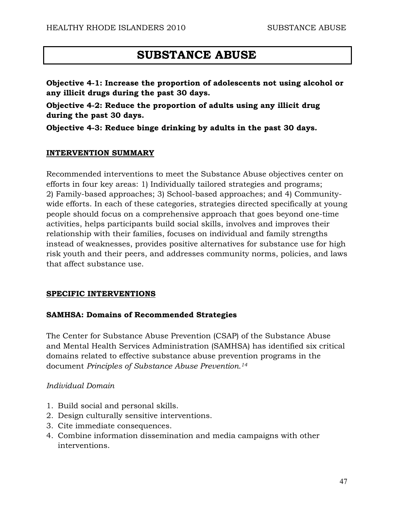# **SUBSTANCE ABUSE**

**Objective 4-1: Increase the proportion of adolescents not using alcohol or any illicit drugs during the past 30 days.** 

**Objective 4-2: Reduce the proportion of adults using any illicit drug during the past 30 days.** 

**Objective 4-3: Reduce binge drinking by adults in the past 30 days.** 

#### **INTERVENTION SUMMARY**

Recommended interventions to meet the Substance Abuse objectives center on efforts in four key areas: 1) Individually tailored strategies and programs; 2) Family-based approaches; 3) School-based approaches; and 4) Communitywide efforts. In each of these categories, strategies directed specifically at young people should focus on a comprehensive approach that goes beyond one-time activities, helps participants build social skills, involves and improves their relationship with their families, focuses on individual and family strengths instead of weaknesses, provides positive alternatives for substance use for high risk youth and their peers, and addresses community norms, policies, and laws that affect substance use.

## **SPECIFIC INTERVENTIONS**

## **SAMHSA: Domains of Recommended Strategies**

The Center for Substance Abuse Prevention (CSAP) of the Substance Abuse and Mental Health Services Administration (SAMHSA) has identified six critical domains related to effective substance abuse prevention programs in the document *Principles of Substance Abuse Prevention.14*

#### *Individual Domain*

- 1. Build social and personal skills.
- 2. Design culturally sensitive interventions.
- 3. Cite immediate consequences.
- 4. Combine information dissemination and media campaigns with other interventions.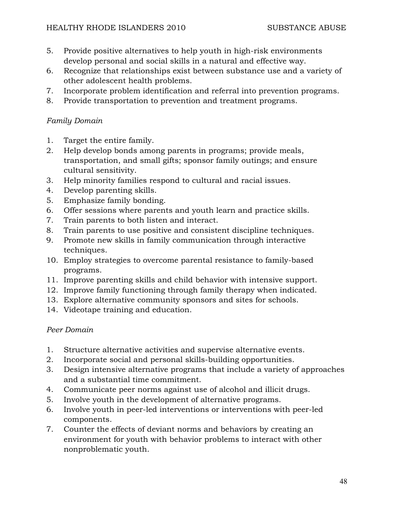- 5. Provide positive alternatives to help youth in high-risk environments develop personal and social skills in a natural and effective way.
- 6. Recognize that relationships exist between substance use and a variety of other adolescent health problems.
- 7. Incorporate problem identification and referral into prevention programs.
- 8. Provide transportation to prevention and treatment programs.

# *Family Domain*

- 1. Target the entire family.
- 2. Help develop bonds among parents in programs; provide meals, transportation, and small gifts; sponsor family outings; and ensure cultural sensitivity.
- 3. Help minority families respond to cultural and racial issues.
- 4. Develop parenting skills.
- 5. Emphasize family bonding.
- 6. Offer sessions where parents and youth learn and practice skills.
- 7. Train parents to both listen and interact.
- 8. Train parents to use positive and consistent discipline techniques.
- 9. Promote new skills in family communication through interactive techniques.
- 10. Employ strategies to overcome parental resistance to family-based programs.
- 11. Improve parenting skills and child behavior with intensive support.
- 12. Improve family functioning through family therapy when indicated.
- 13. Explore alternative community sponsors and sites for schools.
- 14. Videotape training and education.

# *Peer Domain*

- 1. Structure alternative activities and supervise alternative events.
- 2. Incorporate social and personal skills-building opportunities.
- 3. Design intensive alternative programs that include a variety of approaches and a substantial time commitment.
- 4. Communicate peer norms against use of alcohol and illicit drugs.
- 5. Involve youth in the development of alternative programs.
- 6. Involve youth in peer-led interventions or interventions with peer-led components.
- 7. Counter the effects of deviant norms and behaviors by creating an environment for youth with behavior problems to interact with other nonproblematic youth.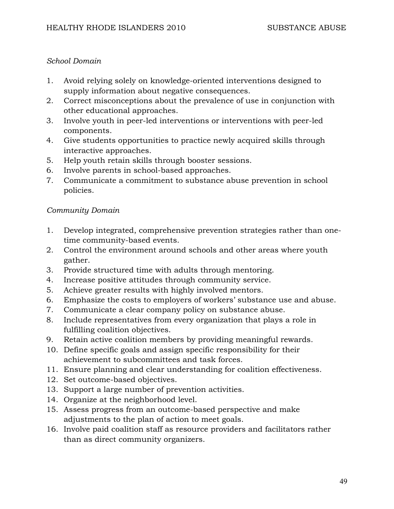## *School Domain*

- 1. Avoid relying solely on knowledge-oriented interventions designed to supply information about negative consequences.
- 2. Correct misconceptions about the prevalence of use in conjunction with other educational approaches.
- 3. Involve youth in peer-led interventions or interventions with peer-led components.
- 4. Give students opportunities to practice newly acquired skills through interactive approaches.
- 5. Help youth retain skills through booster sessions.
- 6. Involve parents in school-based approaches.
- 7. Communicate a commitment to substance abuse prevention in school policies.

# *Community Domain*

- 1. Develop integrated, comprehensive prevention strategies rather than onetime community-based events.
- 2. Control the environment around schools and other areas where youth gather.
- 3. Provide structured time with adults through mentoring.
- 4. Increase positive attitudes through community service.
- 5. Achieve greater results with highly involved mentors.
- 6. Emphasize the costs to employers of workers' substance use and abuse.
- 7. Communicate a clear company policy on substance abuse.
- 8. Include representatives from every organization that plays a role in fulfilling coalition objectives.
- 9. Retain active coalition members by providing meaningful rewards.
- 10. Define specific goals and assign specific responsibility for their achievement to subcommittees and task forces.
- 11. Ensure planning and clear understanding for coalition effectiveness.
- 12. Set outcome-based objectives.
- 13. Support a large number of prevention activities.
- 14. Organize at the neighborhood level.
- 15. Assess progress from an outcome-based perspective and make adjustments to the plan of action to meet goals.
- 16. Involve paid coalition staff as resource providers and facilitators rather than as direct community organizers.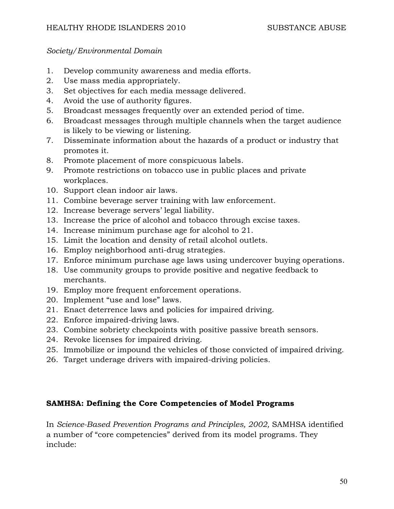## *Society/Environmental Domain*

- 1. Develop community awareness and media efforts.
- 2. Use mass media appropriately.
- 3. Set objectives for each media message delivered.
- 4. Avoid the use of authority figures.
- 5. Broadcast messages frequently over an extended period of time.
- 6. Broadcast messages through multiple channels when the target audience is likely to be viewing or listening.
- 7. Disseminate information about the hazards of a product or industry that promotes it.
- 8. Promote placement of more conspicuous labels.
- 9. Promote restrictions on tobacco use in public places and private workplaces.
- 10. Support clean indoor air laws.
- 11. Combine beverage server training with law enforcement.
- 12. Increase beverage servers' legal liability.
- 13. Increase the price of alcohol and tobacco through excise taxes.
- 14. Increase minimum purchase age for alcohol to 21.
- 15. Limit the location and density of retail alcohol outlets.
- 16. Employ neighborhood anti-drug strategies.
- 17. Enforce minimum purchase age laws using undercover buying operations.
- 18. Use community groups to provide positive and negative feedback to merchants.
- 19. Employ more frequent enforcement operations.
- 20. Implement "use and lose" laws.
- 21. Enact deterrence laws and policies for impaired driving.
- 22. Enforce impaired-driving laws.
- 23. Combine sobriety checkpoints with positive passive breath sensors.
- 24. Revoke licenses for impaired driving.
- 25. Immobilize or impound the vehicles of those convicted of impaired driving.
- 26. Target underage drivers with impaired-driving policies.

## **SAMHSA: Defining the Core Competencies of Model Programs**

In *Science-Based Prevention Programs and Principles, 2002,* SAMHSA identified a number of "core competencies" derived from its model programs. They include: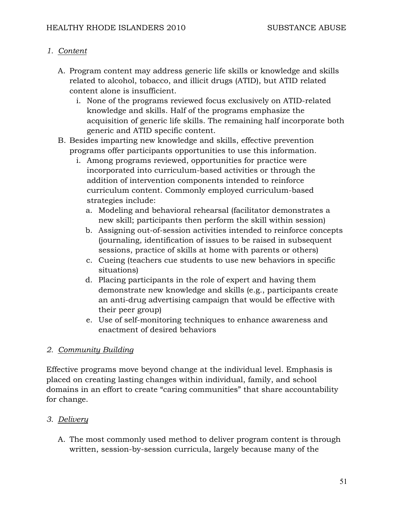# *1. Content*

- A. Program content may address generic life skills or knowledge and skills related to alcohol, tobacco, and illicit drugs (ATID), but ATID related content alone is insufficient.
	- i. None of the programs reviewed focus exclusively on ATID-related knowledge and skills. Half of the programs emphasize the acquisition of generic life skills. The remaining half incorporate both generic and ATID specific content.
- B. Besides imparting new knowledge and skills, effective prevention programs offer participants opportunities to use this information.
	- i. Among programs reviewed, opportunities for practice were incorporated into curriculum-based activities or through the addition of intervention components intended to reinforce curriculum content. Commonly employed curriculum-based strategies include:
		- a. Modeling and behavioral rehearsal (facilitator demonstrates a new skill; participants then perform the skill within session)
		- b. Assigning out-of-session activities intended to reinforce concepts (journaling, identification of issues to be raised in subsequent sessions, practice of skills at home with parents or others)
		- c. Cueing (teachers cue students to use new behaviors in specific situations)
		- d. Placing participants in the role of expert and having them demonstrate new knowledge and skills (e.g., participants create an anti-drug advertising campaign that would be effective with their peer group)
		- e. Use of self-monitoring techniques to enhance awareness and enactment of desired behaviors

# *2. Community Building*

Effective programs move beyond change at the individual level. Emphasis is placed on creating lasting changes within individual, family, and school domains in an effort to create "caring communities" that share accountability for change.

# *3. Delivery*

A. The most commonly used method to deliver program content is through written, session-by-session curricula, largely because many of the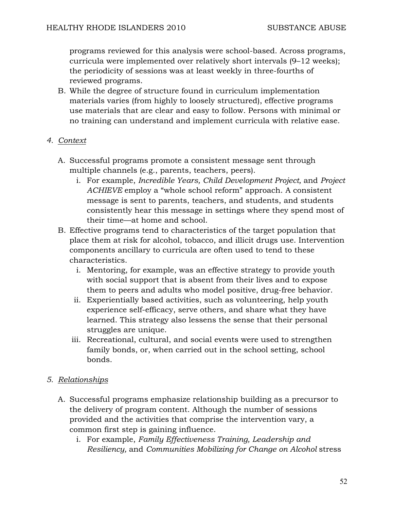programs reviewed for this analysis were school-based. Across programs, curricula were implemented over relatively short intervals (9–12 weeks); the periodicity of sessions was at least weekly in three-fourths of reviewed programs.

B. While the degree of structure found in curriculum implementation materials varies (from highly to loosely structured), effective programs use materials that are clear and easy to follow. Persons with minimal or no training can understand and implement curricula with relative ease.

## *4. Context*

- A. Successful programs promote a consistent message sent through multiple channels (e.g., parents, teachers, peers).
	- i. For example, *Incredible Years, Child Development Project,* and *Project ACHIEVE* employ a "whole school reform" approach. A consistent message is sent to parents, teachers, and students, and students consistently hear this message in settings where they spend most of their time—at home and school.
- B. Effective programs tend to characteristics of the target population that place them at risk for alcohol, tobacco, and illicit drugs use. Intervention components ancillary to curricula are often used to tend to these characteristics.
	- i. Mentoring, for example, was an effective strategy to provide youth with social support that is absent from their lives and to expose them to peers and adults who model positive, drug-free behavior.
	- ii. Experientially based activities, such as volunteering, help youth experience self-efficacy, serve others, and share what they have learned. This strategy also lessens the sense that their personal struggles are unique.
	- iii. Recreational, cultural, and social events were used to strengthen family bonds, or, when carried out in the school setting, school bonds.

# *5. Relationships*

- A. Successful programs emphasize relationship building as a precursor to the delivery of program content. Although the number of sessions provided and the activities that comprise the intervention vary, a common first step is gaining influence.
	- i. For example, *Family Effectiveness Training, Leadership and Resiliency,* and *Communities Mobilizing for Change on Alcohol* stress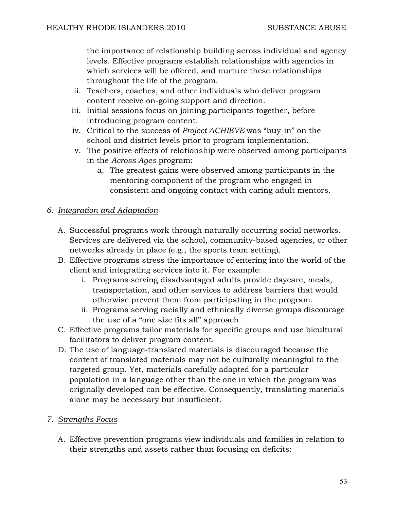the importance of relationship building across individual and agency levels. Effective programs establish relationships with agencies in which services will be offered, and nurture these relationships throughout the life of the program.

- ii. Teachers, coaches, and other individuals who deliver program content receive on-going support and direction.
- iii. Initial sessions focus on joining participants together, before introducing program content.
- iv. Critical to the success of *Project ACHIEVE* was "buy-in" on the school and district levels prior to program implementation.
- v. The positive effects of relationship were observed among participants in the *Across Ages* program:
	- a. The greatest gains were observed among participants in the mentoring component of the program who engaged in consistent and ongoing contact with caring adult mentors.

# *6. Integration and Adaptation*

- A. Successful programs work through naturally occurring social networks. Services are delivered via the school, community-based agencies, or other networks already in place (e.g., the sports team setting).
- B. Effective programs stress the importance of entering into the world of the client and integrating services into it. For example:
	- i. Programs serving disadvantaged adults provide daycare, meals, transportation, and other services to address barriers that would otherwise prevent them from participating in the program.
	- ii. Programs serving racially and ethnically diverse groups discourage the use of a "one size fits all" approach.
- C. Effective programs tailor materials for specific groups and use bicultural facilitators to deliver program content.
- D. The use of language-translated materials is discouraged because the content of translated materials may not be culturally meaningful to the targeted group. Yet, materials carefully adapted for a particular population in a language other than the one in which the program was originally developed can be effective. Consequently, translating materials alone may be necessary but insufficient.

# *7. Strengths Focus*

A. Effective prevention programs view individuals and families in relation to their strengths and assets rather than focusing on deficits: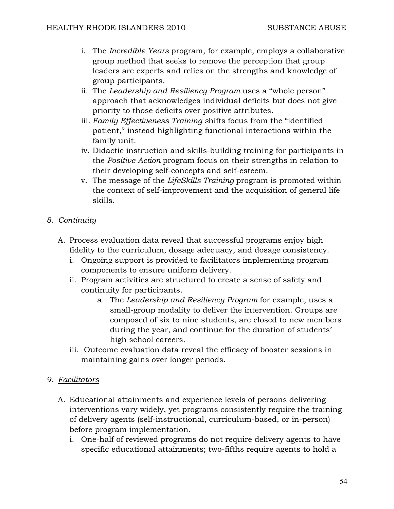- i. The *Incredible Years* program, for example, employs a collaborative group method that seeks to remove the perception that group leaders are experts and relies on the strengths and knowledge of group participants.
- ii. The *Leadership and Resiliency Program* uses a "whole person" approach that acknowledges individual deficits but does not give priority to those deficits over positive attributes.
- iii. *Family Effectiveness Training s*hifts focus from the "identified patient," instead highlighting functional interactions within the family unit.
- iv. Didactic instruction and skills-building training for participants in the *Positive Action* program focus on their strengths in relation to their developing self-concepts and self-esteem.
- v. The message of the *LifeSkills Training* program is promoted within the context of self-improvement and the acquisition of general life skills.

# *8. Continuity*

- A. Process evaluation data reveal that successful programs enjoy high fidelity to the curriculum, dosage adequacy, and dosage consistency.
	- i. Ongoing support is provided to facilitators implementing program components to ensure uniform delivery.
	- ii. Program activities are structured to create a sense of safety and continuity for participants.
		- a. The *Leadership and Resiliency Program* for example, uses a small-group modality to deliver the intervention. Groups are composed of six to nine students, are closed to new members during the year, and continue for the duration of students' high school careers.
	- iii. Outcome evaluation data reveal the efficacy of booster sessions in maintaining gains over longer periods.

# *9. Facilitators*

- A. Educational attainments and experience levels of persons delivering interventions vary widely, yet programs consistently require the training of delivery agents (self-instructional, curriculum-based, or in-person) before program implementation.
	- i. One-half of reviewed programs do not require delivery agents to have specific educational attainments; two-fifths require agents to hold a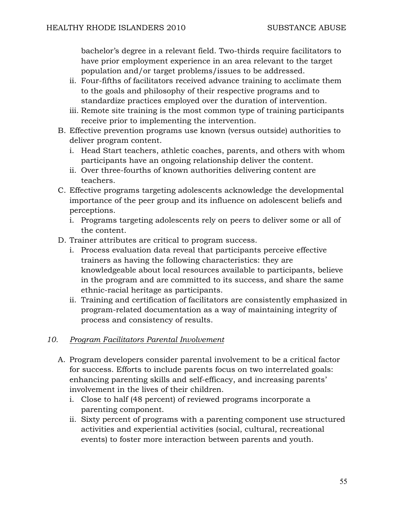bachelor's degree in a relevant field. Two-thirds require facilitators to have prior employment experience in an area relevant to the target population and/or target problems/issues to be addressed.

- ii. Four-fifths of facilitators received advance training to acclimate them to the goals and philosophy of their respective programs and to standardize practices employed over the duration of intervention.
- iii. Remote site training is the most common type of training participants receive prior to implementing the intervention.
- B. Effective prevention programs use known (versus outside) authorities to deliver program content.
	- i. Head Start teachers, athletic coaches, parents, and others with whom participants have an ongoing relationship deliver the content.
	- ii. Over three-fourths of known authorities delivering content are teachers.
- C. Effective programs targeting adolescents acknowledge the developmental importance of the peer group and its influence on adolescent beliefs and perceptions.
	- i. Programs targeting adolescents rely on peers to deliver some or all of the content.
- D. Trainer attributes are critical to program success.
	- i. Process evaluation data reveal that participants perceive effective trainers as having the following characteristics: they are knowledgeable about local resources available to participants, believe in the program and are committed to its success, and share the same ethnic-racial heritage as participants.
	- ii. Training and certification of facilitators are consistently emphasized in program-related documentation as a way of maintaining integrity of process and consistency of results.

# *10. Program Facilitators Parental Involvement*

- A. Program developers consider parental involvement to be a critical factor for success. Efforts to include parents focus on two interrelated goals: enhancing parenting skills and self-efficacy, and increasing parents' involvement in the lives of their children.
	- i. Close to half (48 percent) of reviewed programs incorporate a parenting component.
	- ii. Sixty percent of programs with a parenting component use structured activities and experiential activities (social, cultural, recreational events) to foster more interaction between parents and youth.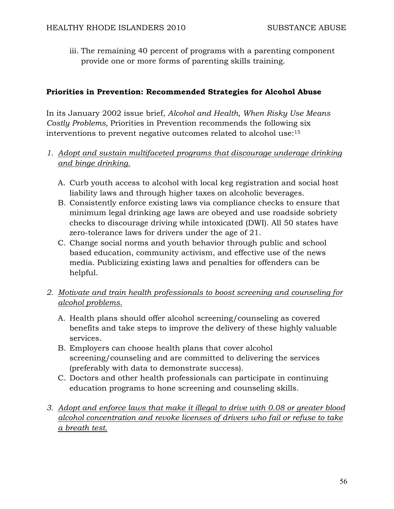iii. The remaining 40 percent of programs with a parenting component provide one or more forms of parenting skills training.

# **Priorities in Prevention: Recommended Strategies for Alcohol Abuse**

In its January 2002 issue brief, *Alcohol and Health, When Risky Use Means Costly Problems,* Priorities in Prevention recommends the following six interventions to prevent negative outcomes related to alcohol use:15

- *1. Adopt and sustain multifaceted programs that discourage underage drinking and binge drinking.*
	- A. Curb youth access to alcohol with local keg registration and social host liability laws and through higher taxes on alcoholic beverages.
	- B. Consistently enforce existing laws via compliance checks to ensure that minimum legal drinking age laws are obeyed and use roadside sobriety checks to discourage driving while intoxicated (DWI). All 50 states have zero-tolerance laws for drivers under the age of 21.
	- C. Change social norms and youth behavior through public and school based education, community activism, and effective use of the news media. Publicizing existing laws and penalties for offenders can be helpful.
- *2. Motivate and train health professionals to boost screening and counseling for alcohol problems.*
	- A. Health plans should offer alcohol screening/counseling as covered benefits and take steps to improve the delivery of these highly valuable services.
	- B. Employers can choose health plans that cover alcohol screening/counseling and are committed to delivering the services (preferably with data to demonstrate success).
	- C. Doctors and other health professionals can participate in continuing education programs to hone screening and counseling skills.
- *3. Adopt and enforce laws that make it illegal to drive with 0.08 or greater blood alcohol concentration and revoke licenses of drivers who fail or refuse to take a breath test.*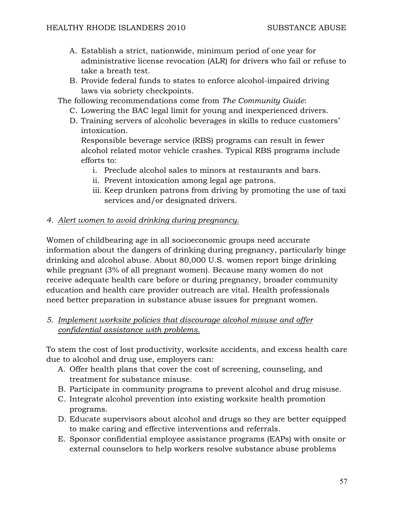- A. Establish a strict, nationwide, minimum period of one year for administrative license revocation (ALR) for drivers who fail or refuse to take a breath test.
- B. Provide federal funds to states to enforce alcohol-impaired driving laws via sobriety checkpoints.

The following recommendations come from *The Community Guide*:

- C. Lowering the BAC legal limit for young and inexperienced drivers.
- D. Training servers of alcoholic beverages in skills to reduce customers' intoxication.

Responsible beverage service (RBS) programs can result in fewer alcohol related motor vehicle crashes. Typical RBS programs include efforts to:

- i. Preclude alcohol sales to minors at restaurants and bars.
- ii. Prevent intoxication among legal age patrons.
- iii. Keep drunken patrons from driving by promoting the use of taxi services and/or designated drivers.

## *4. Alert women to avoid drinking during pregnancy.*

Women of childbearing age in all socioeconomic groups need accurate information about the dangers of drinking during pregnancy, particularly binge drinking and alcohol abuse. About 80,000 U.S. women report binge drinking while pregnant (3% of all pregnant women). Because many women do not receive adequate health care before or during pregnancy, broader community education and health care provider outreach are vital. Health professionals need better preparation in substance abuse issues for pregnant women.

# *5. Implement worksite policies that discourage alcohol misuse and offer confidential assistance with problems.*

To stem the cost of lost productivity, worksite accidents, and excess health care due to alcohol and drug use, employers can:

- A. Offer health plans that cover the cost of screening, counseling, and treatment for substance misuse.
- B. Participate in community programs to prevent alcohol and drug misuse.
- C. Integrate alcohol prevention into existing worksite health promotion programs.
- D. Educate supervisors about alcohol and drugs so they are better equipped to make caring and effective interventions and referrals.
- E. Sponsor confidential employee assistance programs (EAPs) with onsite or external counselors to help workers resolve substance abuse problems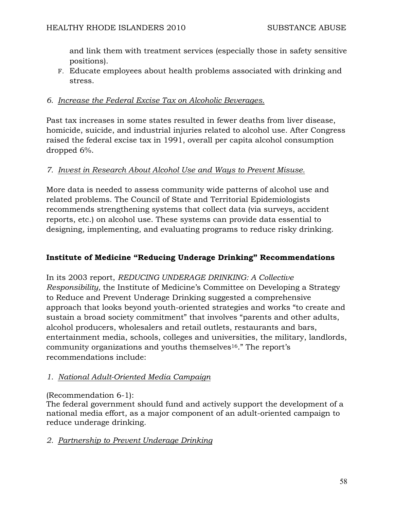and link them with treatment services (especially those in safety sensitive positions).

F. Educate employees about health problems associated with drinking and stress.

# *6. Increase the Federal Excise Tax on Alcoholic Beverages.*

Past tax increases in some states resulted in fewer deaths from liver disease, homicide, suicide, and industrial injuries related to alcohol use. After Congress raised the federal excise tax in 1991, overall per capita alcohol consumption dropped 6%.

# *7. Invest in Research About Alcohol Use and Ways to Prevent Misuse.*

More data is needed to assess community wide patterns of alcohol use and related problems. The Council of State and Territorial Epidemiologists recommends strengthening systems that collect data (via surveys, accident reports, etc.) on alcohol use. These systems can provide data essential to designing, implementing, and evaluating programs to reduce risky drinking.

# **Institute of Medicine "Reducing Underage Drinking" Recommendations**

In its 2003 report, *REDUCING UNDERAGE DRINKING: A Collective Responsibility,* the Institute of Medicine's Committee on Developing a Strategy to Reduce and Prevent Underage Drinking suggested a comprehensive approach that looks beyond youth-oriented strategies and works "to create and sustain a broad society commitment" that involves "parents and other adults, alcohol producers, wholesalers and retail outlets, restaurants and bars, entertainment media, schools, colleges and universities, the military, landlords, community organizations and youths themselves<sup>16</sup>." The report's recommendations include:

# *1. National Adult-Oriented Media Campaign*

# (Recommendation 6-1):

The federal government should fund and actively support the development of a national media effort, as a major component of an adult-oriented campaign to reduce underage drinking.

# *2. Partnership to Prevent Underage Drinking*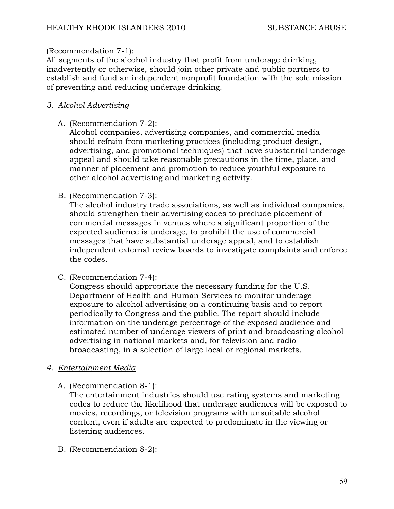## (Recommendation 7-1):

All segments of the alcohol industry that profit from underage drinking, inadvertently or otherwise, should join other private and public partners to establish and fund an independent nonprofit foundation with the sole mission of preventing and reducing underage drinking.

# *3. Alcohol Advertising*

A. (Recommendation 7-2):

Alcohol companies, advertising companies, and commercial media should refrain from marketing practices (including product design, advertising, and promotional techniques) that have substantial underage appeal and should take reasonable precautions in the time, place, and manner of placement and promotion to reduce youthful exposure to other alcohol advertising and marketing activity.

B. (Recommendation 7-3):

The alcohol industry trade associations, as well as individual companies, should strengthen their advertising codes to preclude placement of commercial messages in venues where a significant proportion of the expected audience is underage, to prohibit the use of commercial messages that have substantial underage appeal, and to establish independent external review boards to investigate complaints and enforce the codes.

C. (Recommendation 7-4):

Congress should appropriate the necessary funding for the U.S. Department of Health and Human Services to monitor underage exposure to alcohol advertising on a continuing basis and to report periodically to Congress and the public. The report should include information on the underage percentage of the exposed audience and estimated number of underage viewers of print and broadcasting alcohol advertising in national markets and, for television and radio broadcasting, in a selection of large local or regional markets.

- *4. Entertainment Media*
	- A. (Recommendation 8-1):

The entertainment industries should use rating systems and marketing codes to reduce the likelihood that underage audiences will be exposed to movies, recordings, or television programs with unsuitable alcohol content, even if adults are expected to predominate in the viewing or listening audiences.

B. (Recommendation 8-2):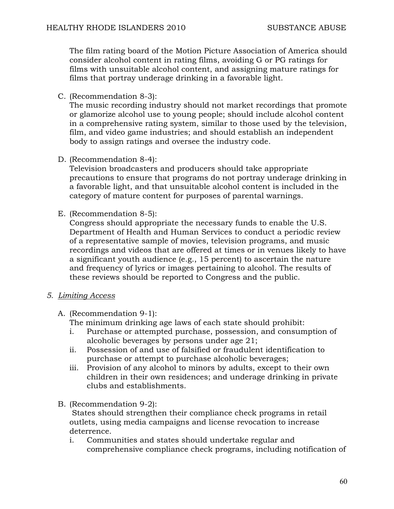The film rating board of the Motion Picture Association of America should consider alcohol content in rating films, avoiding G or PG ratings for films with unsuitable alcohol content, and assigning mature ratings for films that portray underage drinking in a favorable light.

C. (Recommendation 8-3):

The music recording industry should not market recordings that promote or glamorize alcohol use to young people; should include alcohol content in a comprehensive rating system, similar to those used by the television, film, and video game industries; and should establish an independent body to assign ratings and oversee the industry code.

D. (Recommendation 8-4):

Television broadcasters and producers should take appropriate precautions to ensure that programs do not portray underage drinking in a favorable light, and that unsuitable alcohol content is included in the category of mature content for purposes of parental warnings.

E. (Recommendation 8-5):

Congress should appropriate the necessary funds to enable the U.S. Department of Health and Human Services to conduct a periodic review of a representative sample of movies, television programs, and music recordings and videos that are offered at times or in venues likely to have a significant youth audience (e.g., 15 percent) to ascertain the nature and frequency of lyrics or images pertaining to alcohol. The results of these reviews should be reported to Congress and the public.

- *5. Limiting Access*
	- A. (Recommendation 9-1):

The minimum drinking age laws of each state should prohibit:

- i. Purchase or attempted purchase, possession, and consumption of alcoholic beverages by persons under age 21;
- ii. Possession of and use of falsified or fraudulent identification to purchase or attempt to purchase alcoholic beverages;
- iii. Provision of any alcohol to minors by adults, except to their own children in their own residences; and underage drinking in private clubs and establishments.

B. (Recommendation 9-2):

 States should strengthen their compliance check programs in retail outlets, using media campaigns and license revocation to increase deterrence.

i. Communities and states should undertake regular and comprehensive compliance check programs, including notification of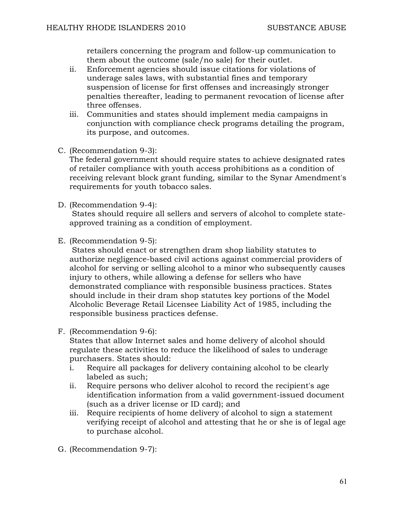retailers concerning the program and follow-up communication to them about the outcome (sale/no sale) for their outlet.

- ii. Enforcement agencies should issue citations for violations of underage sales laws, with substantial fines and temporary suspension of license for first offenses and increasingly stronger penalties thereafter, leading to permanent revocation of license after three offenses.
- iii. Communities and states should implement media campaigns in conjunction with compliance check programs detailing the program, its purpose, and outcomes.
- C. (Recommendation 9-3):

The federal government should require states to achieve designated rates of retailer compliance with youth access prohibitions as a condition of receiving relevant block grant funding, similar to the Synar Amendment's requirements for youth tobacco sales.

D. (Recommendation 9-4):

 States should require all sellers and servers of alcohol to complete stateapproved training as a condition of employment.

E. (Recommendation 9-5):

 States should enact or strengthen dram shop liability statutes to authorize negligence-based civil actions against commercial providers of alcohol for serving or selling alcohol to a minor who subsequently causes injury to others, while allowing a defense for sellers who have demonstrated compliance with responsible business practices. States should include in their dram shop statutes key portions of the Model Alcoholic Beverage Retail Licensee Liability Act of 1985, including the responsible business practices defense.

F. (Recommendation 9-6):

States that allow Internet sales and home delivery of alcohol should regulate these activities to reduce the likelihood of sales to underage purchasers. States should:

- i. Require all packages for delivery containing alcohol to be clearly labeled as such;
- ii. Require persons who deliver alcohol to record the recipient's age identification information from a valid government-issued document (such as a driver license or ID card); and
- iii. Require recipients of home delivery of alcohol to sign a statement verifying receipt of alcohol and attesting that he or she is of legal age to purchase alcohol.
- G. (Recommendation 9-7):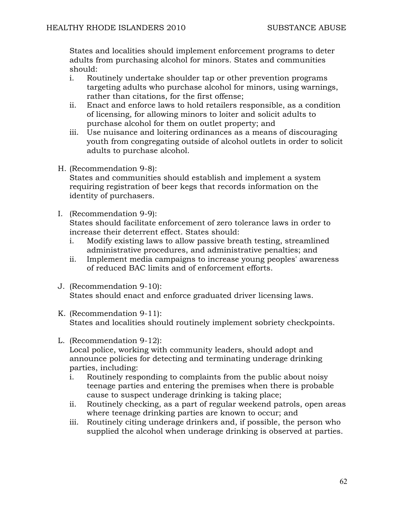States and localities should implement enforcement programs to deter adults from purchasing alcohol for minors. States and communities should:

- i. Routinely undertake shoulder tap or other prevention programs targeting adults who purchase alcohol for minors, using warnings, rather than citations, for the first offense;
- ii. Enact and enforce laws to hold retailers responsible, as a condition of licensing, for allowing minors to loiter and solicit adults to purchase alcohol for them on outlet property; and
- iii. Use nuisance and loitering ordinances as a means of discouraging youth from congregating outside of alcohol outlets in order to solicit adults to purchase alcohol.
- H. (Recommendation 9-8):

States and communities should establish and implement a system requiring registration of beer kegs that records information on the identity of purchasers.

I. (Recommendation 9-9):

States should facilitate enforcement of zero tolerance laws in order to increase their deterrent effect. States should:

- i. Modify existing laws to allow passive breath testing, streamlined administrative procedures, and administrative penalties; and
- ii. Implement media campaigns to increase young peoples' awareness of reduced BAC limits and of enforcement efforts.
- J. (Recommendation 9-10): States should enact and enforce graduated driver licensing laws.
- K. (Recommendation 9-11): States and localities should routinely implement sobriety checkpoints.
- L. (Recommendation 9-12):

Local police, working with community leaders, should adopt and announce policies for detecting and terminating underage drinking parties, including:

- i. Routinely responding to complaints from the public about noisy teenage parties and entering the premises when there is probable cause to suspect underage drinking is taking place;
- ii. Routinely checking, as a part of regular weekend patrols, open areas where teenage drinking parties are known to occur; and
- iii. Routinely citing underage drinkers and, if possible, the person who supplied the alcohol when underage drinking is observed at parties.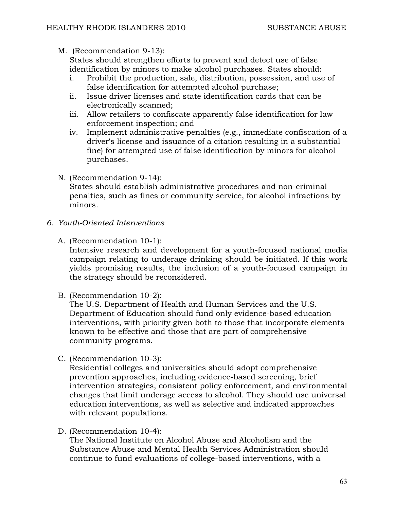M. (Recommendation 9-13):

States should strengthen efforts to prevent and detect use of false identification by minors to make alcohol purchases. States should:

- i. Prohibit the production, sale, distribution, possession, and use of false identification for attempted alcohol purchase;
- ii. Issue driver licenses and state identification cards that can be electronically scanned;
- iii. Allow retailers to confiscate apparently false identification for law enforcement inspection; and
- iv. Implement administrative penalties (e.g., immediate confiscation of a driver's license and issuance of a citation resulting in a substantial fine) for attempted use of false identification by minors for alcohol purchases.
- N. (Recommendation 9-14): States should establish administrative procedures and non-criminal penalties, such as fines or community service, for alcohol infractions by minors.

# *6. Youth-Oriented Interventions*

A. (Recommendation 10-1):

Intensive research and development for a youth-focused national media campaign relating to underage drinking should be initiated. If this work yields promising results, the inclusion of a youth-focused campaign in the strategy should be reconsidered.

B. (Recommendation 10-2):

The U.S. Department of Health and Human Services and the U.S. Department of Education should fund only evidence-based education interventions, with priority given both to those that incorporate elements known to be effective and those that are part of comprehensive community programs.

C. (Recommendation 10-3):

Residential colleges and universities should adopt comprehensive prevention approaches, including evidence-based screening, brief intervention strategies, consistent policy enforcement, and environmental changes that limit underage access to alcohol. They should use universal education interventions, as well as selective and indicated approaches with relevant populations.

D. (Recommendation 10-4):

The National Institute on Alcohol Abuse and Alcoholism and the Substance Abuse and Mental Health Services Administration should continue to fund evaluations of college-based interventions, with a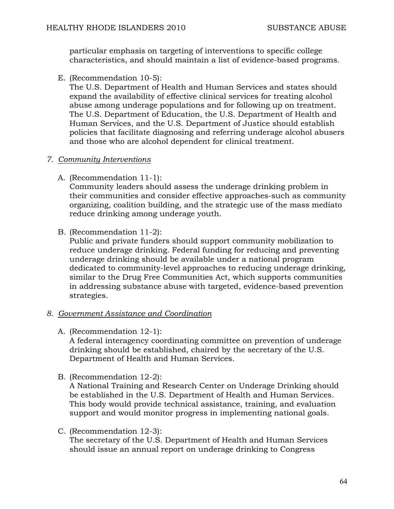particular emphasis on targeting of interventions to specific college characteristics, and should maintain a list of evidence-based programs.

E. (Recommendation 10-5):

The U.S. Department of Health and Human Services and states should expand the availability of effective clinical services for treating alcohol abuse among underage populations and for following up on treatment. The U.S. Department of Education, the U.S. Department of Health and Human Services, and the U.S. Department of Justice should establish policies that facilitate diagnosing and referring underage alcohol abusers and those who are alcohol dependent for clinical treatment.

## *7. Community Interventions*

A. (Recommendation 11-1):

Community leaders should assess the underage drinking problem in their communities and consider effective approaches-such as community organizing, coalition building, and the strategic use of the mass mediato reduce drinking among underage youth.

B. (Recommendation 11-2):

Public and private funders should support community mobilization to reduce underage drinking. Federal funding for reducing and preventing underage drinking should be available under a national program dedicated to community-level approaches to reducing underage drinking, similar to the Drug Free Communities Act, which supports communities in addressing substance abuse with targeted, evidence-based prevention strategies.

## *8. Government Assistance and Coordination*

A. (Recommendation 12-1):

A federal interagency coordinating committee on prevention of underage drinking should be established, chaired by the secretary of the U.S. Department of Health and Human Services.

B. (Recommendation 12-2):

A National Training and Research Center on Underage Drinking should be established in the U.S. Department of Health and Human Services. This body would provide technical assistance, training, and evaluation support and would monitor progress in implementing national goals.

C. (Recommendation 12-3):

The secretary of the U.S. Department of Health and Human Services should issue an annual report on underage drinking to Congress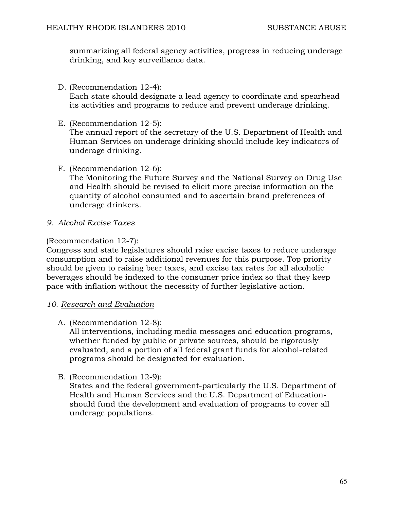summarizing all federal agency activities, progress in reducing underage drinking, and key surveillance data.

D. (Recommendation 12-4):

Each state should designate a lead agency to coordinate and spearhead its activities and programs to reduce and prevent underage drinking.

E. (Recommendation 12-5):

The annual report of the secretary of the U.S. Department of Health and Human Services on underage drinking should include key indicators of underage drinking.

F. (Recommendation 12-6):

The Monitoring the Future Survey and the National Survey on Drug Use and Health should be revised to elicit more precise information on the quantity of alcohol consumed and to ascertain brand preferences of underage drinkers.

*9. Alcohol Excise Taxes*

## (Recommendation 12-7):

Congress and state legislatures should raise excise taxes to reduce underage consumption and to raise additional revenues for this purpose. Top priority should be given to raising beer taxes, and excise tax rates for all alcoholic beverages should be indexed to the consumer price index so that they keep pace with inflation without the necessity of further legislative action.

- *10. Research and Evaluation*
	- A. (Recommendation 12-8):

All interventions, including media messages and education programs, whether funded by public or private sources, should be rigorously evaluated, and a portion of all federal grant funds for alcohol-related programs should be designated for evaluation.

B. (Recommendation 12-9):

States and the federal government-particularly the U.S. Department of Health and Human Services and the U.S. Department of Educationshould fund the development and evaluation of programs to cover all underage populations.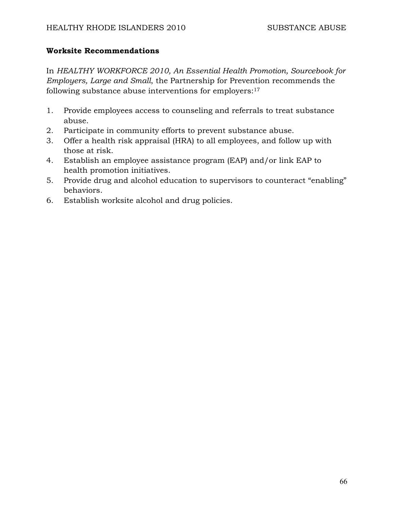## **Worksite Recommendations**

In *HEALTHY WORKFORCE 2010, An Essential Health Promotion, Sourcebook for Employers, Large and Small*, the Partnership for Prevention recommends the following substance abuse interventions for employers:17

- 1. Provide employees access to counseling and referrals to treat substance abuse.
- 2. Participate in community efforts to prevent substance abuse.
- 3. Offer a health risk appraisal (HRA) to all employees, and follow up with those at risk.
- 4. Establish an employee assistance program (EAP) and/or link EAP to health promotion initiatives.
- 5. Provide drug and alcohol education to supervisors to counteract "enabling" behaviors.
- 6. Establish worksite alcohol and drug policies.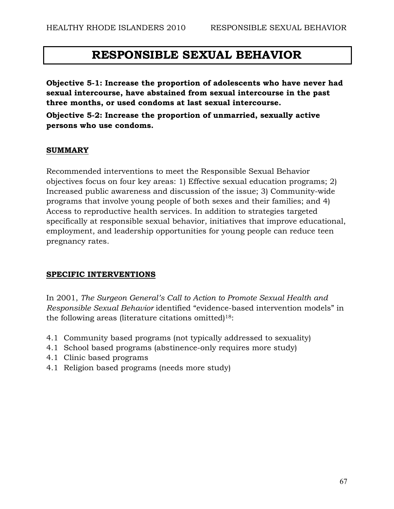# **RESPONSIBLE SEXUAL BEHAVIOR**

**Objective 5-1: Increase the proportion of adolescents who have never had sexual intercourse, have abstained from sexual intercourse in the past three months, or used condoms at last sexual intercourse.** 

**Objective 5-2: Increase the proportion of unmarried, sexually active persons who use condoms.** 

## **SUMMARY**

Recommended interventions to meet the Responsible Sexual Behavior objectives focus on four key areas: 1) Effective sexual education programs; 2) Increased public awareness and discussion of the issue; 3) Community-wide programs that involve young people of both sexes and their families; and 4) Access to reproductive health services. In addition to strategies targeted specifically at responsible sexual behavior, initiatives that improve educational, employment, and leadership opportunities for young people can reduce teen pregnancy rates.

## **SPECIFIC INTERVENTIONS**

In 2001, *The Surgeon General's Call to Action to Promote Sexual Health and Responsible Sexual Behavior* identified "evidence-based intervention models" in the following areas (literature citations omitted)18:

- 4.1 Community based programs (not typically addressed to sexuality)
- 4.1 School based programs (abstinence-only requires more study)
- 4.1 Clinic based programs
- 4.1 Religion based programs (needs more study)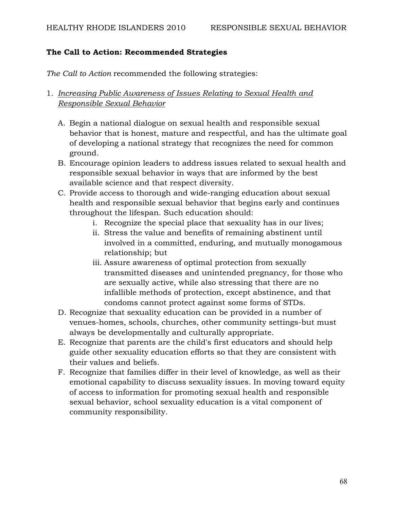# **The Call to Action: Recommended Strategies**

*The Call to Action* recommended the following strategies:

# 1. *Increasing Public Awareness of Issues Relating to Sexual Health and Responsible Sexual Behavior*

- A. Begin a national dialogue on sexual health and responsible sexual behavior that is honest, mature and respectful, and has the ultimate goal of developing a national strategy that recognizes the need for common ground.
- B. Encourage opinion leaders to address issues related to sexual health and responsible sexual behavior in ways that are informed by the best available science and that respect diversity.
- C. Provide access to thorough and wide-ranging education about sexual health and responsible sexual behavior that begins early and continues throughout the lifespan. Such education should:
	- i. Recognize the special place that sexuality has in our lives;
	- ii. Stress the value and benefits of remaining abstinent until involved in a committed, enduring, and mutually monogamous relationship; but
	- iii. Assure awareness of optimal protection from sexually transmitted diseases and unintended pregnancy, for those who are sexually active, while also stressing that there are no infallible methods of protection, except abstinence, and that condoms cannot protect against some forms of STDs.
- D. Recognize that sexuality education can be provided in a number of venues-homes, schools, churches, other community settings-but must always be developmentally and culturally appropriate.
- E. Recognize that parents are the child's first educators and should help guide other sexuality education efforts so that they are consistent with their values and beliefs.
- F. Recognize that families differ in their level of knowledge, as well as their emotional capability to discuss sexuality issues. In moving toward equity of access to information for promoting sexual health and responsible sexual behavior, school sexuality education is a vital component of community responsibility.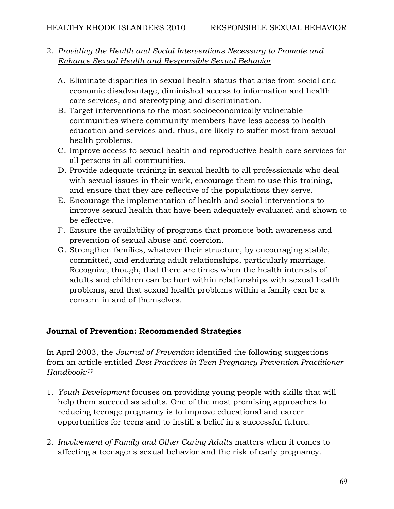# 2. *Providing the Health and Social Interventions Necessary to Promote and Enhance Sexual Health and Responsible Sexual Behavior*

- A. Eliminate disparities in sexual health status that arise from social and economic disadvantage, diminished access to information and health care services, and stereotyping and discrimination.
- B. Target interventions to the most socioeconomically vulnerable communities where community members have less access to health education and services and, thus, are likely to suffer most from sexual health problems.
- C. Improve access to sexual health and reproductive health care services for all persons in all communities.
- D. Provide adequate training in sexual health to all professionals who deal with sexual issues in their work, encourage them to use this training, and ensure that they are reflective of the populations they serve.
- E. Encourage the implementation of health and social interventions to improve sexual health that have been adequately evaluated and shown to be effective.
- F. Ensure the availability of programs that promote both awareness and prevention of sexual abuse and coercion.
- G. Strengthen families, whatever their structure, by encouraging stable, committed, and enduring adult relationships, particularly marriage. Recognize, though, that there are times when the health interests of adults and children can be hurt within relationships with sexual health problems, and that sexual health problems within a family can be a concern in and of themselves.

# **Journal of Prevention: Recommended Strategies**

In April 2003, the *Journal of Prevention* identified the following suggestions from an article entitled *Best Practices in Teen Pregnancy Prevention Practitioner Handbook:19*

- 1. *Youth Development* focuses on providing young people with skills that will help them succeed as adults. One of the most promising approaches to reducing teenage pregnancy is to improve educational and career opportunities for teens and to instill a belief in a successful future.
- 2. *Involvement of Family and Other Caring Adults* matters when it comes to affecting a teenager's sexual behavior and the risk of early pregnancy.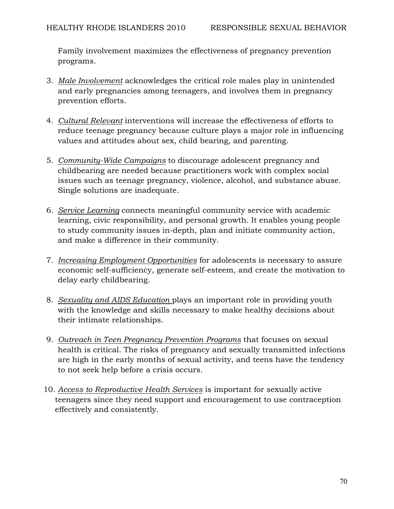Family involvement maximizes the effectiveness of pregnancy prevention programs.

- 3. *Male Involvement* acknowledges the critical role males play in unintended and early pregnancies among teenagers, and involves them in pregnancy prevention efforts.
- 4. *Cultural Relevant* interventions will increase the effectiveness of efforts to reduce teenage pregnancy because culture plays a major role in influencing values and attitudes about sex, child bearing, and parenting.
- 5. *Community-Wide Campaigns* to discourage adolescent pregnancy and childbearing are needed because practitioners work with complex social issues such as teenage pregnancy, violence, alcohol, and substance abuse. Single solutions are inadequate.
- 6. *Service Learning* connects meaningful community service with academic learning, civic responsibility, and personal growth. It enables young people to study community issues in-depth, plan and initiate community action, and make a difference in their community.
- 7. *Increasing Employment Opportunities* for adolescents is necessary to assure economic self-sufficiency, generate self-esteem, and create the motivation to delay early childbearing.
- 8. *Sexuality and AIDS Education* plays an important role in providing youth with the knowledge and skills necessary to make healthy decisions about their intimate relationships.
- 9. *Outreach in Teen Pregnancy Prevention Programs* that focuses on sexual health is critical. The risks of pregnancy and sexually transmitted infections are high in the early months of sexual activity, and teens have the tendency to not seek help before a crisis occurs.
- 10. *Access to Reproductive Health Services* is important for sexually active teenagers since they need support and encouragement to use contraception effectively and consistently.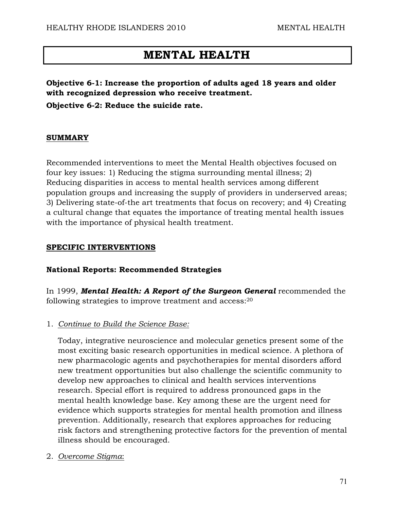# **MENTAL HEALTH**

**Objective 6-1: Increase the proportion of adults aged 18 years and older with recognized depression who receive treatment.** 

**Objective 6-2: Reduce the suicide rate.** 

#### **SUMMARY**

Recommended interventions to meet the Mental Health objectives focused on four key issues: 1) Reducing the stigma surrounding mental illness; 2) Reducing disparities in access to mental health services among different population groups and increasing the supply of providers in underserved areas; 3) Delivering state-of-the art treatments that focus on recovery; and 4) Creating a cultural change that equates the importance of treating mental health issues with the importance of physical health treatment.

#### **SPECIFIC INTERVENTIONS**

## **National Reports: Recommended Strategies**

In 1999, *Mental Health: A Report of the Surgeon General* recommended the following strategies to improve treatment and access:20

## 1. *Continue to Build the Science Base:*

Today, integrative neuroscience and molecular genetics present some of the most exciting basic research opportunities in medical science. A plethora of new pharmacologic agents and psychotherapies for mental disorders afford new treatment opportunities but also challenge the scientific community to develop new approaches to clinical and health services interventions research. Special effort is required to address pronounced gaps in the mental health knowledge base. Key among these are the urgent need for evidence which supports strategies for mental health promotion and illness prevention. Additionally, research that explores approaches for reducing risk factors and strengthening protective factors for the prevention of mental illness should be encouraged.

2. *Overcome Stigma*: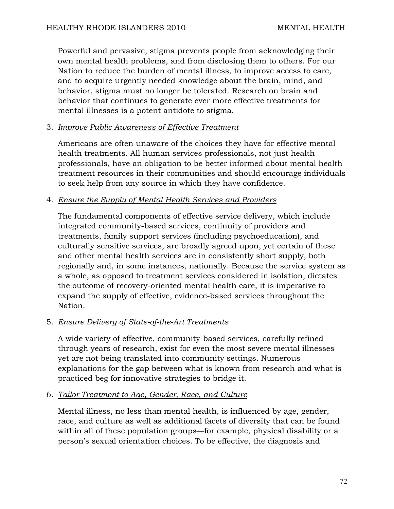Powerful and pervasive, stigma prevents people from acknowledging their own mental health problems, and from disclosing them to others. For our Nation to reduce the burden of mental illness, to improve access to care, and to acquire urgently needed knowledge about the brain, mind, and behavior, stigma must no longer be tolerated. Research on brain and behavior that continues to generate ever more effective treatments for mental illnesses is a potent antidote to stigma.

## 3. *Improve Public Awareness of Effective Treatment*

Americans are often unaware of the choices they have for effective mental health treatments. All human services professionals, not just health professionals, have an obligation to be better informed about mental health treatment resources in their communities and should encourage individuals to seek help from any source in which they have confidence.

# 4. *Ensure the Supply of Mental Health Services and Providers*

The fundamental components of effective service delivery, which include integrated community-based services, continuity of providers and treatments, family support services (including psychoeducation), and culturally sensitive services, are broadly agreed upon, yet certain of these and other mental health services are in consistently short supply, both regionally and, in some instances, nationally. Because the service system as a whole, as opposed to treatment services considered in isolation, dictates the outcome of recovery-oriented mental health care, it is imperative to expand the supply of effective, evidence-based services throughout the Nation.

# 5. *Ensure Delivery of State-of-the-Art Treatments*

A wide variety of effective, community-based services, carefully refined through years of research, exist for even the most severe mental illnesses yet are not being translated into community settings. Numerous explanations for the gap between what is known from research and what is practiced beg for innovative strategies to bridge it.

# 6. *Tailor Treatment to Age, Gender, Race, and Culture*

Mental illness, no less than mental health, is influenced by age, gender, race, and culture as well as additional facets of diversity that can be found within all of these population groups—for example, physical disability or a person's sexual orientation choices. To be effective, the diagnosis and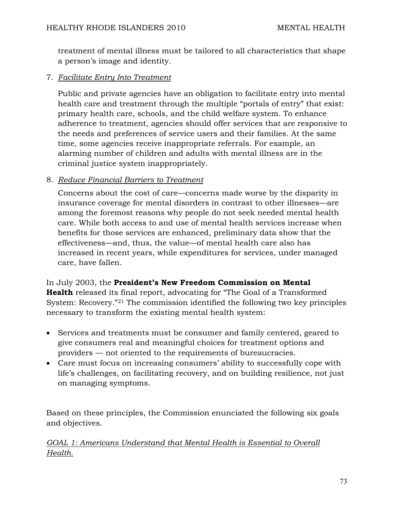treatment of mental illness must be tailored to all characteristics that shape a person's image and identity.

## 7. *Facilitate Entry Into Treatment*

Public and private agencies have an obligation to facilitate entry into mental health care and treatment through the multiple "portals of entry" that exist: primary health care, schools, and the child welfare system. To enhance adherence to treatment, agencies should offer services that are responsive to the needs and preferences of service users and their families. At the same time, some agencies receive inappropriate referrals. For example, an alarming number of children and adults with mental illness are in the criminal justice system inappropriately.

### 8. *Reduce Financial Barriers to Treatment*

Concerns about the cost of care—concerns made worse by the disparity in insurance coverage for mental disorders in contrast to other illnesses—are among the foremost reasons why people do not seek needed mental health care. While both access to and use of mental health services increase when benefits for those services are enhanced, preliminary data show that the effectiveness—and, thus, the value—of mental health care also has increased in recent years, while expenditures for services, under managed care, have fallen.

In July 2003, the **President's New Freedom Commission on Mental Health** released its final report, advocating for "The Goal of a Transformed System: Recovery."21 The commission identified the following two key principles necessary to transform the existing mental health system:

- Services and treatments must be consumer and family centered, geared to give consumers real and meaningful choices for treatment options and providers — not oriented to the requirements of bureaucracies.
- Care must focus on increasing consumers' ability to successfully cope with life's challenges, on facilitating recovery, and on building resilience, not just on managing symptoms.

Based on these principles, the Commission enunciated the following six goals and objectives.

*GOAL 1: Americans Understand that Mental Health is Essential to Overall Health.*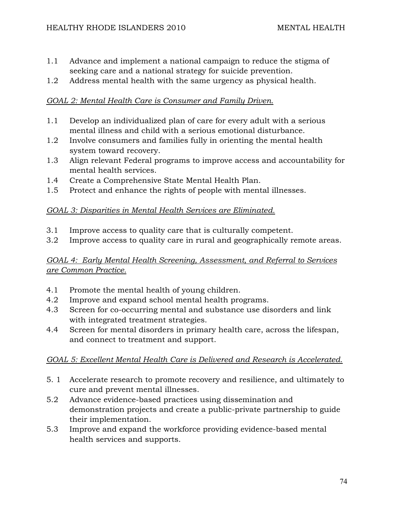- 1.1 Advance and implement a national campaign to reduce the stigma of seeking care and a national strategy for suicide prevention.
- 1.2 Address mental health with the same urgency as physical health.

## *GOAL 2: Mental Health Care is Consumer and Family Driven.*

- 1.1 Develop an individualized plan of care for every adult with a serious mental illness and child with a serious emotional disturbance.
- 1.2 Involve consumers and families fully in orienting the mental health system toward recovery.
- 1.3 Align relevant Federal programs to improve access and accountability for mental health services.
- 1.4 Create a Comprehensive State Mental Health Plan.
- 1.5 Protect and enhance the rights of people with mental illnesses.

### *GOAL 3: Disparities in Mental Health Services are Eliminated.*

- 3.1 Improve access to quality care that is culturally competent.
- 3.2 Improve access to quality care in rural and geographically remote areas.

## *GOAL 4: Early Mental Health Screening, Assessment, and Referral to Services are Common Practice.*

- 4.1 Promote the mental health of young children.
- 4.2 Improve and expand school mental health programs.
- 4.3 Screen for co-occurring mental and substance use disorders and link with integrated treatment strategies.
- 4.4 Screen for mental disorders in primary health care, across the lifespan, and connect to treatment and support.

## *GOAL 5: Excellent Mental Health Care is Delivered and Research is Accelerated.*

- 5. 1 Accelerate research to promote recovery and resilience, and ultimately to cure and prevent mental illnesses.
- 5.2 Advance evidence-based practices using dissemination and demonstration projects and create a public-private partnership to guide their implementation.
- 5.3 Improve and expand the workforce providing evidence-based mental health services and supports.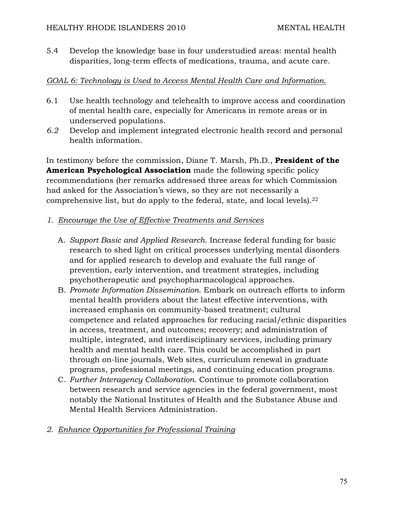5.4 Develop the knowledge base in four understudied areas: mental health disparities, long-term effects of medications, trauma, and acute care.

## *GOAL 6: Technology is Used to Access Mental Health Care and Information.*

- 6.1 Use health technology and telehealth to improve access and coordination of mental health care, especially for Americans in remote areas or in underserved populations.
- *6.2* Develop and implement integrated electronic health record and personal health information.

In testimony before the commission, Diane T. Marsh, Ph.D., **President of the American Psychological Association** made the following specific policy recommendations (her remarks addressed three areas for which Commission had asked for the Association's views, so they are not necessarily a comprehensive list, but do apply to the federal, state, and local levels).22

### *1. Encourage the Use of Effective Treatments and Services*

- A. *Support Basic and Applied Research*. Increase federal funding for basic research to shed light on critical processes underlying mental disorders and for applied research to develop and evaluate the full range of prevention, early intervention, and treatment strategies, including psychotherapeutic and psychopharmacological approaches.
- B. *Promote Information Dissemination*. Embark on outreach efforts to inform mental health providers about the latest effective interventions, with increased emphasis on community-based treatment; cultural competence and related approaches for reducing racial/ethnic disparities in access, treatment, and outcomes; recovery; and administration of multiple, integrated, and interdisciplinary services, including primary health and mental health care. This could be accomplished in part through on-line journals, Web sites, curriculum renewal in graduate programs, professional meetings, and continuing education programs.
- C. *Further Interagency Collaboration*. Continue to promote collaboration between research and service agencies in the federal government, most notably the National Institutes of Health and the Substance Abuse and Mental Health Services Administration.

## *2. Enhance Opportunities for Professional Training*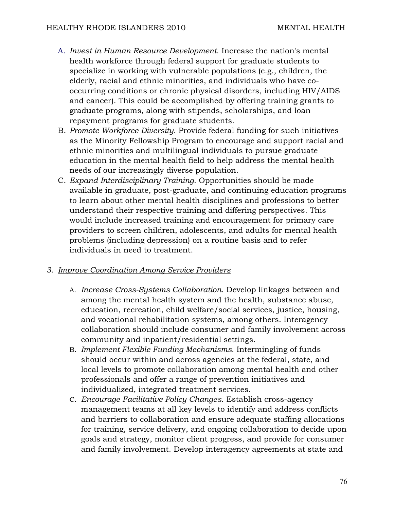- A. *Invest in Human Resource Development*. Increase the nation's mental health workforce through federal support for graduate students to specialize in working with vulnerable populations (e.g., children, the elderly, racial and ethnic minorities, and individuals who have cooccurring conditions or chronic physical disorders, including HIV/AIDS and cancer). This could be accomplished by offering training grants to graduate programs, along with stipends, scholarships, and loan repayment programs for graduate students.
- B. *Promote Workforce Diversity*. Provide federal funding for such initiatives as the Minority Fellowship Program to encourage and support racial and ethnic minorities and multilingual individuals to pursue graduate education in the mental health field to help address the mental health needs of our increasingly diverse population.
- C. *Expand Interdisciplinary Training*. Opportunities should be made available in graduate, post-graduate, and continuing education programs to learn about other mental health disciplines and professions to better understand their respective training and differing perspectives. This would include increased training and encouragement for primary care providers to screen children, adolescents, and adults for mental health problems (including depression) on a routine basis and to refer individuals in need to treatment.

#### *3. Improve Coordination Among Service Providers*

- A. *Increase Cross-Systems Collaboration*. Develop linkages between and among the mental health system and the health, substance abuse, education, recreation, child welfare/social services, justice, housing, and vocational rehabilitation systems, among others. Interagency collaboration should include consumer and family involvement across community and inpatient/residential settings.
- B. *Implement Flexible Funding Mechanisms*. Intermingling of funds should occur within and across agencies at the federal, state, and local levels to promote collaboration among mental health and other professionals and offer a range of prevention initiatives and individualized, integrated treatment services.
- C. *Encourage Facilitative Policy Changes*. Establish cross-agency management teams at all key levels to identify and address conflicts and barriers to collaboration and ensure adequate staffing allocations for training, service delivery, and ongoing collaboration to decide upon goals and strategy, monitor client progress, and provide for consumer and family involvement. Develop interagency agreements at state and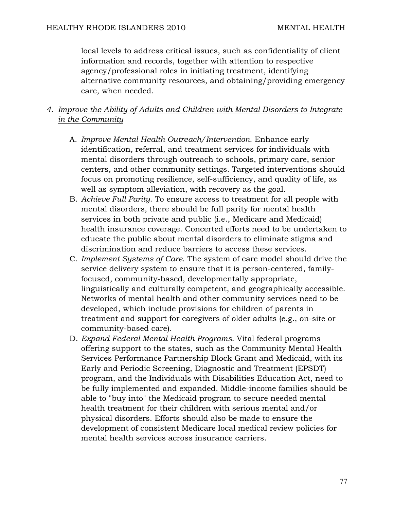local levels to address critical issues, such as confidentiality of client information and records, together with attention to respective agency/professional roles in initiating treatment, identifying alternative community resources, and obtaining/providing emergency care, when needed.

## *4. Improve the Ability of Adults and Children with Mental Disorders to Integrate in the Community*

- A. *Improve Mental Health Outreach/Intervention*. Enhance early identification, referral, and treatment services for individuals with mental disorders through outreach to schools, primary care, senior centers, and other community settings. Targeted interventions should focus on promoting resilience, self-sufficiency, and quality of life, as well as symptom alleviation, with recovery as the goal.
- B. *Achieve Full Parity*. To ensure access to treatment for all people with mental disorders, there should be full parity for mental health services in both private and public (i.e., Medicare and Medicaid) health insurance coverage. Concerted efforts need to be undertaken to educate the public about mental disorders to eliminate stigma and discrimination and reduce barriers to access these services.
- C. *Implement Systems of Care*. The system of care model should drive the service delivery system to ensure that it is person-centered, familyfocused, community-based, developmentally appropriate, linguistically and culturally competent, and geographically accessible. Networks of mental health and other community services need to be developed, which include provisions for children of parents in treatment and support for caregivers of older adults (e.g., on-site or community-based care).
- D. *Expand Federal Mental Health Programs*. Vital federal programs offering support to the states, such as the Community Mental Health Services Performance Partnership Block Grant and Medicaid, with its Early and Periodic Screening, Diagnostic and Treatment (EPSDT) program, and the Individuals with Disabilities Education Act, need to be fully implemented and expanded. Middle-income families should be able to "buy into" the Medicaid program to secure needed mental health treatment for their children with serious mental and/or physical disorders. Efforts should also be made to ensure the development of consistent Medicare local medical review policies for mental health services across insurance carriers.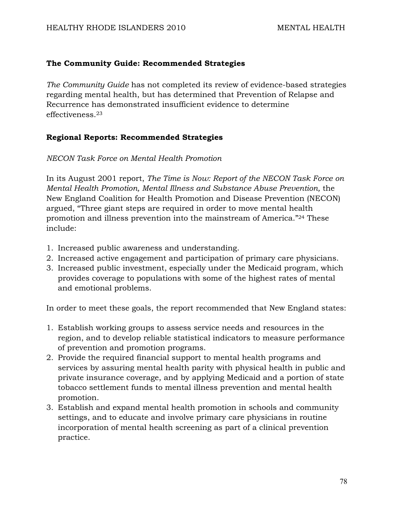#### **The Community Guide: Recommended Strategies**

*The Community Guide* has not completed its review of evidence-based strategies regarding mental health, but has determined that Prevention of Relapse and Recurrence has demonstrated insufficient evidence to determine effectiveness.23

### **Regional Reports: Recommended Strategies**

*NECON Task Force on Mental Health Promotion* 

In its August 2001 report, *The Time is Now: Report of the NECON Task Force on Mental Health Promotion, Mental Illness and Substance Abuse Prevention,* the New England Coalition for Health Promotion and Disease Prevention (NECON) argued, "Three giant steps are required in order to move mental health promotion and illness prevention into the mainstream of America."24 These include:

- 1. Increased public awareness and understanding.
- 2. Increased active engagement and participation of primary care physicians.
- 3. Increased public investment, especially under the Medicaid program, which provides coverage to populations with some of the highest rates of mental and emotional problems.

In order to meet these goals, the report recommended that New England states:

- 1. Establish working groups to assess service needs and resources in the region, and to develop reliable statistical indicators to measure performance of prevention and promotion programs.
- 2. Provide the required financial support to mental health programs and services by assuring mental health parity with physical health in public and private insurance coverage, and by applying Medicaid and a portion of state tobacco settlement funds to mental illness prevention and mental health promotion.
- 3. Establish and expand mental health promotion in schools and community settings, and to educate and involve primary care physicians in routine incorporation of mental health screening as part of a clinical prevention practice.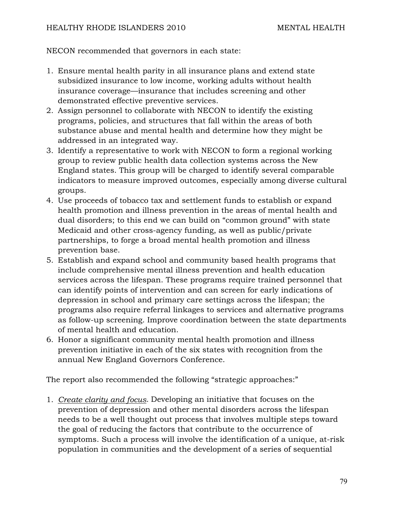NECON recommended that governors in each state:

- 1. Ensure mental health parity in all insurance plans and extend state subsidized insurance to low income, working adults without health insurance coverage—insurance that includes screening and other demonstrated effective preventive services.
- 2. Assign personnel to collaborate with NECON to identify the existing programs, policies, and structures that fall within the areas of both substance abuse and mental health and determine how they might be addressed in an integrated way.
- 3. Identify a representative to work with NECON to form a regional working group to review public health data collection systems across the New England states. This group will be charged to identify several comparable indicators to measure improved outcomes, especially among diverse cultural groups.
- 4. Use proceeds of tobacco tax and settlement funds to establish or expand health promotion and illness prevention in the areas of mental health and dual disorders; to this end we can build on "common ground" with state Medicaid and other cross-agency funding, as well as public/private partnerships, to forge a broad mental health promotion and illness prevention base.
- 5. Establish and expand school and community based health programs that include comprehensive mental illness prevention and health education services across the lifespan. These programs require trained personnel that can identify points of intervention and can screen for early indications of depression in school and primary care settings across the lifespan; the programs also require referral linkages to services and alternative programs as follow-up screening. Improve coordination between the state departments of mental health and education.
- 6. Honor a significant community mental health promotion and illness prevention initiative in each of the six states with recognition from the annual New England Governors Conference.

The report also recommended the following "strategic approaches:"

1. *Create clarity and focus.* Developing an initiative that focuses on the prevention of depression and other mental disorders across the lifespan needs to be a well thought out process that involves multiple steps toward the goal of reducing the factors that contribute to the occurrence of symptoms. Such a process will involve the identification of a unique, at-risk population in communities and the development of a series of sequential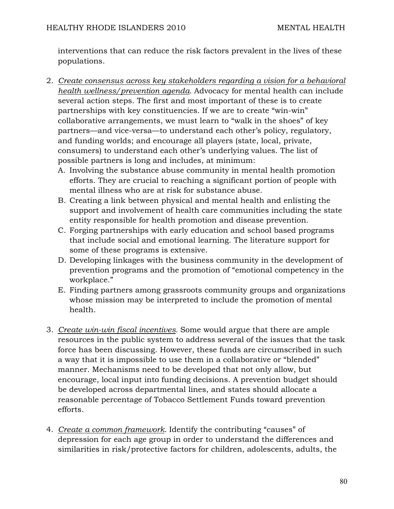interventions that can reduce the risk factors prevalent in the lives of these populations.

- 2. *Create consensus across key stakeholders regarding a vision for a behavioral health wellness/prevention agenda.* Advocacy for mental health can include several action steps. The first and most important of these is to create partnerships with key constituencies. If we are to create "win-win" collaborative arrangements, we must learn to "walk in the shoes" of key partners—and vice-versa—to understand each other's policy, regulatory, and funding worlds; and encourage all players (state, local, private, consumers) to understand each other's underlying values. The list of possible partners is long and includes, at minimum:
	- A. Involving the substance abuse community in mental health promotion efforts. They are crucial to reaching a significant portion of people with mental illness who are at risk for substance abuse.
	- B. Creating a link between physical and mental health and enlisting the support and involvement of health care communities including the state entity responsible for health promotion and disease prevention.
	- C. Forging partnerships with early education and school based programs that include social and emotional learning. The literature support for some of these programs is extensive.
	- D. Developing linkages with the business community in the development of prevention programs and the promotion of "emotional competency in the workplace."
	- E. Finding partners among grassroots community groups and organizations whose mission may be interpreted to include the promotion of mental health.
- 3. *Create win-win fiscal incentives.* Some would argue that there are ample resources in the public system to address several of the issues that the task force has been discussing. However, these funds are circumscribed in such a way that it is impossible to use them in a collaborative or "blended" manner. Mechanisms need to be developed that not only allow, but encourage, local input into funding decisions. A prevention budget should be developed across departmental lines, and states should allocate a reasonable percentage of Tobacco Settlement Funds toward prevention efforts.
- 4. *Create a common framework.* Identify the contributing "causes" of depression for each age group in order to understand the differences and similarities in risk/protective factors for children, adolescents, adults, the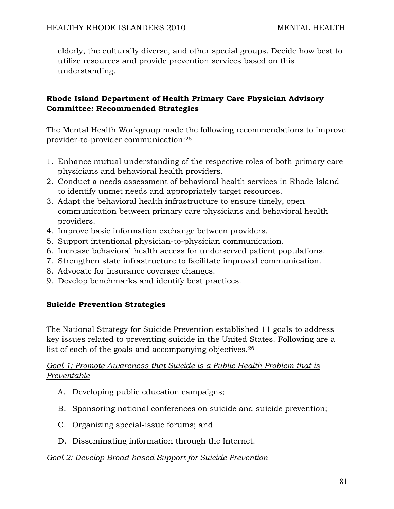elderly, the culturally diverse, and other special groups. Decide how best to utilize resources and provide prevention services based on this understanding.

## **Rhode Island Department of Health Primary Care Physician Advisory Committee: Recommended Strategies**

The Mental Health Workgroup made the following recommendations to improve provider-to-provider communication:25

- 1. Enhance mutual understanding of the respective roles of both primary care physicians and behavioral health providers.
- 2. Conduct a needs assessment of behavioral health services in Rhode Island to identify unmet needs and appropriately target resources.
- 3. Adapt the behavioral health infrastructure to ensure timely, open communication between primary care physicians and behavioral health providers.
- 4. Improve basic information exchange between providers.
- 5. Support intentional physician-to-physician communication.
- 6. Increase behavioral health access for underserved patient populations.
- 7. Strengthen state infrastructure to facilitate improved communication.
- 8. Advocate for insurance coverage changes.
- 9. Develop benchmarks and identify best practices.

## **Suicide Prevention Strategies**

The National Strategy for Suicide Prevention established 11 goals to address key issues related to preventing suicide in the United States. Following are a list of each of the goals and accompanying objectives.26

## *Goal 1: Promote Awareness that Suicide is a Public Health Problem that is Preventable*

- A. Developing public education campaigns;
- B. Sponsoring national conferences on suicide and suicide prevention;
- C. Organizing special-issue forums; and
- D. Disseminating information through the Internet.

#### *Goal 2: Develop Broad-based Support for Suicide Prevention*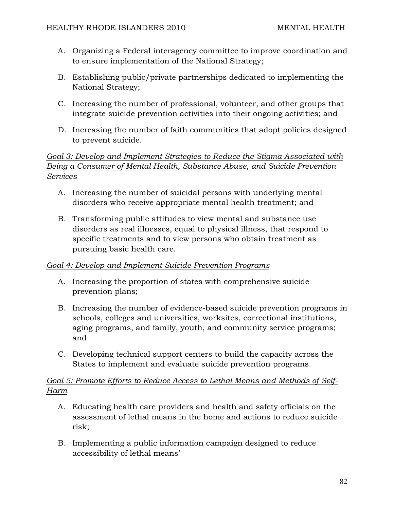- A. Organizing a Federal interagency committee to improve coordination and to ensure implementation of the National Strategy;
- B. Establishing public/private partnerships dedicated to implementing the National Strategy;
- C. Increasing the number of professional, volunteer, and other groups that integrate suicide prevention activities into their ongoing activities; and
- D. Increasing the number of faith communities that adopt policies designed to prevent suicide.

## *Goal 3: Develop and Implement Strategies to Reduce the Stigma Associated with Being a Consumer of Mental Health, Substance Abuse, and Suicide Prevention Services*

- A. Increasing the number of suicidal persons with underlying mental disorders who receive appropriate mental health treatment; and
- B. Transforming public attitudes to view mental and substance use disorders as real illnesses, equal to physical illness, that respond to specific treatments and to view persons who obtain treatment as pursuing basic health care.

## *Goal 4: Develop and Implement Suicide Prevention Programs*

- A. Increasing the proportion of states with comprehensive suicide prevention plans;
- B. Increasing the number of evidence-based suicide prevention programs in schools, colleges and universities, worksites, correctional institutions, aging programs, and family, youth, and community service programs; and
- C. Developing technical support centers to build the capacity across the States to implement and evaluate suicide prevention programs.

## *Goal 5: Promote Efforts to Reduce Access to Lethal Means and Methods of Self-Harm*

- A. Educating health care providers and health and safety officials on the assessment of lethal means in the home and actions to reduce suicide risk;
- B. Implementing a public information campaign designed to reduce accessibility of lethal means'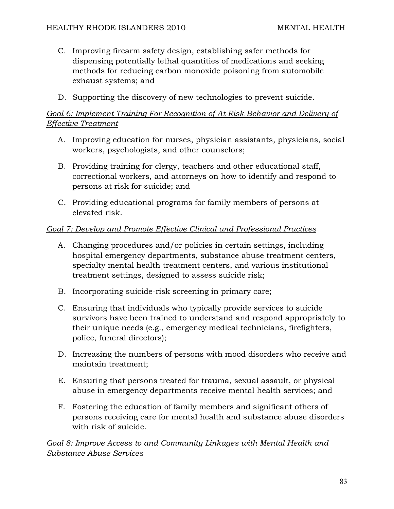- C. Improving firearm safety design, establishing safer methods for dispensing potentially lethal quantities of medications and seeking methods for reducing carbon monoxide poisoning from automobile exhaust systems; and
- D. Supporting the discovery of new technologies to prevent suicide.

## *Goal 6: Implement Training For Recognition of At-Risk Behavior and Delivery of Effective Treatment*

- A. Improving education for nurses, physician assistants, physicians, social workers, psychologists, and other counselors;
- B. Providing training for clergy, teachers and other educational staff, correctional workers, and attorneys on how to identify and respond to persons at risk for suicide; and
- C. Providing educational programs for family members of persons at elevated risk.

### *Goal 7: Develop and Promote Effective Clinical and Professional Practices*

- A. Changing procedures and/or policies in certain settings, including hospital emergency departments, substance abuse treatment centers, specialty mental health treatment centers, and various institutional treatment settings, designed to assess suicide risk;
- B. Incorporating suicide-risk screening in primary care;
- C. Ensuring that individuals who typically provide services to suicide survivors have been trained to understand and respond appropriately to their unique needs (e.g., emergency medical technicians, firefighters, police, funeral directors);
- D. Increasing the numbers of persons with mood disorders who receive and maintain treatment;
- E. Ensuring that persons treated for trauma, sexual assault, or physical abuse in emergency departments receive mental health services; and
- F. Fostering the education of family members and significant others of persons receiving care for mental health and substance abuse disorders with risk of suicide.

*Goal 8: Improve Access to and Community Linkages with Mental Health and Substance Abuse Services*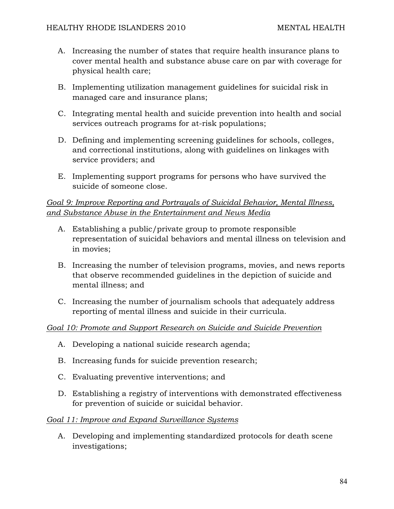- A. Increasing the number of states that require health insurance plans to cover mental health and substance abuse care on par with coverage for physical health care;
- B. Implementing utilization management guidelines for suicidal risk in managed care and insurance plans;
- C. Integrating mental health and suicide prevention into health and social services outreach programs for at-risk populations;
- D. Defining and implementing screening guidelines for schools, colleges, and correctional institutions, along with guidelines on linkages with service providers; and
- E. Implementing support programs for persons who have survived the suicide of someone close.

## *Goal 9: Improve Reporting and Portrayals of Suicidal Behavior, Mental Illness, and Substance Abuse in the Entertainment and News Media*

- A. Establishing a public/private group to promote responsible representation of suicidal behaviors and mental illness on television and in movies;
- B. Increasing the number of television programs, movies, and news reports that observe recommended guidelines in the depiction of suicide and mental illness; and
- C. Increasing the number of journalism schools that adequately address reporting of mental illness and suicide in their curricula.

## *Goal 10: Promote and Support Research on Suicide and Suicide Prevention*

- A. Developing a national suicide research agenda;
- B. Increasing funds for suicide prevention research;
- C. Evaluating preventive interventions; and
- D. Establishing a registry of interventions with demonstrated effectiveness for prevention of suicide or suicidal behavior.

#### *Goal 11: Improve and Expand Surveillance Systems*

A. Developing and implementing standardized protocols for death scene investigations;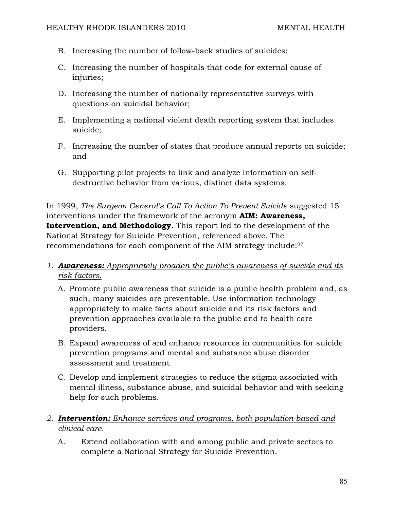- B. Increasing the number of follow-back studies of suicides;
- C. Increasing the number of hospitals that code for external cause of injuries;
- D. Increasing the number of nationally representative surveys with questions on suicidal behavior;
- E. Implementing a national violent death reporting system that includes suicide;
- F. Increasing the number of states that produce annual reports on suicide; and
- G. Supporting pilot projects to link and analyze information on selfdestructive behavior from various, distinct data systems.

In 1999, *The Surgeon General's Call To Action To Prevent Suicide* suggested 15 interventions under the framework of the acronym **AIM: Awareness, Intervention, and Methodology.** This report led to the development of the National Strategy for Suicide Prevention, referenced above. The recommendations for each component of the AIM strategy include:27

# *1. Awareness: Appropriately broaden the public's awareness of suicide and its risk factors.*

- A. Promote public awareness that suicide is a public health problem and, as such, many suicides are preventable. Use information technology appropriately to make facts about suicide and its risk factors and prevention approaches available to the public and to health care providers.
- B. Expand awareness of and enhance resources in communities for suicide prevention programs and mental and substance abuse disorder assessment and treatment.
- C. Develop and implement strategies to reduce the stigma associated with mental illness, substance abuse, and suicidal behavior and with seeking help for such problems.

## *2. Intervention: Enhance services and programs, both population-based and clinical care.*

A. Extend collaboration with and among public and private sectors to complete a National Strategy for Suicide Prevention.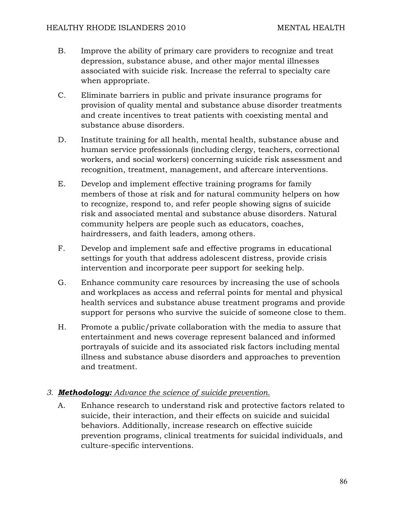- B. Improve the ability of primary care providers to recognize and treat depression, substance abuse, and other major mental illnesses associated with suicide risk. Increase the referral to specialty care when appropriate.
- C. Eliminate barriers in public and private insurance programs for provision of quality mental and substance abuse disorder treatments and create incentives to treat patients with coexisting mental and substance abuse disorders.
- D. Institute training for all health, mental health, substance abuse and human service professionals (including clergy, teachers, correctional workers, and social workers) concerning suicide risk assessment and recognition, treatment, management, and aftercare interventions.
- E. Develop and implement effective training programs for family members of those at risk and for natural community helpers on how to recognize, respond to, and refer people showing signs of suicide risk and associated mental and substance abuse disorders. Natural community helpers are people such as educators, coaches, hairdressers, and faith leaders, among others.
- F. Develop and implement safe and effective programs in educational settings for youth that address adolescent distress, provide crisis intervention and incorporate peer support for seeking help.
- G. Enhance community care resources by increasing the use of schools and workplaces as access and referral points for mental and physical health services and substance abuse treatment programs and provide support for persons who survive the suicide of someone close to them.
- H. Promote a public/private collaboration with the media to assure that entertainment and news coverage represent balanced and informed portrayals of suicide and its associated risk factors including mental illness and substance abuse disorders and approaches to prevention and treatment.

## *3. Methodology: Advance the science of suicide prevention.*

A. Enhance research to understand risk and protective factors related to suicide, their interaction, and their effects on suicide and suicidal behaviors. Additionally, increase research on effective suicide prevention programs, clinical treatments for suicidal individuals, and culture-specific interventions.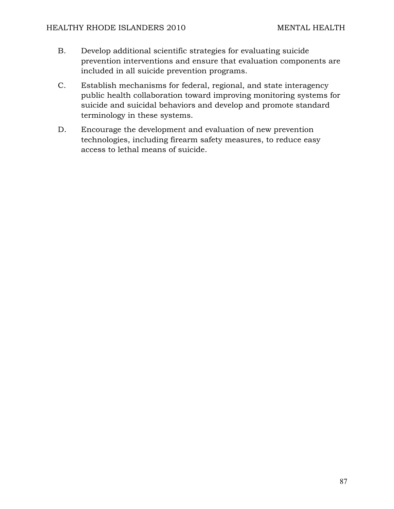- B. Develop additional scientific strategies for evaluating suicide prevention interventions and ensure that evaluation components are included in all suicide prevention programs.
- C. Establish mechanisms for federal, regional, and state interagency public health collaboration toward improving monitoring systems for suicide and suicidal behaviors and develop and promote standard terminology in these systems.
- D. Encourage the development and evaluation of new prevention technologies, including firearm safety measures, to reduce easy access to lethal means of suicide.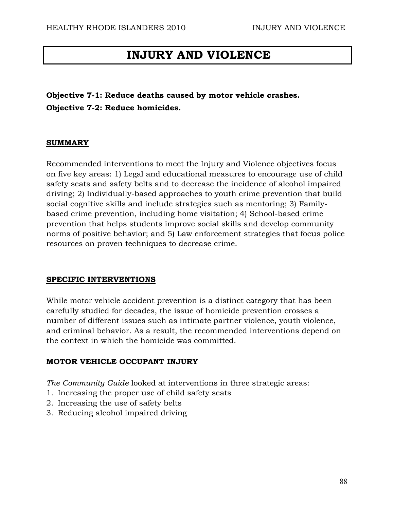# **INJURY AND VIOLENCE**

**Objective 7-1: Reduce deaths caused by motor vehicle crashes. Objective 7-2: Reduce homicides.** 

#### **SUMMARY**

Recommended interventions to meet the Injury and Violence objectives focus on five key areas: 1) Legal and educational measures to encourage use of child safety seats and safety belts and to decrease the incidence of alcohol impaired driving; 2) Individually-based approaches to youth crime prevention that build social cognitive skills and include strategies such as mentoring; 3) Familybased crime prevention, including home visitation; 4) School-based crime prevention that helps students improve social skills and develop community norms of positive behavior; and 5) Law enforcement strategies that focus police resources on proven techniques to decrease crime.

#### **SPECIFIC INTERVENTIONS**

While motor vehicle accident prevention is a distinct category that has been carefully studied for decades, the issue of homicide prevention crosses a number of different issues such as intimate partner violence, youth violence, and criminal behavior. As a result, the recommended interventions depend on the context in which the homicide was committed.

#### **MOTOR VEHICLE OCCUPANT INJURY**

*The Community Guide* looked at interventions in three strategic areas:

- 1. Increasing the proper use of child safety seats
- 2. Increasing the use of safety belts
- 3. Reducing alcohol impaired driving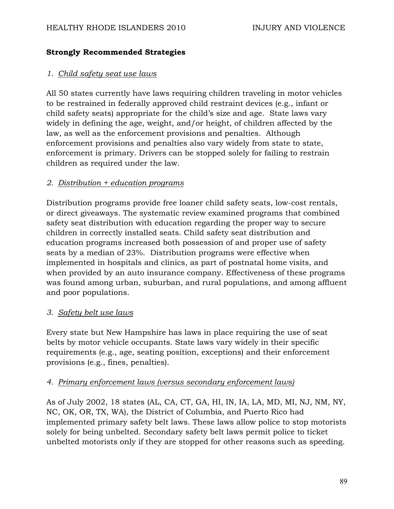## **Strongly Recommended Strategies**

## *1. Child safety seat use laws*

All 50 states currently have laws requiring children traveling in motor vehicles to be restrained in federally approved child restraint devices (e.g., infant or child safety seats) appropriate for the child's size and age. State laws vary widely in defining the age, weight, and/or height, of children affected by the law, as well as the enforcement provisions and penalties. Although enforcement provisions and penalties also vary widely from state to state, enforcement is primary. Drivers can be stopped solely for failing to restrain children as required under the law.

### *2. Distribution + education programs*

Distribution programs provide free loaner child safety seats, low-cost rentals, or direct giveaways. The systematic review examined programs that combined safety seat distribution with education regarding the proper way to secure children in correctly installed seats. Child safety seat distribution and education programs increased both possession of and proper use of safety seats by a median of 23%. Distribution programs were effective when implemented in hospitals and clinics, as part of postnatal home visits, and when provided by an auto insurance company. Effectiveness of these programs was found among urban, suburban, and rural populations, and among affluent and poor populations.

#### *3. Safety belt use laws*

Every state but New Hampshire has laws in place requiring the use of seat belts by motor vehicle occupants. State laws vary widely in their specific requirements (e.g., age, seating position, exceptions) and their enforcement provisions (e.g., fines, penalties).

#### *4. Primary enforcement laws (versus secondary enforcement laws)*

As of July 2002, 18 states (AL, CA, CT, GA, HI, IN, IA, LA, MD, MI, NJ, NM, NY, NC, OK, OR, TX, WA), the District of Columbia, and Puerto Rico had implemented primary safety belt laws. These laws allow police to stop motorists solely for being unbelted. Secondary safety belt laws permit police to ticket unbelted motorists only if they are stopped for other reasons such as speeding.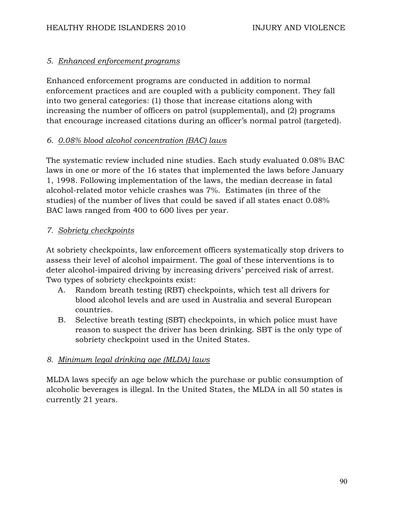## *5. Enhanced enforcement programs*

Enhanced enforcement programs are conducted in addition to normal enforcement practices and are coupled with a publicity component. They fall into two general categories: (1) those that increase citations along with increasing the number of officers on patrol (supplemental), and (2) programs that encourage increased citations during an officer's normal patrol (targeted).

### *6. 0.08% blood alcohol concentration (BAC) laws*

The systematic review included nine studies. Each study evaluated 0.08% BAC laws in one or more of the 16 states that implemented the laws before January 1, 1998. Following implementation of the laws, the median decrease in fatal alcohol-related motor vehicle crashes was 7%. Estimates (in three of the studies) of the number of lives that could be saved if all states enact 0.08% BAC laws ranged from 400 to 600 lives per year.

### *7. Sobriety checkpoints*

At sobriety checkpoints, law enforcement officers systematically stop drivers to assess their level of alcohol impairment. The goal of these interventions is to deter alcohol-impaired driving by increasing drivers' perceived risk of arrest. Two types of sobriety checkpoints exist:

- A. Random breath testing (RBT) checkpoints, which test all drivers for blood alcohol levels and are used in Australia and several European countries.
- B. Selective breath testing (SBT) checkpoints, in which police must have reason to suspect the driver has been drinking. SBT is the only type of sobriety checkpoint used in the United States.

#### *8. Minimum legal drinking age (MLDA) laws*

MLDA laws specify an age below which the purchase or public consumption of alcoholic beverages is illegal. In the United States, the MLDA in all 50 states is currently 21 years.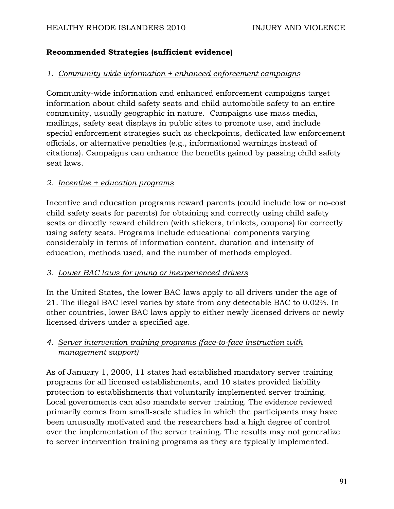## **Recommended Strategies (sufficient evidence)**

### *1. Community-wide information + enhanced enforcement campaigns*

Community-wide information and enhanced enforcement campaigns target information about child safety seats and child automobile safety to an entire community, usually geographic in nature. Campaigns use mass media, mailings, safety seat displays in public sites to promote use, and include special enforcement strategies such as checkpoints, dedicated law enforcement officials, or alternative penalties (e.g., informational warnings instead of citations). Campaigns can enhance the benefits gained by passing child safety seat laws.

### *2. Incentive + education programs*

Incentive and education programs reward parents (could include low or no-cost child safety seats for parents) for obtaining and correctly using child safety seats or directly reward children (with stickers, trinkets, coupons) for correctly using safety seats. Programs include educational components varying considerably in terms of information content, duration and intensity of education, methods used, and the number of methods employed.

#### *3. Lower BAC laws for young or inexperienced drivers*

In the United States, the lower BAC laws apply to all drivers under the age of 21. The illegal BAC level varies by state from any detectable BAC to 0.02%. In other countries, lower BAC laws apply to either newly licensed drivers or newly licensed drivers under a specified age.

## *4. Server intervention training programs (face-to-face instruction with management support)*

As of January 1, 2000, 11 states had established mandatory server training programs for all licensed establishments, and 10 states provided liability protection to establishments that voluntarily implemented server training. Local governments can also mandate server training. The evidence reviewed primarily comes from small-scale studies in which the participants may have been unusually motivated and the researchers had a high degree of control over the implementation of the server training. The results may not generalize to server intervention training programs as they are typically implemented.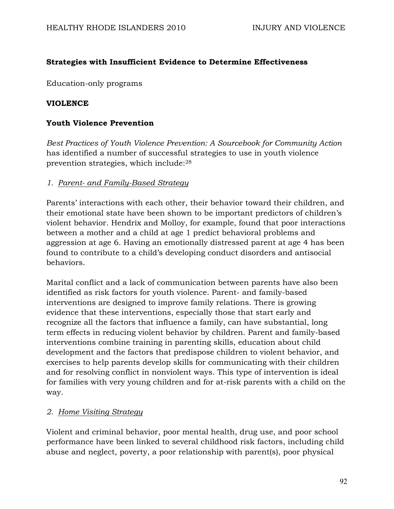## **Strategies with Insufficient Evidence to Determine Effectiveness**

Education-only programs

## **VIOLENCE**

## **Youth Violence Prevention**

*Best Practices of Youth Violence Prevention: A Sourcebook for Community Action*  has identified a number of successful strategies to use in youth violence prevention strategies, which include:28

### *1. Parent- and Family-Based Strategy*

Parents' interactions with each other, their behavior toward their children, and their emotional state have been shown to be important predictors of children's violent behavior. Hendrix and Molloy, for example, found that poor interactions between a mother and a child at age 1 predict behavioral problems and aggression at age 6. Having an emotionally distressed parent at age 4 has been found to contribute to a child's developing conduct disorders and antisocial behaviors.

Marital conflict and a lack of communication between parents have also been identified as risk factors for youth violence. Parent- and family-based interventions are designed to improve family relations. There is growing evidence that these interventions, especially those that start early and recognize all the factors that influence a family, can have substantial, long term effects in reducing violent behavior by children. Parent and family-based interventions combine training in parenting skills, education about child development and the factors that predispose children to violent behavior, and exercises to help parents develop skills for communicating with their children and for resolving conflict in nonviolent ways. This type of intervention is ideal for families with very young children and for at-risk parents with a child on the way.

## *2. Home Visiting Strategy*

Violent and criminal behavior, poor mental health, drug use, and poor school performance have been linked to several childhood risk factors, including child abuse and neglect, poverty, a poor relationship with parent(s), poor physical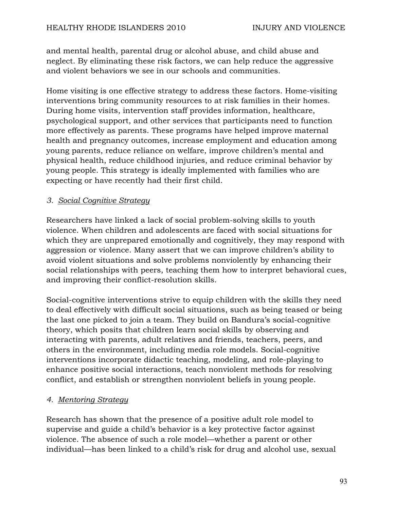and mental health, parental drug or alcohol abuse, and child abuse and neglect. By eliminating these risk factors, we can help reduce the aggressive and violent behaviors we see in our schools and communities.

Home visiting is one effective strategy to address these factors. Home-visiting interventions bring community resources to at risk families in their homes. During home visits, intervention staff provides information, healthcare, psychological support, and other services that participants need to function more effectively as parents. These programs have helped improve maternal health and pregnancy outcomes, increase employment and education among young parents, reduce reliance on welfare, improve children's mental and physical health, reduce childhood injuries, and reduce criminal behavior by young people. This strategy is ideally implemented with families who are expecting or have recently had their first child.

### *3. Social Cognitive Strategy*

Researchers have linked a lack of social problem-solving skills to youth violence. When children and adolescents are faced with social situations for which they are unprepared emotionally and cognitively, they may respond with aggression or violence. Many assert that we can improve children's ability to avoid violent situations and solve problems nonviolently by enhancing their social relationships with peers, teaching them how to interpret behavioral cues, and improving their conflict-resolution skills.

Social-cognitive interventions strive to equip children with the skills they need to deal effectively with difficult social situations, such as being teased or being the last one picked to join a team. They build on Bandura's social-cognitive theory, which posits that children learn social skills by observing and interacting with parents, adult relatives and friends, teachers, peers, and others in the environment, including media role models. Social-cognitive interventions incorporate didactic teaching, modeling, and role-playing to enhance positive social interactions, teach nonviolent methods for resolving conflict, and establish or strengthen nonviolent beliefs in young people.

## *4. Mentoring Strategy*

Research has shown that the presence of a positive adult role model to supervise and guide a child's behavior is a key protective factor against violence. The absence of such a role model—whether a parent or other individual—has been linked to a child's risk for drug and alcohol use, sexual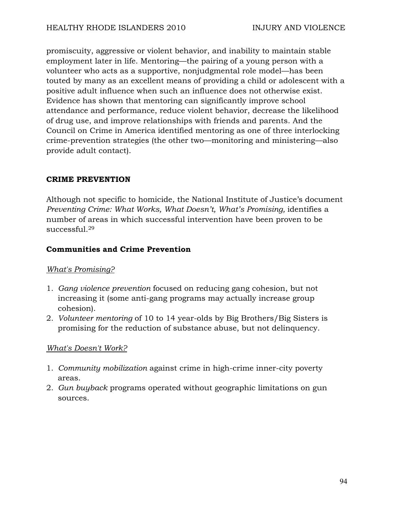promiscuity, aggressive or violent behavior, and inability to maintain stable employment later in life. Mentoring—the pairing of a young person with a volunteer who acts as a supportive, nonjudgmental role model—has been touted by many as an excellent means of providing a child or adolescent with a positive adult influence when such an influence does not otherwise exist. Evidence has shown that mentoring can significantly improve school attendance and performance, reduce violent behavior, decrease the likelihood of drug use, and improve relationships with friends and parents. And the Council on Crime in America identified mentoring as one of three interlocking crime-prevention strategies (the other two—monitoring and ministering—also provide adult contact).

### **CRIME PREVENTION**

Although not specific to homicide, the National Institute of Justice's document *Preventing Crime: What Works, What Doesn't, What's Promising, identifies a* number of areas in which successful intervention have been proven to be successful.<sup>29</sup>

### **Communities and Crime Prevention**

#### *What's Promising?*

- 1. *Gang violence prevention* focused on reducing gang cohesion, but not increasing it (some anti-gang programs may actually increase group cohesion).
- 2. *Volunteer mentoring* of 10 to 14 year-olds by Big Brothers/Big Sisters is promising for the reduction of substance abuse, but not delinquency.

#### *What's Doesn't Work?*

- 1. *Community mobilization* against crime in high-crime inner-city poverty areas.
- 2. *Gun buyback* programs operated without geographic limitations on gun sources.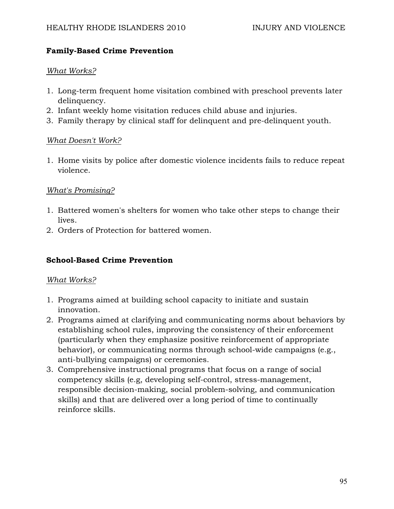### **Family-Based Crime Prevention**

### *What Works?*

- 1. Long-term frequent home visitation combined with preschool prevents later delinquency.
- 2. Infant weekly home visitation reduces child abuse and injuries.
- 3. Family therapy by clinical staff for delinquent and pre-delinquent youth.

### *What Doesn't Work?*

1. Home visits by police after domestic violence incidents fails to reduce repeat violence.

## *What's Promising?*

- 1. Battered women's shelters for women who take other steps to change their lives.
- 2. Orders of Protection for battered women.

## **School-Based Crime Prevention**

#### *What Works?*

- 1. Programs aimed at building school capacity to initiate and sustain innovation.
- 2. Programs aimed at clarifying and communicating norms about behaviors by establishing school rules, improving the consistency of their enforcement (particularly when they emphasize positive reinforcement of appropriate behavior), or communicating norms through school-wide campaigns (e.g., anti-bullying campaigns) or ceremonies.
- 3. Comprehensive instructional programs that focus on a range of social competency skills (e.g, developing self-control, stress-management, responsible decision-making, social problem-solving, and communication skills) and that are delivered over a long period of time to continually reinforce skills.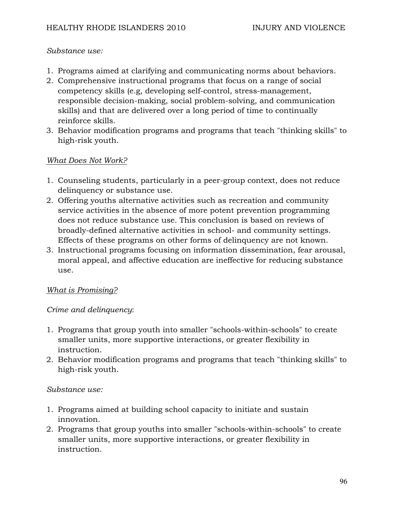#### *Substance use:*

- 1. Programs aimed at clarifying and communicating norms about behaviors.
- 2. Comprehensive instructional programs that focus on a range of social competency skills (e.g, developing self-control, stress-management, responsible decision-making, social problem-solving, and communication skills) and that are delivered over a long period of time to continually reinforce skills.
- 3. Behavior modification programs and programs that teach "thinking skills" to high-risk youth.

### *What Does Not Work?*

- 1. Counseling students, particularly in a peer-group context, does not reduce delinquency or substance use.
- 2. Offering youths alternative activities such as recreation and community service activities in the absence of more potent prevention programming does not reduce substance use. This conclusion is based on reviews of broadly-defined alternative activities in school- and community settings. Effects of these programs on other forms of delinquency are not known.
- 3. Instructional programs focusing on information dissemination, fear arousal, moral appeal, and affective education are ineffective for reducing substance use.

## *What is Promising?*

#### *Crime and delinquency*:

- 1. Programs that group youth into smaller "schools-within-schools" to create smaller units, more supportive interactions, or greater flexibility in instruction.
- 2. Behavior modification programs and programs that teach "thinking skills" to high-risk youth.

#### *Substance use:*

- 1. Programs aimed at building school capacity to initiate and sustain innovation.
- 2. Programs that group youths into smaller "schools-within-schools" to create smaller units, more supportive interactions, or greater flexibility in instruction.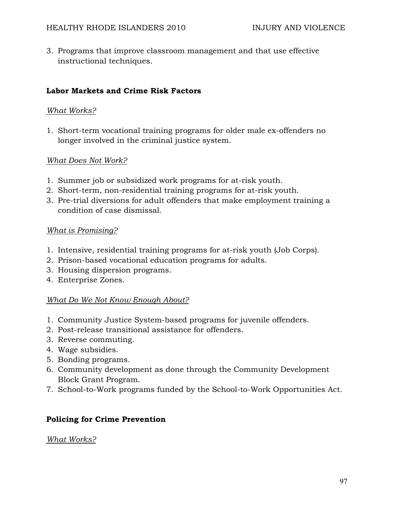3. Programs that improve classroom management and that use effective instructional techniques.

### **Labor Markets and Crime Risk Factors**

#### *What Works?*

1. Short-term vocational training programs for older male ex-offenders no longer involved in the criminal justice system.

#### *What Does Not Work?*

- 1. Summer job or subsidized work programs for at-risk youth.
- 2. Short-term, non-residential training programs for at-risk youth.
- 3. Pre-trial diversions for adult offenders that make employment training a condition of case dismissal.

#### *What is Promising?*

- 1. Intensive, residential training programs for at-risk youth (Job Corps).
- 2. Prison-based vocational education programs for adults.
- 3. Housing dispersion programs.
- 4. Enterprise Zones.

## *What Do We Not Know Enough About?*

- 1. Community Justice System-based programs for juvenile offenders.
- 2. Post-release transitional assistance for offenders.
- 3. Reverse commuting.
- 4. Wage subsidies.
- 5. Bonding programs.
- 6. Community development as done through the Community Development Block Grant Program.
- 7. School-to-Work programs funded by the School-to-Work Opportunities Act.

#### **Policing for Crime Prevention**

#### *What Works?*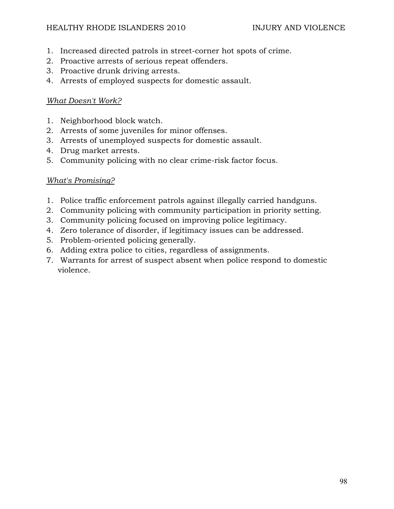- 1. Increased directed patrols in street-corner hot spots of crime.
- 2. Proactive arrests of serious repeat offenders.
- 3. Proactive drunk driving arrests.
- 4. Arrests of employed suspects for domestic assault.

# *What Doesn't Work?*

- 1. Neighborhood block watch.
- 2. Arrests of some juveniles for minor offenses.
- 3. Arrests of unemployed suspects for domestic assault.
- 4. Drug market arrests.
- 5. Community policing with no clear crime-risk factor focus.

## *What's Promising?*

- 1. Police traffic enforcement patrols against illegally carried handguns.
- 2. Community policing with community participation in priority setting.
- 3. Community policing focused on improving police legitimacy.
- 4. Zero tolerance of disorder, if legitimacy issues can be addressed.
- 5. Problem-oriented policing generally.
- 6. Adding extra police to cities, regardless of assignments.
- 7. Warrants for arrest of suspect absent when police respond to domestic violence.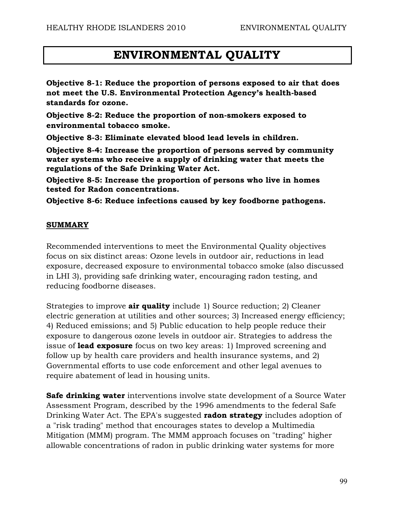# **ENVIRONMENTAL QUALITY**

**Objective 8-1: Reduce the proportion of persons exposed to air that does not meet the U.S. Environmental Protection Agency's health-based standards for ozone.** 

**Objective 8-2: Reduce the proportion of non-smokers exposed to environmental tobacco smoke.** 

**Objective 8-3: Eliminate elevated blood lead levels in children.** 

**Objective 8-4: Increase the proportion of persons served by community water systems who receive a supply of drinking water that meets the regulations of the Safe Drinking Water Act.** 

**Objective 8-5: Increase the proportion of persons who live in homes tested for Radon concentrations.** 

**Objective 8-6: Reduce infections caused by key foodborne pathogens.** 

#### **SUMMARY**

Recommended interventions to meet the Environmental Quality objectives focus on six distinct areas: Ozone levels in outdoor air, reductions in lead exposure, decreased exposure to environmental tobacco smoke (also discussed in LHI 3), providing safe drinking water, encouraging radon testing, and reducing foodborne diseases.

Strategies to improve **air quality** include 1) Source reduction; 2) Cleaner electric generation at utilities and other sources; 3) Increased energy efficiency; 4) Reduced emissions; and 5) Public education to help people reduce their exposure to dangerous ozone levels in outdoor air. Strategies to address the issue of **lead exposure** focus on two key areas: 1) Improved screening and follow up by health care providers and health insurance systems, and 2) Governmental efforts to use code enforcement and other legal avenues to require abatement of lead in housing units.

**Safe drinking water** interventions involve state development of a Source Water Assessment Program, described by the 1996 amendments to the federal Safe Drinking Water Act. The EPA's suggested **radon strategy** includes adoption of a "risk trading" method that encourages states to develop a Multimedia Mitigation (MMM) program. The MMM approach focuses on "trading" higher allowable concentrations of radon in public drinking water systems for more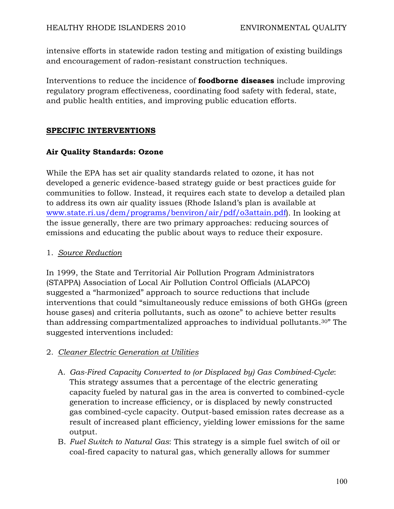intensive efforts in statewide radon testing and mitigation of existing buildings and encouragement of radon-resistant construction techniques.

Interventions to reduce the incidence of **foodborne diseases** include improving regulatory program effectiveness, coordinating food safety with federal, state, and public health entities, and improving public education efforts.

## **SPECIFIC INTERVENTIONS**

## **Air Quality Standards: Ozone**

While the EPA has set air quality standards related to ozone, it has not developed a generic evidence-based strategy guide or best practices guide for communities to follow. Instead, it requires each state to develop a detailed plan to address its own air quality issues (Rhode Island's plan is available at www.state.ri.us/dem/programs/benviron/air/pdf/o3attain.pdf). In looking at the issue generally, there are two primary approaches: reducing sources of emissions and educating the public about ways to reduce their exposure.

## 1. *Source Reduction*

In 1999, the State and Territorial Air Pollution Program Administrators (STAPPA) Association of Local Air Pollution Control Officials (ALAPCO) suggested a "harmonized" approach to source reductions that include interventions that could "simultaneously reduce emissions of both GHGs (green house gases) and criteria pollutants, such as ozone" to achieve better results than addressing compartmentalized approaches to individual pollutants.30" The suggested interventions included:

# 2. *Cleaner Electric Generation at Utilities*

- A. *Gas-Fired Capacity Converted to (or Displaced by) Gas Combined-Cycle*: This strategy assumes that a percentage of the electric generating capacity fueled by natural gas in the area is converted to combined-cycle generation to increase efficiency, or is displaced by newly constructed gas combined-cycle capacity. Output-based emission rates decrease as a result of increased plant efficiency, yielding lower emissions for the same output.
- B. *Fuel Switch to Natural Gas*: This strategy is a simple fuel switch of oil or coal-fired capacity to natural gas, which generally allows for summer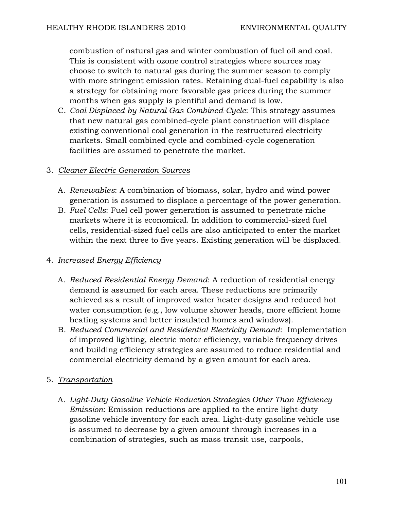combustion of natural gas and winter combustion of fuel oil and coal. This is consistent with ozone control strategies where sources may choose to switch to natural gas during the summer season to comply with more stringent emission rates. Retaining dual-fuel capability is also a strategy for obtaining more favorable gas prices during the summer months when gas supply is plentiful and demand is low.

C. *Coal Displaced by Natural Gas Combined-Cycle*: This strategy assumes that new natural gas combined-cycle plant construction will displace existing conventional coal generation in the restructured electricity markets. Small combined cycle and combined-cycle cogeneration facilities are assumed to penetrate the market.

### 3. *Cleaner Electric Generation Sources*

- A. *Renewables*: A combination of biomass, solar, hydro and wind power generation is assumed to displace a percentage of the power generation.
- B. *Fuel Cells*: Fuel cell power generation is assumed to penetrate niche markets where it is economical. In addition to commercial-sized fuel cells, residential-sized fuel cells are also anticipated to enter the market within the next three to five years. Existing generation will be displaced.

## 4. *Increased Energy Efficiency*

- A. *Reduced Residential Energy Demand*: A reduction of residential energy demand is assumed for each area. These reductions are primarily achieved as a result of improved water heater designs and reduced hot water consumption (e.g., low volume shower heads, more efficient home heating systems and better insulated homes and windows).
- B. *Reduced Commercial and Residential Electricity Demand*: Implementation of improved lighting, electric motor efficiency, variable frequency drives and building efficiency strategies are assumed to reduce residential and commercial electricity demand by a given amount for each area.

# 5. *Transportation*

A. *Light-Duty Gasoline Vehicle Reduction Strategies Other Than Efficiency Emission*: Emission reductions are applied to the entire light-duty gasoline vehicle inventory for each area. Light-duty gasoline vehicle use is assumed to decrease by a given amount through increases in a combination of strategies, such as mass transit use, carpools,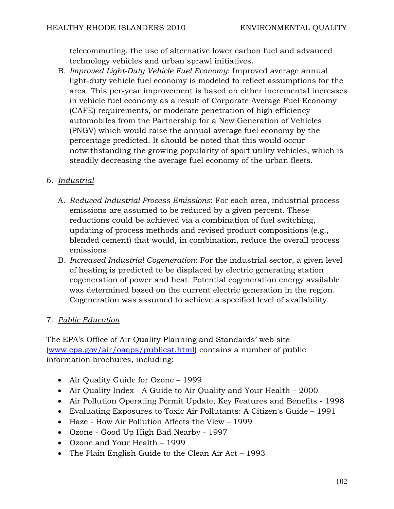telecommuting, the use of alternative lower carbon fuel and advanced technology vehicles and urban sprawl initiatives.

B. *Improved Light-Duty Vehicle Fuel Economy*: Improved average annual light-duty vehicle fuel economy is modeled to reflect assumptions for the area. This per-year improvement is based on either incremental increases in vehicle fuel economy as a result of Corporate Average Fuel Economy (CAFE) requirements, or moderate penetration of high efficiency automobiles from the Partnership for a New Generation of Vehicles (PNGV) which would raise the annual average fuel economy by the percentage predicted. It should be noted that this would occur notwithstanding the growing popularity of sport utility vehicles, which is steadily decreasing the average fuel economy of the urban fleets.

## 6. *Industrial*

- A. *Reduced Industrial Process Emissions*: For each area, industrial process emissions are assumed to be reduced by a given percent. These reductions could be achieved via a combination of fuel switching, updating of process methods and revised product compositions (e.g., blended cement) that would, in combination, reduce the overall process emissions.
- B. *Increased Industrial Cogeneration*: For the industrial sector, a given level of heating is predicted to be displaced by electric generating station cogeneration of power and heat. Potential cogeneration energy available was determined based on the current electric generation in the region. Cogeneration was assumed to achieve a specified level of availability.

## 7. *Public Education*

The EPA's Office of Air Quality Planning and Standards' web site (www.epa.gov/air/oaqps/publicat.html) contains a number of public information brochures, including:

- Air Quality Guide for Ozone 1999
- Air Quality Index A Guide to Air Quality and Your Health 2000
- Air Pollution Operating Permit Update, Key Features and Benefits 1998
- Evaluating Exposures to Toxic Air Pollutants: A Citizen's Guide 1991
- Haze How Air Pollution Affects the View 1999
- Ozone Good Up High Bad Nearby 1997
- Ozone and Your Health 1999
- The Plain English Guide to the Clean Air Act 1993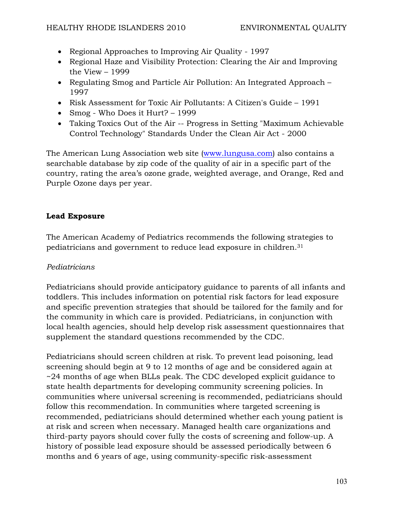- Regional Approaches to Improving Air Quality 1997
- Regional Haze and Visibility Protection: Clearing the Air and Improving the View – 1999
- Regulating Smog and Particle Air Pollution: An Integrated Approach 1997
- Risk Assessment for Toxic Air Pollutants: A Citizen's Guide 1991
- Smog Who Does it Hurt? 1999
- Taking Toxics Out of the Air -- Progress in Setting "Maximum Achievable Control Technology" Standards Under the Clean Air Act - 2000

The American Lung Association web site (www.lungusa.com) also contains a searchable database by zip code of the quality of air in a specific part of the country, rating the area's ozone grade, weighted average, and Orange, Red and Purple Ozone days per year.

## **Lead Exposure**

The American Academy of Pediatrics recommends the following strategies to pediatricians and government to reduce lead exposure in children.31

## *Pediatricians*

Pediatricians should provide anticipatory guidance to parents of all infants and toddlers. This includes information on potential risk factors for lead exposure and specific prevention strategies that should be tailored for the family and for the community in which care is provided. Pediatricians, in conjunction with local health agencies, should help develop risk assessment questionnaires that supplement the standard questions recommended by the CDC.

Pediatricians should screen children at risk. To prevent lead poisoning, lead screening should begin at 9 to 12 months of age and be considered again at ~24 months of age when BLLs peak. The CDC developed explicit guidance to state health departments for developing community screening policies. In communities where universal screening is recommended, pediatricians should follow this recommendation. In communities where targeted screening is recommended, pediatricians should determined whether each young patient is at risk and screen when necessary. Managed health care organizations and third-party payors should cover fully the costs of screening and follow-up. A history of possible lead exposure should be assessed periodically between 6 months and 6 years of age, using community-specific risk-assessment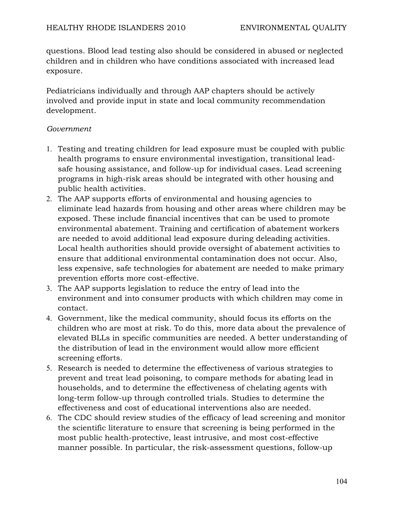questions. Blood lead testing also should be considered in abused or neglected children and in children who have conditions associated with increased lead exposure.

Pediatricians individually and through AAP chapters should be actively involved and provide input in state and local community recommendation development.

### *Government*

- 1. Testing and treating children for lead exposure must be coupled with public health programs to ensure environmental investigation, transitional leadsafe housing assistance, and follow-up for individual cases. Lead screening programs in high-risk areas should be integrated with other housing and public health activities.
- 2. The AAP supports efforts of environmental and housing agencies to eliminate lead hazards from housing and other areas where children may be exposed. These include financial incentives that can be used to promote environmental abatement. Training and certification of abatement workers are needed to avoid additional lead exposure during deleading activities. Local health authorities should provide oversight of abatement activities to ensure that additional environmental contamination does not occur. Also, less expensive, safe technologies for abatement are needed to make primary prevention efforts more cost-effective.
- 3. The AAP supports legislation to reduce the entry of lead into the environment and into consumer products with which children may come in contact.
- 4. Government, like the medical community, should focus its efforts on the children who are most at risk. To do this, more data about the prevalence of elevated BLLs in specific communities are needed. A better understanding of the distribution of lead in the environment would allow more efficient screening efforts.
- 5. Research is needed to determine the effectiveness of various strategies to prevent and treat lead poisoning, to compare methods for abating lead in households, and to determine the effectiveness of chelating agents with long-term follow-up through controlled trials. Studies to determine the effectiveness and cost of educational interventions also are needed.
- 6. The CDC should review studies of the efficacy of lead screening and monitor the scientific literature to ensure that screening is being performed in the most public health-protective, least intrusive, and most cost-effective manner possible. In particular, the risk-assessment questions, follow-up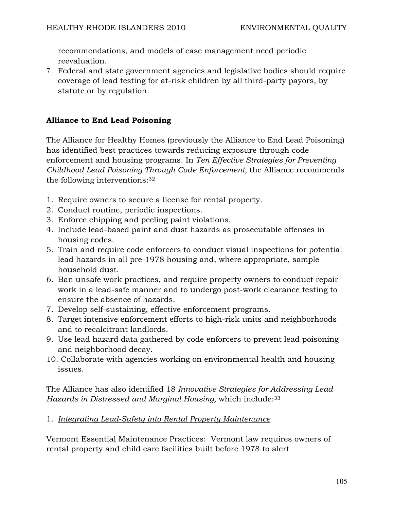recommendations, and models of case management need periodic reevaluation.

7. Federal and state government agencies and legislative bodies should require coverage of lead testing for at-risk children by all third-party payors, by statute or by regulation.

## **Alliance to End Lead Poisoning**

The Alliance for Healthy Homes (previously the Alliance to End Lead Poisoning) has identified best practices towards reducing exposure through code enforcement and housing programs. In *Ten Effective Strategies for Preventing Childhood Lead Poisoning Through Code Enforcement,* the Alliance recommends the following interventions:32

- 1. Require owners to secure a license for rental property.
- 2. Conduct routine, periodic inspections.
- 3. Enforce chipping and peeling paint violations.
- 4. Include lead-based paint and dust hazards as prosecutable offenses in housing codes.
- 5. Train and require code enforcers to conduct visual inspections for potential lead hazards in all pre-1978 housing and, where appropriate, sample household dust.
- 6. Ban unsafe work practices, and require property owners to conduct repair work in a lead-safe manner and to undergo post-work clearance testing to ensure the absence of hazards.
- 7. Develop self-sustaining, effective enforcement programs.
- 8. Target intensive enforcement efforts to high-risk units and neighborhoods and to recalcitrant landlords.
- 9. Use lead hazard data gathered by code enforcers to prevent lead poisoning and neighborhood decay.
- 10. Collaborate with agencies working on environmental health and housing issues.

The Alliance has also identified 18 *Innovative Strategies for Addressing Lead Hazards in Distressed and Marginal Housing,* which include:33

#### 1. *Integrating Lead-Safety into Rental Property Maintenance*

Vermont Essential Maintenance Practices: Vermont law requires owners of rental property and child care facilities built before 1978 to alert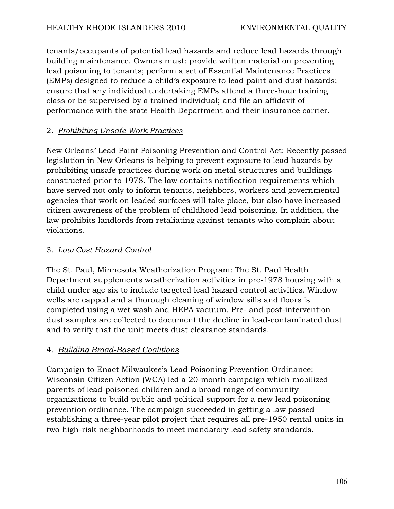tenants/occupants of potential lead hazards and reduce lead hazards through building maintenance. Owners must: provide written material on preventing lead poisoning to tenants; perform a set of Essential Maintenance Practices (EMPs) designed to reduce a child's exposure to lead paint and dust hazards; ensure that any individual undertaking EMPs attend a three-hour training class or be supervised by a trained individual; and file an affidavit of performance with the state Health Department and their insurance carrier.

# 2. *Prohibiting Unsafe Work Practices*

New Orleans' Lead Paint Poisoning Prevention and Control Act: Recently passed legislation in New Orleans is helping to prevent exposure to lead hazards by prohibiting unsafe practices during work on metal structures and buildings constructed prior to 1978. The law contains notification requirements which have served not only to inform tenants, neighbors, workers and governmental agencies that work on leaded surfaces will take place, but also have increased citizen awareness of the problem of childhood lead poisoning. In addition, the law prohibits landlords from retaliating against tenants who complain about violations.

# 3. *Low Cost Hazard Control*

The St. Paul, Minnesota Weatherization Program: The St. Paul Health Department supplements weatherization activities in pre-1978 housing with a child under age six to include targeted lead hazard control activities. Window wells are capped and a thorough cleaning of window sills and floors is completed using a wet wash and HEPA vacuum. Pre- and post-intervention dust samples are collected to document the decline in lead-contaminated dust and to verify that the unit meets dust clearance standards.

# 4. *Building Broad-Based Coalitions*

Campaign to Enact Milwaukee's Lead Poisoning Prevention Ordinance: Wisconsin Citizen Action (WCA) led a 20-month campaign which mobilized parents of lead-poisoned children and a broad range of community organizations to build public and political support for a new lead poisoning prevention ordinance. The campaign succeeded in getting a law passed establishing a three-year pilot project that requires all pre-1950 rental units in two high-risk neighborhoods to meet mandatory lead safety standards.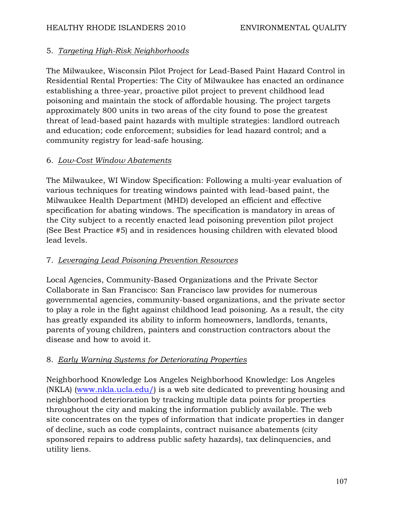## 5. *Targeting High-Risk Neighborhoods*

The Milwaukee, Wisconsin Pilot Project for Lead-Based Paint Hazard Control in Residential Rental Properties: The City of Milwaukee has enacted an ordinance establishing a three-year, proactive pilot project to prevent childhood lead poisoning and maintain the stock of affordable housing. The project targets approximately 800 units in two areas of the city found to pose the greatest threat of lead-based paint hazards with multiple strategies: landlord outreach and education; code enforcement; subsidies for lead hazard control; and a community registry for lead-safe housing.

## 6. *Low-Cost Window Abatements*

The Milwaukee, WI Window Specification: Following a multi-year evaluation of various techniques for treating windows painted with lead-based paint, the Milwaukee Health Department (MHD) developed an efficient and effective specification for abating windows. The specification is mandatory in areas of the City subject to a recently enacted lead poisoning prevention pilot project (See Best Practice #5) and in residences housing children with elevated blood lead levels.

# 7. *Leveraging Lead Poisoning Prevention Resources*

Local Agencies, Community-Based Organizations and the Private Sector Collaborate in San Francisco: San Francisco law provides for numerous governmental agencies, community-based organizations, and the private sector to play a role in the fight against childhood lead poisoning. As a result, the city has greatly expanded its ability to inform homeowners, landlords, tenants, parents of young children, painters and construction contractors about the disease and how to avoid it.

# 8. *Early Warning Systems for Deteriorating Properties*

Neighborhood Knowledge Los Angeles Neighborhood Knowledge: Los Angeles (NKLA) (www.nkla.ucla.edu/) is a web site dedicated to preventing housing and neighborhood deterioration by tracking multiple data points for properties throughout the city and making the information publicly available. The web site concentrates on the types of information that indicate properties in danger of decline, such as code complaints, contract nuisance abatements (city sponsored repairs to address public safety hazards), tax delinquencies, and utility liens.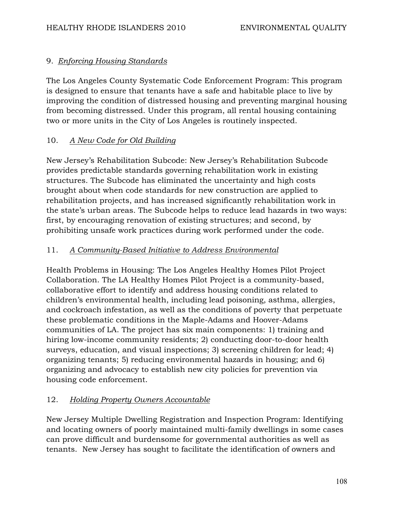## 9. *Enforcing Housing Standards*

The Los Angeles County Systematic Code Enforcement Program: This program is designed to ensure that tenants have a safe and habitable place to live by improving the condition of distressed housing and preventing marginal housing from becoming distressed. Under this program, all rental housing containing two or more units in the City of Los Angeles is routinely inspected.

## 10. *A New Code for Old Building*

New Jersey's Rehabilitation Subcode: New Jersey's Rehabilitation Subcode provides predictable standards governing rehabilitation work in existing structures. The Subcode has eliminated the uncertainty and high costs brought about when code standards for new construction are applied to rehabilitation projects, and has increased significantly rehabilitation work in the state's urban areas. The Subcode helps to reduce lead hazards in two ways: first, by encouraging renovation of existing structures; and second, by prohibiting unsafe work practices during work performed under the code.

## 11. *A Community-Based Initiative to Address Environmental*

Health Problems in Housing: The Los Angeles Healthy Homes Pilot Project Collaboration. The LA Healthy Homes Pilot Project is a community-based, collaborative effort to identify and address housing conditions related to children's environmental health, including lead poisoning, asthma, allergies, and cockroach infestation, as well as the conditions of poverty that perpetuate these problematic conditions in the Maple-Adams and Hoover-Adams communities of LA. The project has six main components: 1) training and hiring low-income community residents; 2) conducting door-to-door health surveys, education, and visual inspections; 3) screening children for lead; 4) organizing tenants; 5) reducing environmental hazards in housing; and 6) organizing and advocacy to establish new city policies for prevention via housing code enforcement.

# 12. *Holding Property Owners Accountable*

New Jersey Multiple Dwelling Registration and Inspection Program: Identifying and locating owners of poorly maintained multi-family dwellings in some cases can prove difficult and burdensome for governmental authorities as well as tenants. New Jersey has sought to facilitate the identification of owners and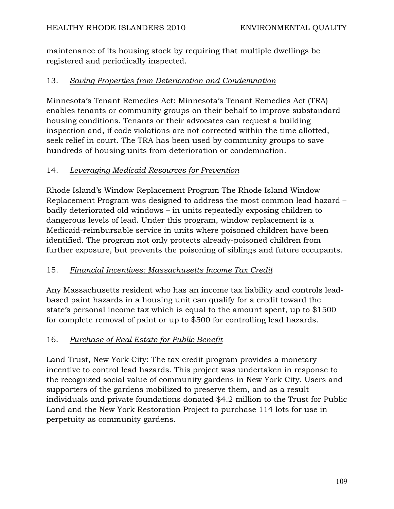maintenance of its housing stock by requiring that multiple dwellings be registered and periodically inspected.

## 13. *Saving Properties from Deterioration and Condemnation*

Minnesota's Tenant Remedies Act: Minnesota's Tenant Remedies Act (TRA) enables tenants or community groups on their behalf to improve substandard housing conditions. Tenants or their advocates can request a building inspection and, if code violations are not corrected within the time allotted, seek relief in court. The TRA has been used by community groups to save hundreds of housing units from deterioration or condemnation.

## 14. *Leveraging Medicaid Resources for Prevention*

Rhode Island's Window Replacement Program The Rhode Island Window Replacement Program was designed to address the most common lead hazard – badly deteriorated old windows – in units repeatedly exposing children to dangerous levels of lead. Under this program, window replacement is a Medicaid-reimbursable service in units where poisoned children have been identified. The program not only protects already-poisoned children from further exposure, but prevents the poisoning of siblings and future occupants.

## 15. *Financial Incentives: Massachusetts Income Tax Credit*

Any Massachusetts resident who has an income tax liability and controls leadbased paint hazards in a housing unit can qualify for a credit toward the state's personal income tax which is equal to the amount spent, up to \$1500 for complete removal of paint or up to \$500 for controlling lead hazards.

## 16. *Purchase of Real Estate for Public Benefit*

Land Trust, New York City: The tax credit program provides a monetary incentive to control lead hazards. This project was undertaken in response to the recognized social value of community gardens in New York City. Users and supporters of the gardens mobilized to preserve them, and as a result individuals and private foundations donated \$4.2 million to the Trust for Public Land and the New York Restoration Project to purchase 114 lots for use in perpetuity as community gardens.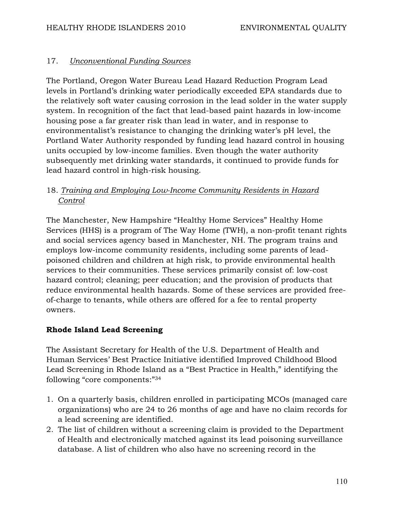## 17. *Unconventional Funding Sources*

The Portland, Oregon Water Bureau Lead Hazard Reduction Program Lead levels in Portland's drinking water periodically exceeded EPA standards due to the relatively soft water causing corrosion in the lead solder in the water supply system. In recognition of the fact that lead-based paint hazards in low-income housing pose a far greater risk than lead in water, and in response to environmentalist's resistance to changing the drinking water's pH level, the Portland Water Authority responded by funding lead hazard control in housing units occupied by low-income families. Even though the water authority subsequently met drinking water standards, it continued to provide funds for lead hazard control in high-risk housing.

## 18. *Training and Employing Low-Income Community Residents in Hazard Control*

The Manchester, New Hampshire "Healthy Home Services" Healthy Home Services (HHS) is a program of The Way Home (TWH), a non-profit tenant rights and social services agency based in Manchester, NH. The program trains and employs low-income community residents, including some parents of leadpoisoned children and children at high risk, to provide environmental health services to their communities. These services primarily consist of: low-cost hazard control; cleaning; peer education; and the provision of products that reduce environmental health hazards. Some of these services are provided freeof-charge to tenants, while others are offered for a fee to rental property owners.

## **Rhode Island Lead Screening**

The Assistant Secretary for Health of the U.S. Department of Health and Human Services' Best Practice Initiative identified Improved Childhood Blood Lead Screening in Rhode Island as a "Best Practice in Health," identifying the following "core components:"34

- 1. On a quarterly basis, children enrolled in participating MCOs (managed care organizations) who are 24 to 26 months of age and have no claim records for a lead screening are identified.
- 2. The list of children without a screening claim is provided to the Department of Health and electronically matched against its lead poisoning surveillance database. A list of children who also have no screening record in the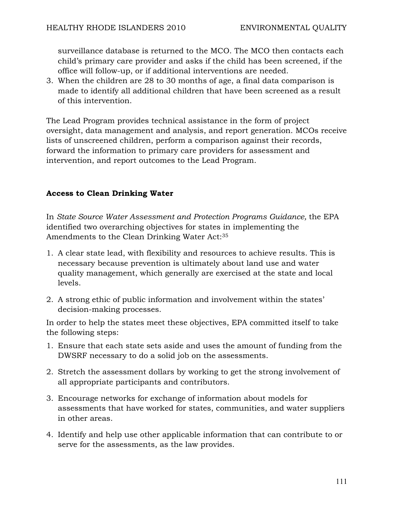surveillance database is returned to the MCO. The MCO then contacts each child's primary care provider and asks if the child has been screened, if the office will follow-up, or if additional interventions are needed.

3. When the children are 28 to 30 months of age, a final data comparison is made to identify all additional children that have been screened as a result of this intervention.

The Lead Program provides technical assistance in the form of project oversight, data management and analysis, and report generation. MCOs receive lists of unscreened children, perform a comparison against their records, forward the information to primary care providers for assessment and intervention, and report outcomes to the Lead Program.

#### **Access to Clean Drinking Water**

In *State Source Water Assessment and Protection Programs Guidance,* the EPA identified two overarching objectives for states in implementing the Amendments to the Clean Drinking Water Act:35

- 1. A clear state lead, with flexibility and resources to achieve results. This is necessary because prevention is ultimately about land use and water quality management, which generally are exercised at the state and local levels.
- 2. A strong ethic of public information and involvement within the states' decision-making processes.

In order to help the states meet these objectives, EPA committed itself to take the following steps:

- 1. Ensure that each state sets aside and uses the amount of funding from the DWSRF necessary to do a solid job on the assessments.
- 2. Stretch the assessment dollars by working to get the strong involvement of all appropriate participants and contributors.
- 3. Encourage networks for exchange of information about models for assessments that have worked for states, communities, and water suppliers in other areas.
- 4. Identify and help use other applicable information that can contribute to or serve for the assessments, as the law provides.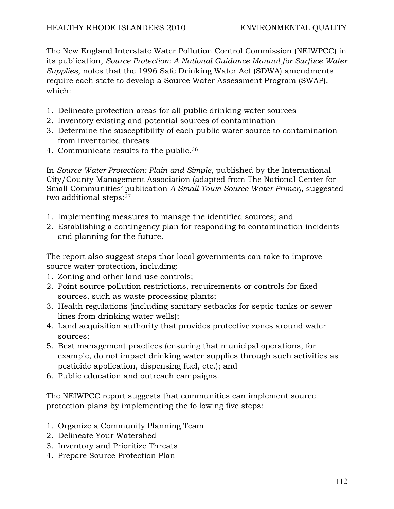The New England Interstate Water Pollution Control Commission (NEIWPCC) in its publication, *Source Protection: A National Guidance Manual for Surface Water Supplies*, notes that the 1996 Safe Drinking Water Act (SDWA) amendments require each state to develop a Source Water Assessment Program (SWAP), which:

- 1. Delineate protection areas for all public drinking water sources
- 2. Inventory existing and potential sources of contamination
- 3. Determine the susceptibility of each public water source to contamination from inventoried threats
- 4. Communicate results to the public.36

In *Source Water Protection: Plain and Simple*, published by the International City/County Management Association (adapted from The National Center for Small Communities' publication *A Small Town Source Water Primer)*, suggested two additional steps:37

- 1. Implementing measures to manage the identified sources; and
- 2. Establishing a contingency plan for responding to contamination incidents and planning for the future.

The report also suggest steps that local governments can take to improve source water protection, including:

- 1. Zoning and other land use controls;
- 2. Point source pollution restrictions, requirements or controls for fixed sources, such as waste processing plants;
- 3. Health regulations (including sanitary setbacks for septic tanks or sewer lines from drinking water wells);
- 4. Land acquisition authority that provides protective zones around water sources;
- 5. Best management practices (ensuring that municipal operations, for example, do not impact drinking water supplies through such activities as pesticide application, dispensing fuel, etc.); and
- 6. Public education and outreach campaigns.

The NEIWPCC report suggests that communities can implement source protection plans by implementing the following five steps:

- 1. Organize a Community Planning Team
- 2. Delineate Your Watershed
- 3. Inventory and Prioritize Threats
- 4. Prepare Source Protection Plan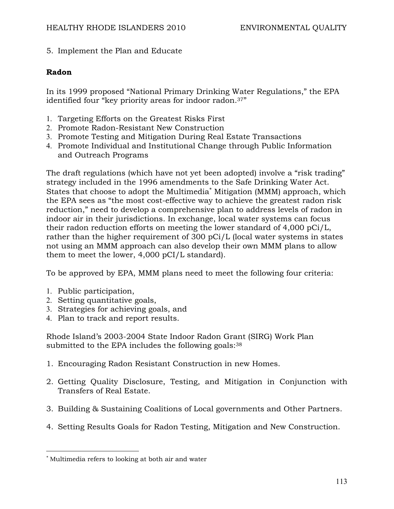5. Implement the Plan and Educate

#### **Radon**

In its 1999 proposed "National Primary Drinking Water Regulations," the EPA identified four "key priority areas for indoor radon.<sup>37"</sup>

- 1. Targeting Efforts on the Greatest Risks First
- 2. Promote Radon-Resistant New Construction
- 3. Promote Testing and Mitigation During Real Estate Transactions
- 4. Promote Individual and Institutional Change through Public Information and Outreach Programs

The draft regulations (which have not yet been adopted) involve a "risk trading" strategy included in the 1996 amendments to the Safe Drinking Water Act. States that choose to adopt the Multimedia<sup>\*</sup> Mitigation (MMM) approach, which the EPA sees as "the most cost-effective way to achieve the greatest radon risk reduction," need to develop a comprehensive plan to address levels of radon in indoor air in their jurisdictions. In exchange, local water systems can focus their radon reduction efforts on meeting the lower standard of 4,000 pCi/L, rather than the higher requirement of 300 pCi/L (local water systems in states not using an MMM approach can also develop their own MMM plans to allow them to meet the lower, 4,000 pCI/L standard).

To be approved by EPA, MMM plans need to meet the following four criteria:

1. Public participation,

 $\overline{a}$ 

- 2. Setting quantitative goals,
- 3. Strategies for achieving goals, and
- 4. Plan to track and report results.

Rhode Island's 2003-2004 State Indoor Radon Grant (SIRG) Work Plan submitted to the EPA includes the following goals: 38

- 1. Encouraging Radon Resistant Construction in new Homes.
- 2. Getting Quality Disclosure, Testing, and Mitigation in Conjunction with Transfers of Real Estate.
- 3. Building & Sustaining Coalitions of Local governments and Other Partners.
- 4. Setting Results Goals for Radon Testing, Mitigation and New Construction.

<sup>∗</sup> Multimedia refers to looking at both air and water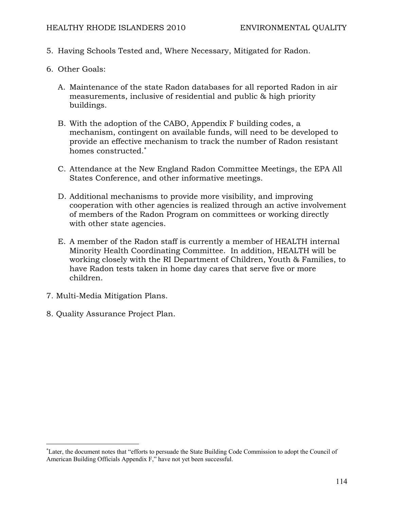- 5. Having Schools Tested and, Where Necessary, Mitigated for Radon.
- 6. Other Goals:
	- A. Maintenance of the state Radon databases for all reported Radon in air measurements, inclusive of residential and public & high priority buildings.
	- B. With the adoption of the CABO, Appendix F building codes, a mechanism, contingent on available funds, will need to be developed to provide an effective mechanism to track the number of Radon resistant homes constructed.<sup>∗</sup>
	- C. Attendance at the New England Radon Committee Meetings, the EPA All States Conference, and other informative meetings.
	- D. Additional mechanisms to provide more visibility, and improving cooperation with other agencies is realized through an active involvement of members of the Radon Program on committees or working directly with other state agencies.
	- E. A member of the Radon staff is currently a member of HEALTH internal Minority Health Coordinating Committee. In addition, HEALTH will be working closely with the RI Department of Children, Youth & Families, to have Radon tests taken in home day cares that serve five or more children.
- 7. Multi-Media Mitigation Plans.

 $\overline{a}$ 

8. Quality Assurance Project Plan.

<sup>∗</sup> Later, the document notes that "efforts to persuade the State Building Code Commission to adopt the Council of American Building Officials Appendix F," have not yet been successful.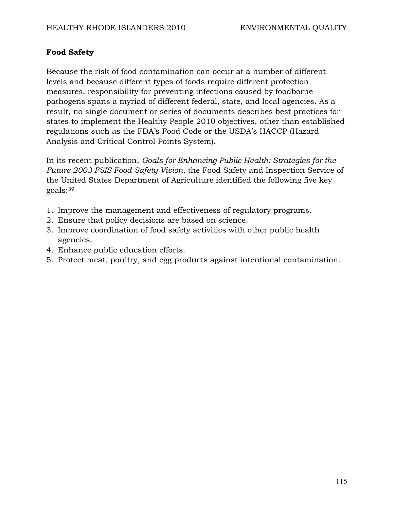## **Food Safety**

Because the risk of food contamination can occur at a number of different levels and because different types of foods require different protection measures, responsibility for preventing infections caused by foodborne pathogens spans a myriad of different federal, state, and local agencies. As a result, no single document or series of documents describes best practices for states to implement the Healthy People 2010 objectives, other than established regulations such as the FDA's Food Code or the USDA's HACCP (Hazard Analysis and Critical Control Points System).

In its recent publication, *Goals for Enhancing Public Health: Strategies for the Future 2003 FSIS Food Safety Vision*, the Food Safety and Inspection Service of the United States Department of Agriculture identified the following five key goals:39

- 1. Improve the management and effectiveness of regulatory programs.
- 2. Ensure that policy decisions are based on science.
- 3. Improve coordination of food safety activities with other public health agencies.
- 4. Enhance public education efforts.
- 5. Protect meat, poultry, and egg products against intentional contamination.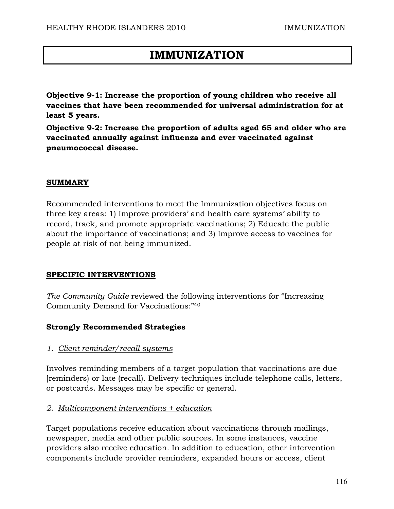# **IMMUNIZATION**

**Objective 9-1: Increase the proportion of young children who receive all vaccines that have been recommended for universal administration for at least 5 years.** 

**Objective 9-2: Increase the proportion of adults aged 65 and older who are vaccinated annually against influenza and ever vaccinated against pneumococcal disease.** 

#### **SUMMARY**

Recommended interventions to meet the Immunization objectives focus on three key areas: 1) Improve providers' and health care systems' ability to record, track, and promote appropriate vaccinations; 2) Educate the public about the importance of vaccinations; and 3) Improve access to vaccines for people at risk of not being immunized.

#### **SPECIFIC INTERVENTIONS**

*The Community Guide* reviewed the following interventions for "Increasing Community Demand for Vaccinations:"40

#### **Strongly Recommended Strategies**

#### *1. Client reminder/recall systems*

Involves reminding members of a target population that vaccinations are due [reminders) or late (recall). Delivery techniques include telephone calls, letters, or postcards. Messages may be specific or general.

#### *2. Multicomponent interventions + education*

Target populations receive education about vaccinations through mailings, newspaper, media and other public sources. In some instances, vaccine providers also receive education. In addition to education, other intervention components include provider reminders, expanded hours or access, client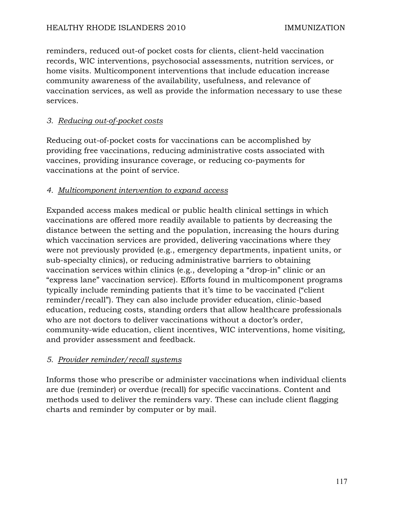reminders, reduced out-of pocket costs for clients, client-held vaccination records, WIC interventions, psychosocial assessments, nutrition services, or home visits. Multicomponent interventions that include education increase community awareness of the availability, usefulness, and relevance of vaccination services, as well as provide the information necessary to use these services.

## *3. Reducing out-of-pocket costs*

Reducing out-of-pocket costs for vaccinations can be accomplished by providing free vaccinations, reducing administrative costs associated with vaccines, providing insurance coverage, or reducing co-payments for vaccinations at the point of service.

## *4. Multicomponent intervention to expand access*

Expanded access makes medical or public health clinical settings in which vaccinations are offered more readily available to patients by decreasing the distance between the setting and the population, increasing the hours during which vaccination services are provided, delivering vaccinations where they were not previously provided (e.g., emergency departments, inpatient units, or sub-specialty clinics), or reducing administrative barriers to obtaining vaccination services within clinics (e.g., developing a "drop-in" clinic or an "express lane" vaccination service). Efforts found in multicomponent programs typically include reminding patients that it's time to be vaccinated ("client reminder/recall"). They can also include provider education, clinic-based education, reducing costs, standing orders that allow healthcare professionals who are not doctors to deliver vaccinations without a doctor's order, community-wide education, client incentives, WIC interventions, home visiting, and provider assessment and feedback.

## *5. Provider reminder/recall systems*

Informs those who prescribe or administer vaccinations when individual clients are due (reminder) or overdue (recall) for specific vaccinations. Content and methods used to deliver the reminders vary. These can include client flagging charts and reminder by computer or by mail.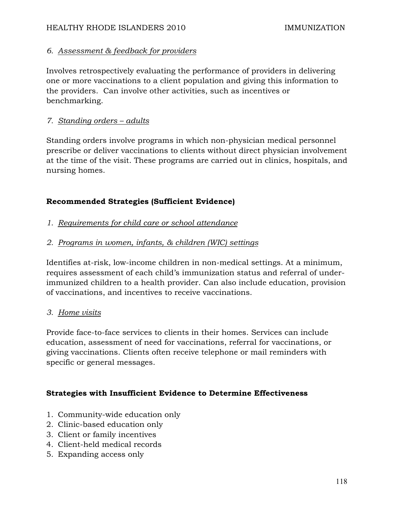## *6. Assessment & feedback for providers*

Involves retrospectively evaluating the performance of providers in delivering one or more vaccinations to a client population and giving this information to the providers. Can involve other activities, such as incentives or benchmarking.

## *7. Standing orders – adults*

Standing orders involve programs in which non-physician medical personnel prescribe or deliver vaccinations to clients without direct physician involvement at the time of the visit. These programs are carried out in clinics, hospitals, and nursing homes.

## **Recommended Strategies (Sufficient Evidence)**

- *1. Requirements for child care or school attendance*
- *2. Programs in women, infants, & children (WIC) settings*

Identifies at-risk, low-income children in non-medical settings. At a minimum, requires assessment of each child's immunization status and referral of underimmunized children to a health provider. Can also include education, provision of vaccinations, and incentives to receive vaccinations.

## *3. Home visits*

Provide face-to-face services to clients in their homes. Services can include education, assessment of need for vaccinations, referral for vaccinations, or giving vaccinations. Clients often receive telephone or mail reminders with specific or general messages.

## **Strategies with Insufficient Evidence to Determine Effectiveness**

- 1. Community-wide education only
- 2. Clinic-based education only
- 3. Client or family incentives
- 4. Client-held medical records
- 5. Expanding access only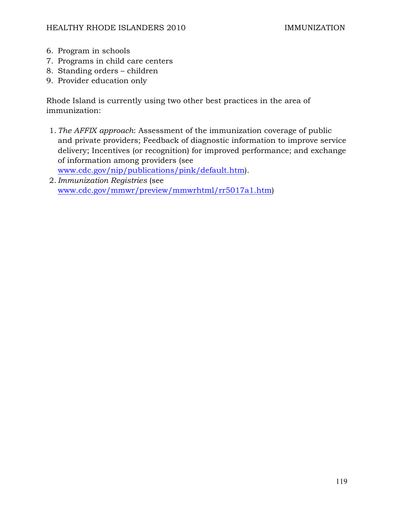- 6. Program in schools
- 7. Programs in child care centers
- 8. Standing orders children
- 9. Provider education only

Rhode Island is currently using two other best practices in the area of immunization:

- 1. *The AFFIX approach*: Assessment of the immunization coverage of public and private providers; Feedback of diagnostic information to improve service delivery; Incentives (or recognition) for improved performance; and exchange of information among providers (see www.cdc.gov/nip/publications/pink/default.htm).
- 2. *Immunization Registries* (see www.cdc.gov/mmwr/preview/mmwrhtml/rr5017a1.htm)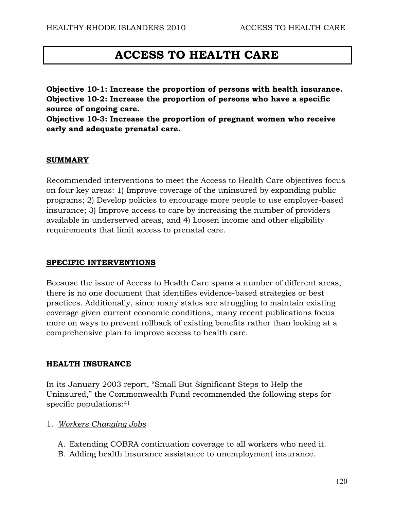# **ACCESS TO HEALTH CARE**

**Objective 10-1: Increase the proportion of persons with health insurance. Objective 10-2: Increase the proportion of persons who have a specific source of ongoing care.** 

**Objective 10-3: Increase the proportion of pregnant women who receive early and adequate prenatal care.** 

#### **SUMMARY**

Recommended interventions to meet the Access to Health Care objectives focus on four key areas: 1) Improve coverage of the uninsured by expanding public programs; 2) Develop policies to encourage more people to use employer-based insurance; 3) Improve access to care by increasing the number of providers available in underserved areas, and 4) Loosen income and other eligibility requirements that limit access to prenatal care.

#### **SPECIFIC INTERVENTIONS**

Because the issue of Access to Health Care spans a number of different areas, there is no one document that identifies evidence-based strategies or best practices. Additionally, since many states are struggling to maintain existing coverage given current economic conditions, many recent publications focus more on ways to prevent rollback of existing benefits rather than looking at a comprehensive plan to improve access to health care.

#### **HEALTH INSURANCE**

In its January 2003 report, "Small But Significant Steps to Help the Uninsured," the Commonwealth Fund recommended the following steps for specific populations:<sup>41</sup>

- 1. *Workers Changing Jobs*
	- A. Extending COBRA continuation coverage to all workers who need it.
	- B. Adding health insurance assistance to unemployment insurance.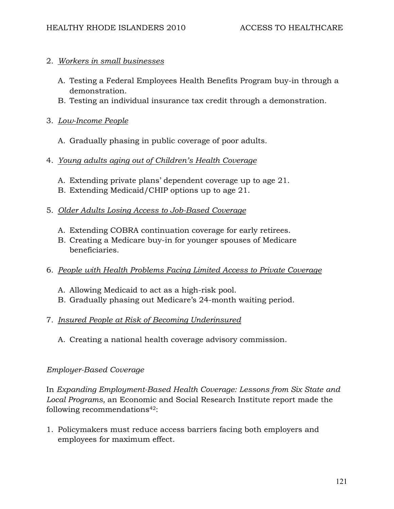#### 2. *Workers in small businesses*

- A. Testing a Federal Employees Health Benefits Program buy-in through a demonstration.
- B. Testing an individual insurance tax credit through a demonstration.

## 3. *Low-Income People*

A. Gradually phasing in public coverage of poor adults.

## 4. *Young adults aging out of Children's Health Coverage*

- A. Extending private plans' dependent coverage up to age 21.
- B. Extending Medicaid/CHIP options up to age 21.

## 5. *Older Adults Losing Access to Job-Based Coverage*

- A. Extending COBRA continuation coverage for early retirees.
- B. Creating a Medicare buy-in for younger spouses of Medicare beneficiaries.
- 6. *People with Health Problems Facing Limited Access to Private Coverage*
	- A. Allowing Medicaid to act as a high-risk pool.
	- B. Gradually phasing out Medicare's 24-month waiting period.

## 7. *Insured People at Risk of Becoming Underinsured*

A. Creating a national health coverage advisory commission.

## *Employer-Based Coverage*

In *Expanding Employment-Based Health Coverage: Lessons from Six State and Local Programs,* an Economic and Social Research Institute report made the following recommendations<sup>42</sup>:

1. Policymakers must reduce access barriers facing both employers and employees for maximum effect.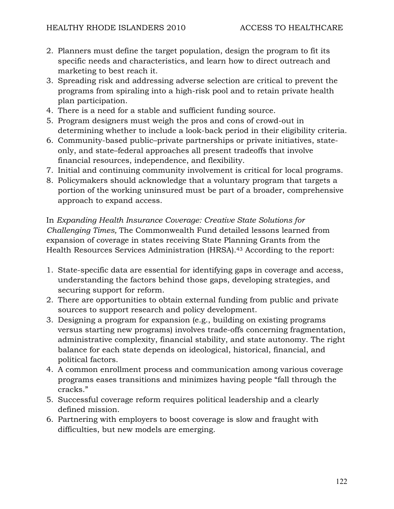- 2. Planners must define the target population, design the program to fit its specific needs and characteristics, and learn how to direct outreach and marketing to best reach it.
- 3. Spreading risk and addressing adverse selection are critical to prevent the programs from spiraling into a high-risk pool and to retain private health plan participation.
- 4. There is a need for a stable and sufficient funding source.
- 5. Program designers must weigh the pros and cons of crowd-out in determining whether to include a look-back period in their eligibility criteria.
- 6. Community-based public–private partnerships or private initiatives, stateonly, and state–federal approaches all present tradeoffs that involve financial resources, independence, and flexibility.
- 7. Initial and continuing community involvement is critical for local programs.
- 8. Policymakers should acknowledge that a voluntary program that targets a portion of the working uninsured must be part of a broader, comprehensive approach to expand access.

In *Expanding Health Insurance Coverage: Creative State Solutions for Challenging Times,* The Commonwealth Fund detailed lessons learned from expansion of coverage in states receiving State Planning Grants from the Health Resources Services Administration (HRSA).43 According to the report:

- 1. State-specific data are essential for identifying gaps in coverage and access, understanding the factors behind those gaps, developing strategies, and securing support for reform.
- 2. There are opportunities to obtain external funding from public and private sources to support research and policy development.
- 3. Designing a program for expansion (e.g., building on existing programs versus starting new programs) involves trade-offs concerning fragmentation, administrative complexity, financial stability, and state autonomy. The right balance for each state depends on ideological, historical, financial, and political factors.
- 4. A common enrollment process and communication among various coverage programs eases transitions and minimizes having people "fall through the cracks."
- 5. Successful coverage reform requires political leadership and a clearly defined mission.
- 6. Partnering with employers to boost coverage is slow and fraught with difficulties, but new models are emerging.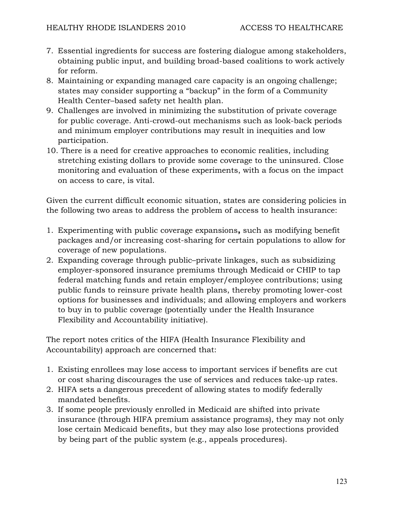- 7. Essential ingredients for success are fostering dialogue among stakeholders, obtaining public input, and building broad-based coalitions to work actively for reform.
- 8. Maintaining or expanding managed care capacity is an ongoing challenge; states may consider supporting a "backup" in the form of a Community Health Center–based safety net health plan.
- 9. Challenges are involved in minimizing the substitution of private coverage for public coverage. Anti-crowd-out mechanisms such as look-back periods and minimum employer contributions may result in inequities and low participation.
- 10. There is a need for creative approaches to economic realities, including stretching existing dollars to provide some coverage to the uninsured. Close monitoring and evaluation of these experiments, with a focus on the impact on access to care, is vital.

Given the current difficult economic situation, states are considering policies in the following two areas to address the problem of access to health insurance:

- 1. Experimenting with public coverage expansions**,** such as modifying benefit packages and/or increasing cost-sharing for certain populations to allow for coverage of new populations.
- 2. Expanding coverage through public–private linkages, such as subsidizing employer-sponsored insurance premiums through Medicaid or CHIP to tap federal matching funds and retain employer/employee contributions; using public funds to reinsure private health plans, thereby promoting lower-cost options for businesses and individuals; and allowing employers and workers to buy in to public coverage (potentially under the Health Insurance Flexibility and Accountability initiative).

The report notes critics of the HIFA (Health Insurance Flexibility and Accountability) approach are concerned that:

- 1. Existing enrollees may lose access to important services if benefits are cut or cost sharing discourages the use of services and reduces take-up rates.
- 2. HIFA sets a dangerous precedent of allowing states to modify federally mandated benefits.
- 3. If some people previously enrolled in Medicaid are shifted into private insurance (through HIFA premium assistance programs), they may not only lose certain Medicaid benefits, but they may also lose protections provided by being part of the public system (e.g., appeals procedures).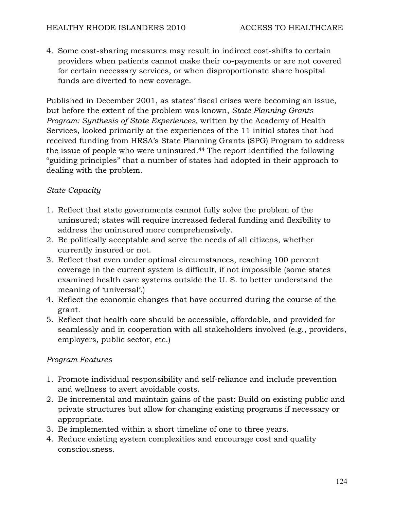4. Some cost-sharing measures may result in indirect cost-shifts to certain providers when patients cannot make their co-payments or are not covered for certain necessary services, or when disproportionate share hospital funds are diverted to new coverage.

Published in December 2001, as states' fiscal crises were becoming an issue, but before the extent of the problem was known, *State Planning Grants Program: Synthesis of State Experiences,* written by the Academy of Health Services, looked primarily at the experiences of the 11 initial states that had received funding from HRSA's State Planning Grants (SPG) Program to address the issue of people who were uninsured.44 The report identified the following "guiding principles" that a number of states had adopted in their approach to dealing with the problem.

## *State Capacity*

- 1. Reflect that state governments cannot fully solve the problem of the uninsured; states will require increased federal funding and flexibility to address the uninsured more comprehensively.
- 2. Be politically acceptable and serve the needs of all citizens, whether currently insured or not.
- 3. Reflect that even under optimal circumstances, reaching 100 percent coverage in the current system is difficult, if not impossible (some states examined health care systems outside the U. S. to better understand the meaning of 'universal'.)
- 4. Reflect the economic changes that have occurred during the course of the grant.
- 5. Reflect that health care should be accessible, affordable, and provided for seamlessly and in cooperation with all stakeholders involved (e.g., providers, employers, public sector, etc.)

## *Program Features*

- 1. Promote individual responsibility and self-reliance and include prevention and wellness to avert avoidable costs.
- 2. Be incremental and maintain gains of the past: Build on existing public and private structures but allow for changing existing programs if necessary or appropriate.
- 3. Be implemented within a short timeline of one to three years.
- 4. Reduce existing system complexities and encourage cost and quality consciousness.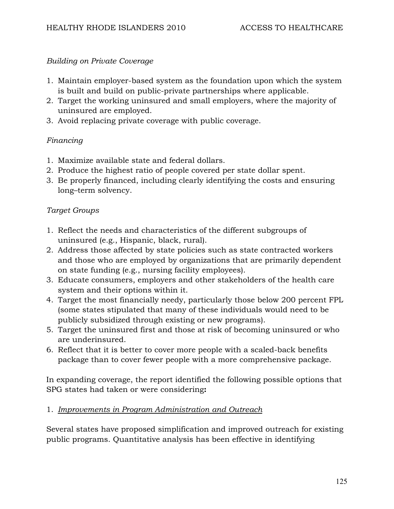#### *Building on Private Coverage*

- 1. Maintain employer-based system as the foundation upon which the system is built and build on public-private partnerships where applicable.
- 2. Target the working uninsured and small employers, where the majority of uninsured are employed.
- 3. Avoid replacing private coverage with public coverage.

#### *Financing*

- 1. Maximize available state and federal dollars.
- 2. Produce the highest ratio of people covered per state dollar spent.
- 3. Be properly financed, including clearly identifying the costs and ensuring long–term solvency.

#### *Target Groups*

- 1. Reflect the needs and characteristics of the different subgroups of uninsured (e.g., Hispanic, black, rural).
- 2. Address those affected by state policies such as state contracted workers and those who are employed by organizations that are primarily dependent on state funding (e.g., nursing facility employees).
- 3. Educate consumers, employers and other stakeholders of the health care system and their options within it.
- 4. Target the most financially needy, particularly those below 200 percent FPL (some states stipulated that many of these individuals would need to be publicly subsidized through existing or new programs).
- 5. Target the uninsured first and those at risk of becoming uninsured or who are underinsured.
- 6. Reflect that it is better to cover more people with a scaled-back benefits package than to cover fewer people with a more comprehensive package.

In expanding coverage, the report identified the following possible options that SPG states had taken or were considering**:** 

#### 1. *Improvements in Program Administration and Outreach*

Several states have proposed simplification and improved outreach for existing public programs. Quantitative analysis has been effective in identifying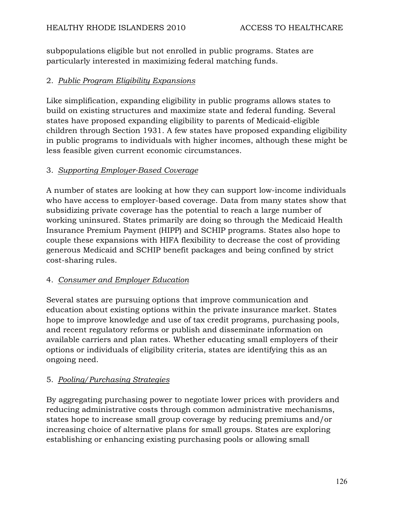subpopulations eligible but not enrolled in public programs. States are particularly interested in maximizing federal matching funds.

## 2. *Public Program Eligibility Expansions*

Like simplification, expanding eligibility in public programs allows states to build on existing structures and maximize state and federal funding. Several states have proposed expanding eligibility to parents of Medicaid-eligible children through Section 1931. A few states have proposed expanding eligibility in public programs to individuals with higher incomes, although these might be less feasible given current economic circumstances.

## 3. *Supporting Employer-Based Coverage*

A number of states are looking at how they can support low-income individuals who have access to employer-based coverage. Data from many states show that subsidizing private coverage has the potential to reach a large number of working uninsured. States primarily are doing so through the Medicaid Health Insurance Premium Payment (HIPP) and SCHIP programs. States also hope to couple these expansions with HIFA flexibility to decrease the cost of providing generous Medicaid and SCHIP benefit packages and being confined by strict cost-sharing rules.

## 4. *Consumer and Employer Education*

Several states are pursuing options that improve communication and education about existing options within the private insurance market. States hope to improve knowledge and use of tax credit programs, purchasing pools, and recent regulatory reforms or publish and disseminate information on available carriers and plan rates. Whether educating small employers of their options or individuals of eligibility criteria, states are identifying this as an ongoing need.

## 5. *Pooling/Purchasing Strategies*

By aggregating purchasing power to negotiate lower prices with providers and reducing administrative costs through common administrative mechanisms, states hope to increase small group coverage by reducing premiums and/or increasing choice of alternative plans for small groups. States are exploring establishing or enhancing existing purchasing pools or allowing small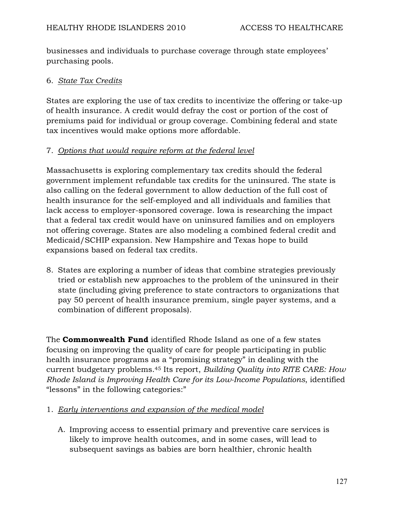businesses and individuals to purchase coverage through state employees' purchasing pools.

#### 6. *State Tax Credits*

States are exploring the use of tax credits to incentivize the offering or take-up of health insurance. A credit would defray the cost or portion of the cost of premiums paid for individual or group coverage. Combining federal and state tax incentives would make options more affordable.

## 7. *Options that would require reform at the federal level*

Massachusetts is exploring complementary tax credits should the federal government implement refundable tax credits for the uninsured. The state is also calling on the federal government to allow deduction of the full cost of health insurance for the self-employed and all individuals and families that lack access to employer-sponsored coverage. Iowa is researching the impact that a federal tax credit would have on uninsured families and on employers not offering coverage. States are also modeling a combined federal credit and Medicaid/SCHIP expansion. New Hampshire and Texas hope to build expansions based on federal tax credits.

8. States are exploring a number of ideas that combine strategies previously tried or establish new approaches to the problem of the uninsured in their state (including giving preference to state contractors to organizations that pay 50 percent of health insurance premium, single payer systems, and a combination of different proposals).

The **Commonwealth Fund** identified Rhode Island as one of a few states focusing on improving the quality of care for people participating in public health insurance programs as a "promising strategy" in dealing with the current budgetary problems.45 Its report, *Building Quality into RITE CARE: How Rhode Island is Improving Health Care for its Low-Income Populations*, identified "lessons" in the following categories:"

## 1. *Early interventions and expansion of the medical model*

A. Improving access to essential primary and preventive care services is likely to improve health outcomes, and in some cases, will lead to subsequent savings as babies are born healthier, chronic health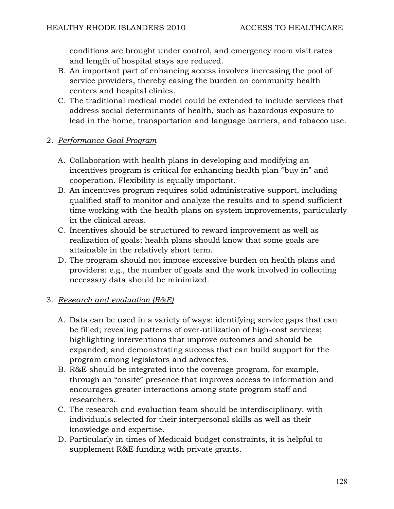conditions are brought under control, and emergency room visit rates and length of hospital stays are reduced.

- B. An important part of enhancing access involves increasing the pool of service providers, thereby easing the burden on community health centers and hospital clinics.
- C. The traditional medical model could be extended to include services that address social determinants of health, such as hazardous exposure to lead in the home, transportation and language barriers, and tobacco use.

## 2. *Performance Goal Program*

- A. Collaboration with health plans in developing and modifying an incentives program is critical for enhancing health plan "buy in" and cooperation. Flexibility is equally important.
- B. An incentives program requires solid administrative support, including qualified staff to monitor and analyze the results and to spend sufficient time working with the health plans on system improvements, particularly in the clinical areas.
- C. Incentives should be structured to reward improvement as well as realization of goals; health plans should know that some goals are attainable in the relatively short term.
- D. The program should not impose excessive burden on health plans and providers: e.g., the number of goals and the work involved in collecting necessary data should be minimized.

## 3. *Research and evaluation (R&E)*

- A. Data can be used in a variety of ways: identifying service gaps that can be filled; revealing patterns of over-utilization of high-cost services; highlighting interventions that improve outcomes and should be expanded; and demonstrating success that can build support for the program among legislators and advocates.
- B. R&E should be integrated into the coverage program, for example, through an "onsite" presence that improves access to information and encourages greater interactions among state program staff and researchers.
- C. The research and evaluation team should be interdisciplinary, with individuals selected for their interpersonal skills as well as their knowledge and expertise.
- D. Particularly in times of Medicaid budget constraints, it is helpful to supplement R&E funding with private grants.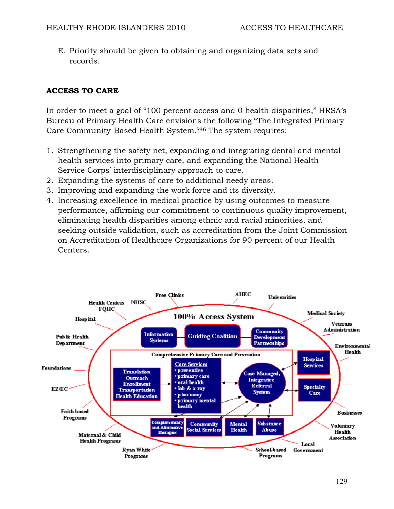E. Priority should be given to obtaining and organizing data sets and records.

## **ACCESS TO CARE**

In order to meet a goal of "100 percent access and 0 health disparities," HRSA's Bureau of Primary Health Care envisions the following "The Integrated Primary Care Community-Based Health System."46 The system requires:

- 1. Strengthening the safety net, expanding and integrating dental and mental health services into primary care, and expanding the National Health Service Corps' interdisciplinary approach to care.
- 2. Expanding the systems of care to additional needy areas.
- 3. Improving and expanding the work force and its diversity.
- 4. Increasing excellence in medical practice by using outcomes to measure performance, affirming our commitment to continuous quality improvement, eliminating health disparities among ethnic and racial minorities, and seeking outside validation, such as accreditation from the Joint Commission on Accreditation of Healthcare Organizations for 90 percent of our Health Centers.

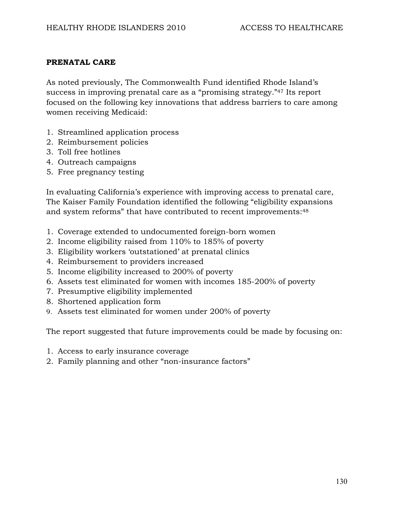#### **PRENATAL CARE**

As noted previously, The Commonwealth Fund identified Rhode Island's success in improving prenatal care as a "promising strategy."47 Its report focused on the following key innovations that address barriers to care among women receiving Medicaid:

- 1. Streamlined application process
- 2. Reimbursement policies
- 3. Toll free hotlines
- 4. Outreach campaigns
- 5. Free pregnancy testing

In evaluating California's experience with improving access to prenatal care, The Kaiser Family Foundation identified the following "eligibility expansions and system reforms" that have contributed to recent improvements:<sup>48</sup>

- 1. Coverage extended to undocumented foreign-born women
- 2. Income eligibility raised from 110% to 185% of poverty
- 3. Eligibility workers 'outstationed' at prenatal clinics
- 4. Reimbursement to providers increased
- 5. Income eligibility increased to 200% of poverty
- 6. Assets test eliminated for women with incomes 185-200% of poverty
- 7. Presumptive eligibility implemented
- 8. Shortened application form
- 9. Assets test eliminated for women under 200% of poverty

The report suggested that future improvements could be made by focusing on:

- 1. Access to early insurance coverage
- 2. Family planning and other "non-insurance factors"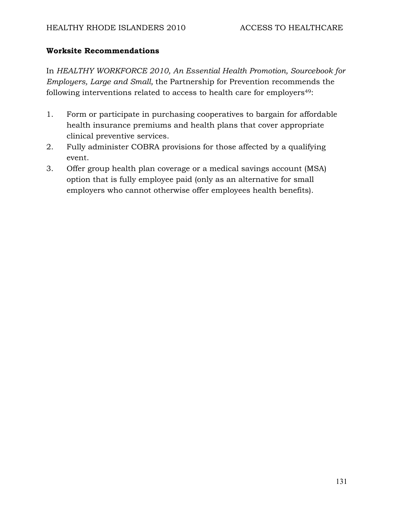#### **Worksite Recommendations**

In *HEALTHY WORKFORCE 2010, An Essential Health Promotion, Sourcebook for Employers, Large and Small,* the Partnership for Prevention recommends the following interventions related to access to health care for employers<sup>49</sup>:

- 1. Form or participate in purchasing cooperatives to bargain for affordable health insurance premiums and health plans that cover appropriate clinical preventive services.
- 2. Fully administer COBRA provisions for those affected by a qualifying event.
- 3. Offer group health plan coverage or a medical savings account (MSA) option that is fully employee paid (only as an alternative for small employers who cannot otherwise offer employees health benefits).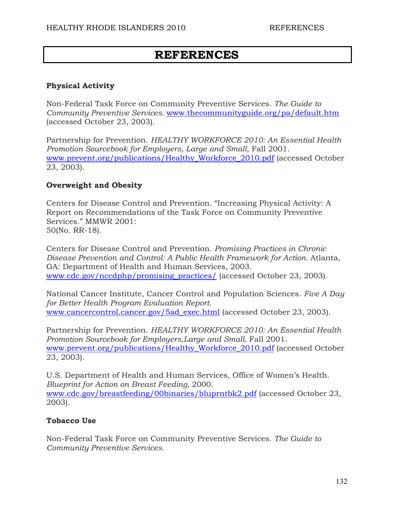## **REFERENCES**

#### **Physical Activity**

Non-Federal Task Force on Community Preventive Services. *The Guide to Community Preventive Services.* www.thecommunityguide.org/pa/default.htm (accessed October 23, 2003).

Partnership for Prevention. *HEALTHY WORKFORCE 2010: An Essential Health Promotion Sourcebook for Employers, Large and Small*, Fall 2001. www.prevent.org/publications/Healthy\_Workforce\_2010.pdf (accessed October 23, 2003).

#### **Overweight and Obesity**

Centers for Disease Control and Prevention. "Increasing Physical Activity: A Report on Recommendations of the Task Force on Community Preventive Services." MMWR 2001: 50(No. RR-18).

Centers for Disease Control and Prevention. *Promising Practices in Chronic Disease Prevention and Control: A Public Health Framework for Action.* Atlanta, GA: Department of Health and Human Services, 2003. www.cdc.gov/nccdphp/promising\_practices/ (accessed October 23, 2003).

National Cancer Institute, Cancer Control and Population Sciences. *Five A Day for Better Health Program Evaluation Report.*  www.cancercontrol.cancer.gov/5ad\_exec.html (accessed October 23, 2003).

Partnership for Prevention. *HEALTHY WORKFORCE 2010: An Essential Health Promotion Sourcebook for Employers,Large and Small*, Fall 2001. www.prevent.org/publications/Healthy\_Workforce\_2010.pdf (accessed October 23, 2003).

U.S. Department of Health and Human Services, Office of Women's Health. *Blueprint for Action on Breast Feeding,* 2000. www.cdc.gov/breastfeeding/00binaries/bluprntbk2.pdf (accessed October 23, 2003).

## **Tobacco Use**

Non-Federal Task Force on Community Preventive Services. *The Guide to Community Preventive Services.*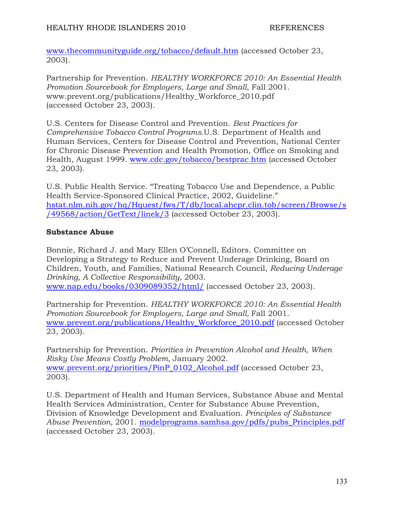www.thecommunityguide.org/tobacco/default.htm (accessed October 23, 2003).

Partnership for Prevention. *HEALTHY WORKFORCE 2010: An Essential Health Promotion Sourcebook for Employers, Large and Small*, Fall 2001. www.prevent.org/publications/Healthy\_Workforce\_2010.pdf (accessed October 23, 2003).

U.S. Centers for Disease Control and Prevention. *Best Practices for Comprehensive Tobacco Control Programs.*U.S. Department of Health and Human Services, Centers for Disease Control and Prevention, National Center for Chronic Disease Prevention and Health Promotion, Office on Smoking and Health, August 1999. www.cdc.gov/tobacco/bestprac.htm (accessed October 23, 2003).

U.S. Public Health Service. "Treating Tobacco Use and Dependence, a Public Health Service-Sponsored Clinical Practice, 2002, Guideline." hstat.nlm.nih.gov/hq/Hquest/fws/T/db/local.ahcpr.clin.tob/screen/Browse/s /49568/action/GetText/linek/3 (accessed October 23, 2003).

## **Substance Abuse**

Bonnie, Richard J. and Mary Ellen O'Connell, Editors. Committee on Developing a Strategy to Reduce and Prevent Underage Drinking, Board on Children, Youth, and Families, National Research Council, *Reducing Underage Drinking, A Collective Responsibility,* 2003. www.nap.edu/books/0309089352/html/ (accessed October 23, 2003).

Partnership for Prevention. *HEALTHY WORKFORCE 2010: An Essential Health Promotion Sourcebook for Employers, Large and Small, Fall 2001.* www.prevent.org/publications/Healthy\_Workforce\_2010.pdf (accessed October 23, 2003).

Partnership for Prevention. *Priorities in Prevention Alcohol and Health, When Risky Use Means Costly Problem,* January 2002. www.prevent.org/priorities/PinP\_0102\_Alcohol.pdf (accessed October 23, 2003).

U.S. Department of Health and Human Services, Substance Abuse and Mental Health Services Administration, Center for Substance Abuse Prevention, Division of Knowledge Development and Evaluation. *Principles of Substance Abuse Prevention,* 2001. modelprograms.samhsa.gov/pdfs/pubs\_Principles.pdf (accessed October 23, 2003).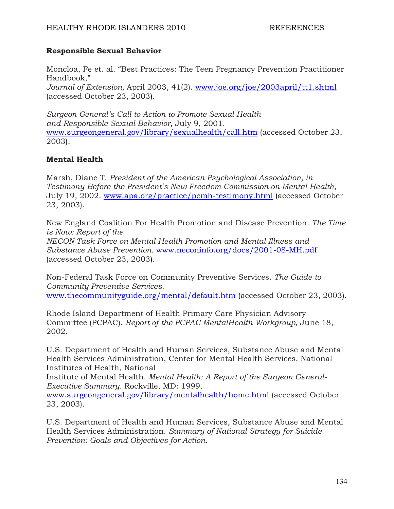#### **Responsible Sexual Behavior**

Moncloa, Fe et. al. "Best Practices: The Teen Pregnancy Prevention Practitioner Handbook," *Journal of Extension,* April 2003, 41(2). www.joe.org/joe/2003april/tt1.shtml (accessed October 23, 2003).

*Surgeon General's Call to Action to Promote Sexual Health and Responsible Sexual Behavior,* July 9, 2001. www.surgeongeneral.gov/library/sexualhealth/call.htm (accessed October 23, 2003).

## **Mental Health**

Marsh, Diane T. *President of the American Psychological Association, in Testimony Before the President's New Freedom Commission on Mental Health,*  July 19, 2002. www.apa.org/practice/pcmh-testimony.html (accessed October 23, 2003).

New England Coalition For Health Promotion and Disease Prevention. *The Time is Now: Report of the* 

*NECON Task Force on Mental Health Promotion and Mental Illness and Substance Abuse Prevention.* www.neconinfo.org/docs/2001-08-MH.pdf (accessed October 23, 2003).

Non-Federal Task Force on Community Preventive Services. *The Guide to Community Preventive Services.*  www.thecommunityguide.org/mental/default.htm (accessed October 23, 2003).

Rhode Island Department of Health Primary Care Physician Advisory Committee (PCPAC). *Report of the PCPAC MentalHealth Workgroup,* June 18, 2002.

U.S. Department of Health and Human Services, Substance Abuse and Mental Health Services Administration, Center for Mental Health Services, National Institutes of Health, National

Institute of Mental Health. *Mental Health: A Report of the Surgeon General-Executive Summary.* Rockville, MD: 1999.

www.surgeongeneral.gov/library/mentalhealth/home.html (accessed October 23, 2003).

U.S. Department of Health and Human Services, Substance Abuse and Mental Health Services Administration. *Summary of National Strategy for Suicide Prevention: Goals and Objectives for Action.*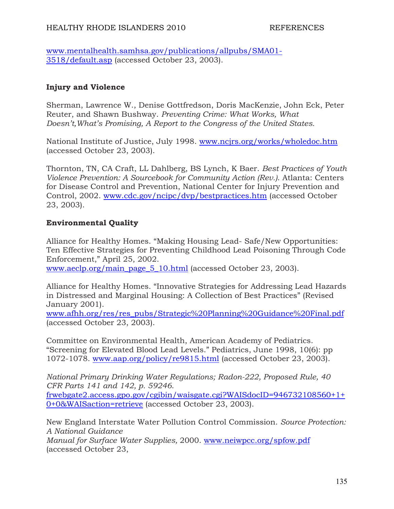www.mentalhealth.samhsa.gov/publications/allpubs/SMA01- 3518/default.asp (accessed October 23, 2003).

#### **Injury and Violence**

Sherman, Lawrence W., Denise Gottfredson, Doris MacKenzie, John Eck, Peter Reuter, and Shawn Bushway. *Preventing Crime: What Works, What Doesn't,What's Promising, A Report to the Congress of the United States.* 

National Institute of Justice, July 1998. www.ncjrs.org/works/wholedoc.htm (accessed October 23, 2003).

Thornton, TN, CA Craft, LL Dahlberg, BS Lynch, K Baer. *Best Practices of Youth Violence Prevention: A Sourcebook for Community Action (Rev.)*. Atlanta: Centers for Disease Control and Prevention, National Center for Injury Prevention and Control, 2002. www.cdc.gov/ncipc/dvp/bestpractices.htm (accessed October 23, 2003).

#### **Environmental Quality**

Alliance for Healthy Homes. "Making Housing Lead- Safe/New Opportunities: Ten Effective Strategies for Preventing Childhood Lead Poisoning Through Code Enforcement," April 25, 2002.

www.aeclp.org/main\_page\_5\_10.html (accessed October 23, 2003).

Alliance for Healthy Homes. "Innovative Strategies for Addressing Lead Hazards in Distressed and Marginal Housing: A Collection of Best Practices" (Revised January 2001).

www.afhh.org/res/res\_pubs/Strategic%20Planning%20Guidance%20Final.pdf (accessed October 23, 2003).

Committee on Environmental Health, American Academy of Pediatrics. "Screening for Elevated Blood Lead Levels." Pediatrics, June 1998, 10(6): pp 1072-1078. www.aap.org/policy/re9815.html (accessed October 23, 2003).

*National Primary Drinking Water Regulations; Radon-222, Proposed Rule, 40 CFR Parts 141 and 142, p. 59246*.

frwebgate2.access.gpo.gov/cgibin/waisgate.cgi?WAISdocID=946732108560+1+ 0+0&WAISaction=retrieve (accessed October 23, 2003).

New England Interstate Water Pollution Control Commission. *Source Protection: A National Guidance* 

*Manual for Surface Water Supplies,* 2000. www.neiwpcc.org/spfow.pdf (accessed October 23,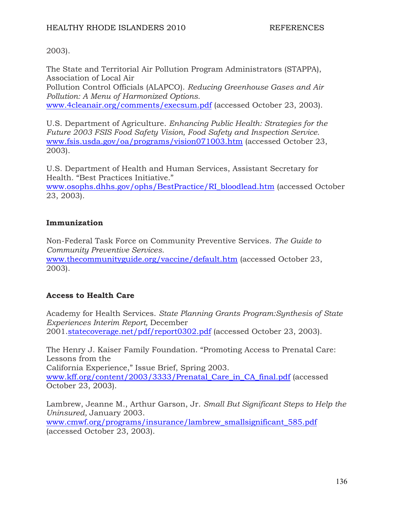#### 2003).

The State and Territorial Air Pollution Program Administrators (STAPPA), Association of Local Air

Pollution Control Officials (ALAPCO). *Reducing Greenhouse Gases and Air Pollution: A Menu of Harmonized Options.* 

www.4cleanair.org/comments/execsum.pdf (accessed October 23, 2003).

U.S. Department of Agriculture. *Enhancing Public Health: Strategies for the Future 2003 FSIS Food Safety Vision, Food Safety and Inspection Service.*  www.fsis.usda.gov/oa/programs/vision071003.htm (accessed October 23, 2003).

U.S. Department of Health and Human Services, Assistant Secretary for Health. "Best Practices Initiative."

www.osophs.dhhs.gov/ophs/BestPractice/RI\_bloodlead.htm (accessed October 23, 2003).

## **Immunization**

Non-Federal Task Force on Community Preventive Services. *The Guide to Community Preventive Services.* 

www.thecommunityguide.org/vaccine/default.htm (accessed October 23, 2003).

## **Access to Health Care**

Academy for Health Services. *State Planning Grants Program:Synthesis of State Experiences Interim Report,* December 2001.statecoverage.net/pdf/report0302.pdf (accessed October 23, 2003).

The Henry J. Kaiser Family Foundation. "Promoting Access to Prenatal Care: Lessons from the California Experience," Issue Brief, Spring 2003. www.kff.org/content/2003/3333/Prenatal\_Care\_in\_CA\_final.pdf (accessed October 23, 2003).

Lambrew, Jeanne M., Arthur Garson, Jr. *Small But Significant Steps to Help the Uninsured,* January 2003. www.cmwf.org/programs/insurance/lambrew\_smallsignificant\_585.pdf (accessed October 23, 2003).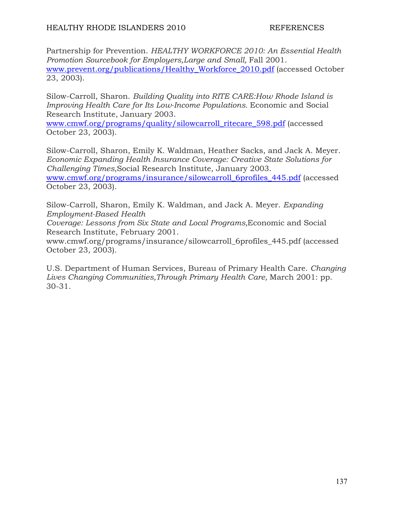Partnership for Prevention. *HEALTHY WORKFORCE 2010: An Essential Health Promotion Sourcebook for Employers, Large and Small, Fall 2001.* www.prevent.org/publications/Healthy\_Workforce\_2010.pdf (accessed October 23, 2003).

Silow-Carroll, Sharon. *Building Quality into RITE CARE:How Rhode Island is Improving Health Care for Its Low-Income Populations. Economic and Social* Research Institute, January 2003.

www.cmwf.org/programs/quality/silowcarroll\_ritecare\_598.pdf (accessed October 23, 2003).

Silow-Carroll, Sharon, Emily K. Waldman, Heather Sacks, and Jack A. Meyer. *Economic Expanding Health Insurance Coverage: Creative State Solutions for Challenging Times,*Social Research Institute, January 2003. www.cmwf.org/programs/insurance/silowcarroll\_6profiles\_445.pdf (accessed October 23, 2003).

Silow-Carroll, Sharon, Emily K. Waldman, and Jack A. Meyer. *Expanding Employment-Based Health* 

*Coverage: Lessons from Six State and Local Programs,*Economic and Social Research Institute, February 2001.

www.cmwf.org/programs/insurance/silowcarroll\_6profiles\_445.pdf (accessed October 23, 2003).

U.S. Department of Human Services, Bureau of Primary Health Care. *Changing*  Lives Changing Communities, Through Primary Health Care, March 2001: pp. 30-31.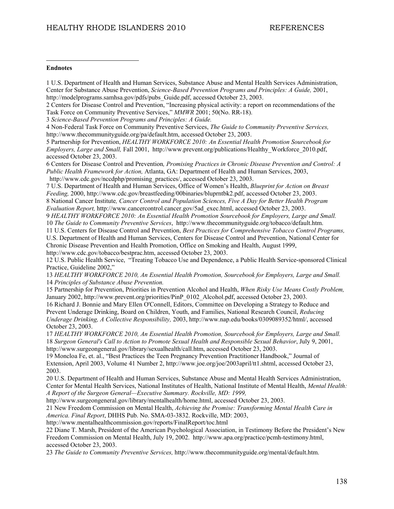#### **Endnotes**

 $\overline{a}$ 

1 U.S. Department of Health and Human Services, Substance Abuse and Mental Health Services Administration, Center for Substance Abuse Prevention, *Science-Based Prevention Programs and Principles: A Guide,* 2001, http://modelprograms.samhsa.gov/pdfs/pubs\_Guide.pdf, accessed October 23, 2003.

2 Centers for Disease Control and Prevention, "Increasing physical activity: a report on recommendations of the Task Force on Community Preventive Services," *MMWR* 2001; 50(No. RR-18).

3 *Science-Based Prevention Programs and Principles: A Guide.*

4 Non-Federal Task Force on Community Preventive Services, *The Guide to Community Preventive Services,* http://www.thecommunityguide.org/pa/default.htm, accessed October 23, 2003.

5 Partnership for Prevention, *HEALTHY WORKFORCE 2010: An Essential Health Promotion Sourcebook for Employers, Large and Small,* Fall 2001, http://www.prevent.org/publications/Healthy\_Workforce\_2010.pdf, accessed October 23, 2003.

6 Centers for Disease Control and Prevention*, Promising Practices in Chronic Disease Prevention and Control: A Public Health Framework for Action,* Atlanta, GA: Department of Health and Human Services, 2003, http://www.cdc.gov/nccdphp/promising\_practices/, accessed October 23, 2003.

7 U.S. Department of Health and Human Services, Office of Women's Health, *Blueprint for Action on Breast Feeding,* 2000, http://www.cdc.gov/breastfeeding/00binaries/bluprntbk2.pdf, accessed October 23, 2003. 8 National Cancer Institute*, Cancer Control and Population Sciences, Five A Day for Better Health Program* 

*Evaluation Report,* http://www.cancercontrol.cancer.gov/5ad\_exec.html, accessed October 23, 2003. 9 *HEALTHY WORKFORCE 2010: An Essential Health Promotion Sourcebook for Employers, Large and Small.* 10 *The Guide to Community Preventive Services*, http://www.thecommunityguide.org/tobacco/default.htm.

11 U.S. Centers for Disease Control and Prevention, *Best Practices for Comprehensive Tobacco Control Programs,*

U.S. Department of Health and Human Services, Centers for Disease Control and Prevention, National Center for Chronic Disease Prevention and Health Promotion, Office on Smoking and Health, August 1999, http://www.cdc.gov/tobacco/bestprac.htm, accessed October 23, 2003.

12 U.S. Public Health Service, "Treating Tobacco Use and Dependence, a Public Health Service-sponsored Clinical Practice, Guideline 2002,"

13 *HEALTHY WORKFORCE 2010, An Essential Health Promotion, Sourcebook for Employers, Large and Small.* 14 *Principles of Substance Abuse Prevention.*

15 Partnership for Prevention, Priorities in Prevention Alcohol and Health, *When Risky Use Means Costly Problem,* January 2002, http://www.prevent.org/priorities/PinP\_0102\_Alcohol.pdf, accessed October 23, 2003.

16 Richard J. Bonnie and Mary Ellen O'Connell, Editors, Committee on Developing a Strategy to Reduce and Prevent Underage Drinking, Board on Children, Youth, and Families, National Research Council, *Reducing Underage Drinking, A Collective Responsibility,* 2003, http://www.nap.edu/books/0309089352/html/, accessed October 23, 2003.

17 *HEALTHY WORKFORCE 2010, An Essential Health Promotion, Sourcebook for Employers, Large and Small.* 18 *Surgeon General's Call to Action to Promote Sexual Health and Responsible Sexual Behavior*, July 9, 2001, http://www.surgeongeneral.gov/library/sexualhealth/call.htm, accessed October 23, 2003.

19 Moncloa Fe, et. al., "Best Practices the Teen Pregnancy Prevention Practitioner Handbook," Journal of Extension, April 2003, Volume 41 Number 2, http://www.joe.org/joe/2003april/tt1.shtml, accessed October 23, 2003.

20 U.S. Department of Health and Human Services, Substance Abuse and Mental Health Services Administration, Center for Mental Health Services, National Institutes of Health, National Institute of Mental Health, *Mental Health: A Report of the Surgeon General—Executive Summary. Rockville, MD: 1999,* 

http://www.surgeongeneral.gov/library/mentalhealth/home.html, accessed October 23, 2003.

21 New Freedom Commission on Mental Health, *Achieving the Promise: Transforming Mental Health Care in America. Final Report*, DHHS Pub. No. SMA-03-3832. Rockville, MD: 2003,

http://www.mentalhealthcommission.gov/reports/FinalReport/toc.html

22 Diane T. Marsh, President of the American Psychological Association, in Testimony Before the President's New Freedom Commission on Mental Health, July 19, 2002. http://www.apa.org/practice/pcmh-testimony.html, accessed October 23, 2003.

23 *The Guide to Community Preventive Services,* http://www.thecommunityguide.org/mental/default.htm.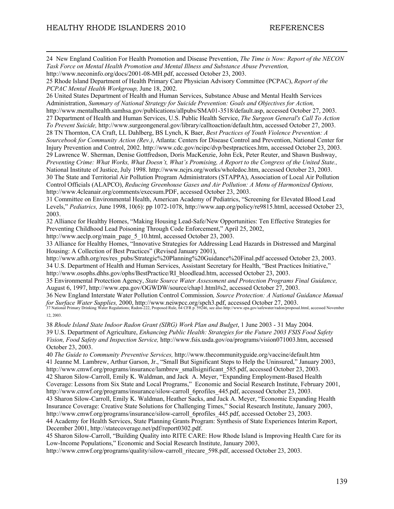24 New England Coalition For Health Promotion and Disease Prevention, *The Time is Now: Report of the NECON Task Force on Mental Health Promotion and Mental Illness and Substance Abuse Prevention,* http://www.neconinfo.org/docs/2001-08-MH.pdf, accessed October 23, 2003.

25 Rhode Island Department of Health Primary Care Physician Advisory Committee (PCPAC), *Report of the PCPAC Mental Health Workgroup,* June 18, 2002.

26 United States Department of Health and Human Services, Substance Abuse and Mental Health Services Administration, *Summary of National Strategy for Suicide Prevention: Goals and Objectives for Action,* http://www.mentalhealth.samhsa.gov/publications/allpubs/SMA01-3518/default.asp, accessed October 27, 2003. 27 Department of Health and Human Services, U.S. Public Health Service, *The Surgeon General's Call To Action* 

*To Prevent Suicide,* http://www.surgeongeneral.gov/library/calltoaction/default.htm, accessed October 27, 2003. 28 TN Thornton, CA Craft, LL Dahlberg, BS Lynch, K Baer, *Best Practices of Youth Violence Prevention: A Sourcebook for Community Action (Rev.)*, Atlanta: Centers for Disease Control and Prevention, National Center for Injury Prevention and Control, 2002. http://www.cdc.gov/ncipc/dvp/bestpractices.htm, accessed October 23, 2003. 29 Lawrence W. Sherman, Denise Gottfredson, Doris MacKenzie, John Eck, Peter Reuter, and Shawn Bushway, *Preventing Crime: What Works, What Doesn't, What's Promising, A Report to the Congress of the United State.,* National Institute of Justice, July 1998. http://www.ncjrs.org/works/wholedoc.htm, accessed October 23, 2003. 30 The State and Territorial Air Pollution Program Administrators (STAPPA), Association of Local Air Pollution Control Officials (ALAPCO), *Reducing Greenhouse Gases and Air Pollution: A Menu of Harmonized Options,* http://www.4cleanair.org/comments/execsum.PDF, accessed October 23, 2003.

31 Committee on Environmental Health, American Academy of Pediatrics, "Screening for Elevated Blood Lead Levels," *Pediatrics,* June 1998, 10(6): pp 1072-1078, http://www.aap.org/policy/re9815.html, accessed October 23, 2003.

32 Alliance for Healthy Homes, "Making Housing Lead-Safe/New Opportunities: Ten Effective Strategies for Preventing Childhood Lead Poisoning Through Code Enforcement," April 25, 2002,

http://www.aeclp.org/main\_page\_5\_10.html, accessed October 23, 2003.

33 Alliance for Healthy Homes, "Innovative Strategies for Addressing Lead Hazards in Distressed and Marginal Housing: A Collection of Best Practices" (Revised January 2001),

http://www.afhh.org/res/res\_pubs/Strategic%20Planning%20Guidance%20Final.pdf accessed October 23, 2003. 34 U.S. Department of Health and Human Services, Assistant Secretary for Health, "Best Practices Initiative," http://www.osophs.dhhs.gov/ophs/BestPractice/RI\_bloodlead.htm, accessed October 23, 2003.

35 Environmental Protection Agency, *State Source Water Assessment and Protection Programs Final Guidance,* August 6, 1997, http://www.epa.gov/OGWDW/source/chap1.html#s2, accessed October 27, 2003.

36 New England Interstate Water Pollution Control Commission*, Source Protection: A National Guidance Manual*  f*or Surface Water Supplies,* 2000, http://www.neiwpcc.org/spch3.pdf, accessed October 27, 2003.<br>37 National Primary Drinking Water Regulations; Radon-222, Proposed Rule, 64 CFR p. 59246, see also http://www.epa.gov/safewa 12, 2003.

38 *Rhode Island State Indoor Radon Grant (SIRG) Work Plan and Budget*, 1 June 2003 - 31 May 2004. 39 U.S. Department of Agriculture, *Enhancing Public Health: Strategies for the Future 2003 FSIS Food Safety Vision, Food Safety and Inspection Service,* http://www.fsis.usda.gov/oa/programs/vision071003.htm, accessed October 23, 2003.

40 *The Guide to Community Preventive Services,* http://www.thecommunityguide.org/vaccine/default.htm 41 Jeanne M. Lambrew, Arthur Garson, Jr., "Small But Significant Steps to Help the Uninsured," January 2003, http://www.cmwf.org/programs/insurance/lambrew\_smallsignificant\_585.pdf, accessed October 23, 2003. 42 Sharon Silow-Carroll, Emily K. Waldman, and Jack A. Meyer, "Expanding Employment-Based Health Coverage: Lessons from Six State and Local Programs," Economic and Social Research Institute, February 2001, http://www.cmwf.org/programs/insurance/silow-carroll 6profiles 445.pdf, accessed October 23, 2003. 43 Sharon Silow-Carroll, Emily K. Waldman, Heather Sacks, and Jack A. Meyer, "Economic Expanding Health Insurance Coverage: Creative State Solutions for Challenging Times," Social Research Institute, January 2003, http://www.cmwf.org/programs/insurance/silow-carroll 6profiles 445.pdf, accessed October 23, 2003. 44 Academy for Health Services, State Planning Grants Program: Synthesis of State Experiences Interim Report, December 2001, http://statecoverage.net/pdf/report0302.pdf.

45 Sharon Silow-Carroll, "Building Quality into RITE CARE: How Rhode Island is Improving Health Care for its Low-Income Populations," Economic and Social Research Institute, January 2003,

http://www.cmwf.org/programs/quality/silow-carroll\_ritecare\_598.pdf, accessed October 23, 2003.